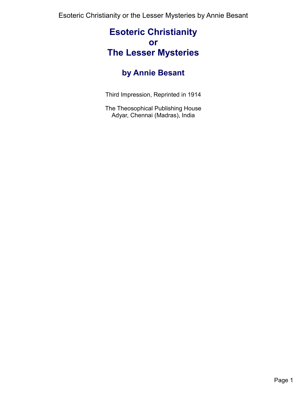# **Esoteric Christianity or The Lesser Mysteries**

# **by Annie Besant**

Third Impression, Reprinted in 1914

The Theosophical Publishing House Adyar, Chennai (Madras), India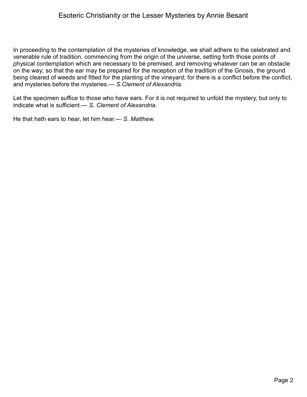In proceeding to the contemplation of the mysteries of knowledge, we shall adhere to the celebrated and venerable rule of tradition, commencing from the origin of the universe, setting forth those points of physical contemplation which are necessary to be premised, and removing whatever can be an obstacle on the way; so that the ear may be prepared for the reception of the tradition of the Gnosis, the ground being cleared of weeds and fitted for the planting of the vineyard; for there is a conflict before the conflict, and mysteries before the mysteries.— *S.Clement of Alexandria.*

Let the specimen suffice to those who have ears. For it is not required to unfold the mystery, but only to indicate what is sufficient.— *S. Clement of Alexandria.*

He that hath ears to hear, let him hear.— *S. Matthew.*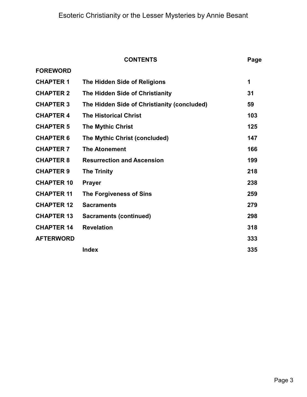|                   | <b>CONTENTS</b>                             | Page |
|-------------------|---------------------------------------------|------|
| <b>FOREWORD</b>   |                                             |      |
| <b>CHAPTER 1</b>  | The Hidden Side of Religions                | 1    |
| <b>CHAPTER 2</b>  | The Hidden Side of Christianity             | 31   |
| <b>CHAPTER 3</b>  | The Hidden Side of Christianity (concluded) | 59   |
| <b>CHAPTER 4</b>  | <b>The Historical Christ</b>                | 103  |
| <b>CHAPTER 5</b>  | <b>The Mythic Christ</b>                    | 125  |
| <b>CHAPTER 6</b>  | The Mythic Christ (concluded)               | 147  |
| <b>CHAPTER 7</b>  | <b>The Atonement</b>                        | 166  |
| <b>CHAPTER 8</b>  | <b>Resurrection and Ascension</b>           | 199  |
| <b>CHAPTER 9</b>  | <b>The Trinity</b>                          | 218  |
| <b>CHAPTER 10</b> | <b>Prayer</b>                               | 238  |
| <b>CHAPTER 11</b> | The Forgiveness of Sins                     | 259  |
| <b>CHAPTER 12</b> | <b>Sacraments</b>                           | 279  |
| <b>CHAPTER 13</b> | <b>Sacraments (continued)</b>               | 298  |
| <b>CHAPTER 14</b> | <b>Revelation</b>                           | 318  |
| <b>AFTERWORD</b>  |                                             | 333  |
|                   | <b>Index</b>                                | 335  |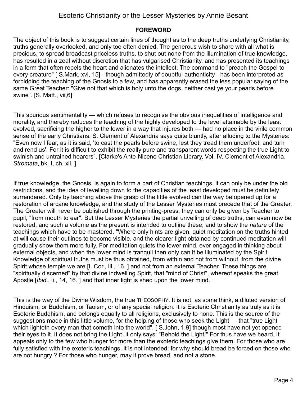#### <span id="page-3-0"></span>**FOREWORD**

The object of this book is to suggest certain lines of thought as to the deep truths underlying Christianity, truths generally overlooked, and only too often denied. The generous wish to share with all what is precious, to spread broadcast priceless truths, to shut out none from the illumination of true knowledge, has resulted in a zeal without discretion that has vulgarised Christianity, and has presented its teachings in a form that often repels the heart and alienates the intellect. The command to "preach the Gospel to every creature" [ S.Mark, xvi, 15] - though admittedly of doubtful authenticity - has been interpreted as forbidding the teaching of the Gnosis to a few, and has apparently erased the less popular saying of the same Great Teacher: "Give not that which is holy unto the dogs, neither cast ye your pearls before swine". [S. Matt., vii,6]

This spurious sentimentality — which refuses to recognise the obvious inequalities of intelligence and morality, and thereby reduces the teaching of the highly developed to the level attainable by the least evolved, sacrificing the higher to the lower in a way that injures both — had no place in the virile common sense of the early Christians. S. Clement of Alexandria says quite bluntly, after alluding to the Mysteries: "Even now I fear, as it is said, 'to cast the pearls before swine, lest they tread them underfoot, and turn and rend us'. For it is difficult to exhibit the really pure and transparent words respecting the true Light to swinish and untrained hearers". [Clarke's Ante-Nicene Christian Library, Vol. IV. Clement of Alexandria. *Stromata*, bk. I, ch. xii. ]

If true knowledge, the Gnosis, is again to form a part of Christian teachings, it can only be under the old restrictions, and the idea of levelling down to the capacities of the least developed must be definitely surrendered. Only by teaching above the grasp of the little evolved can the way be opened up for a restoration of arcane knowledge, and the study of the Lesser Mysteries must precede that of the Greater. The Greater will never be published through the printing-press; they can only be given by Teacher to pupil, "from mouth to ear". But the Lesser Mysteries the partial unveiling of deep truths, can even now be restored, and such a volume as the present is intended to outline these, and to show the *nature* of the teachings which have to be mastered. "Where only hints are given, quiet meditation on the truths hinted at will cause their outlines to become visible, and the clearer light obtained by continued meditation will gradually show them more fully. For meditation quiets the lower mind, ever engaged in thinking about external objects, and when the lower mind is tranquil then only can it be illuminated by the Spirit. Knowledge of spiritual truths must be thus obtained, from within and not from without, from the divine Spirit whose temple we are [I. Cor., iii., 16. ] and not from an external Teacher. These things are "spiritually discerned" by that divine indwelling Spirit, that "mind of Christ", whereof speaks the great Apostle [*Ibid*., ii., 14, 16. ] and that inner light is shed upon the lower mind.

This is the way of the Divine Wisdom, the true THEOSOPHY. It is not, as some think, a diluted version of Hinduism, or Buddhism, or Taoism, or of any special religion. It is Esoteric Christianity as truly as it is Esoteric Buddhism, and belongs equally to all religions, exclusively to none. This is the source of the suggestions made in this little volume, for the helping of those who seek the Light — that "true Light which lighteth every man that cometh into the world", [ S.John, 1,9] though most have not yet opened their eyes to it. It does not bring the Light. It only says: "Behold the Light!" For thus have we heard. It appeals only to the few who hunger for more than the exoteric teachings give them. For those who are fully satisfied with the exoteric teachings, it is not intended; for why should bread be forced on those who are not hungry ? For those who hunger, may it prove bread, and not a stone.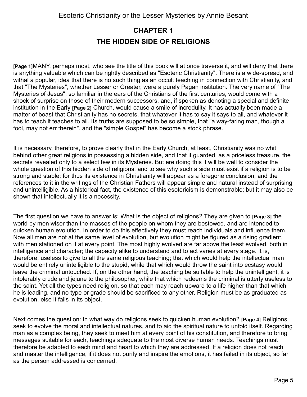## <span id="page-4-0"></span>**CHAPTER 1 THE HIDDEN SIDE OF RELIGIONS**

**[Page 1]**MANY, perhaps most, who see the title of this book will at once traverse it, and will deny that there is anything valuable which can be rightly described as "Esoteric Christianity". There is a wide-spread, and withal a popular, idea that there is no such thing as an occult teaching in connection with Christianity, and that "The Mysteries", whether Lesser or Greater, were a purely Pagan institution. The very name of "The Mysteries of Jesus", so familiar in the ears of the Christians of the first centuries, would come with a shock of surprise on those of their modern successors, and, if spoken as denoting a special and definite institution in the Early **[Page 2]** Church, would cause a smile of incredulity. It has actually been made a matter of boast that Christianity has no secrets, that whatever it has to say it says to all, and whatever it has to teach it teaches to all. Its truths are supposed to be so simple, that "a way-faring man, though a fool, may not err therein", and the "simple Gospel" has become a stock phrase.

It is necessary, therefore, to prove clearly that in the Early Church, at least, Christianity was no whit behind other great religions in possessing a hidden side, and that it guarded, as a priceless treasure, the secrets revealed only to a select few in its Mysteries. But ere doing this it will be well to consider the whole question of this hidden side of religions, and to see why such a side must exist if a religion is to be strong and stable; for thus its existence in Christianity will appear as a foregone conclusion, and the references to it in the writings of the Christian Fathers will appear simple and natural instead of surprising and unintelligible. As a historical fact, the existence of this esotericism is demonstrable; but it may also be shown that intellectually it is a necessity.

The first question we have to answer is: What is the object of religions? They are given to **[Page 3]** the world by men wiser than the masses of the people on whom they are bestowed, and are intended to quicken human evolution. In order to do this effectively they must reach individuals and influence them. Now all men are not at the same level of evolution, but evolution might be figured as a rising gradient, with men stationed on it at every point. The most highly evolved are far above the least evolved, both in intelligence and character; the capacity alike to understand and to act varies at every stage. It is, therefore, useless to give to all the same religious teaching; that which would help the intellectual man would be entirely unintelligible to the stupid, while that which would throw the saint into ecstasy would leave the criminal untouched. If, on the other hand, the teaching be suitable to help the unintelligent, it is intolerably crude and jejune to the philosopher, while that which redeems the criminal is utterly useless to the saint. Yet all the types need religion, so that each may reach upward to a life higher than that which he is leading, and no type or grade should be sacrificed to any other. Religion must be as graduated as evolution, else it fails in its object.

Next comes the question: In what way do religions seek to quicken human evolution? **[Page 4]** Religions seek to evolve the moral and intellectual natures, and to aid the spiritual nature to unfold itself. Regarding man as a complex being, they seek to meet him at every point of his constitution, and therefore to bring messages suitable for each, teachings adequate to the most diverse human needs. Teachings must therefore be adapted to each mind and heart to which they are addressed. If a religion does not reach and master the intelligence, if it does not purify and inspire the emotions, it has failed in its object, so far as the person addressed is concerned.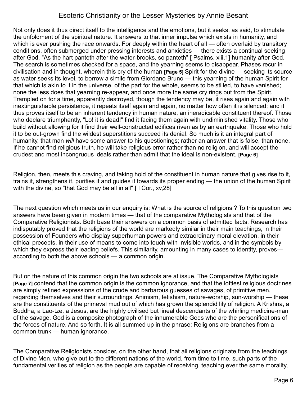Not only does it thus direct itself to the intelligence and the emotions, but it seeks, as said, to stimulate the unfoldment of the spiritual nature. It answers to that inner impulse which exists in humanity, and which is ever pushing the race onwards. For deeply within the heart of all — often overlaid by transitory conditions, often submerged under pressing interests and anxieties — there exists a continual seeking after God. "As the hart panteth after the water-brooks, so panteth" [ Psalms, xlii,1] humanity after God. The search is sometimes checked for a space, and the yearning seems to disappear. Phases recur in civilisation and in thought, wherein this cry of the human **[Page 5]** Spirit for the divine — seeking its source as water seeks its level, to borrow a simile from Giordano Bruno — this yearning of the human Spirit for that which is akin to it in the universe, of the part for the whole, seems to be stilled, to have vanished; none the less does that yearning re-appear, and once more the same cry rings out from the Spirit. Trampled on for a time, apparently destroyed, though the tendency may be, it rises again and again with inextinguishable persistence, it repeats itself again and again, no matter how often it is silenced; and it thus proves itself to be an inherent tendency in human nature, an ineradicable constituent thereof. Those who declare triumphantly, "Lo! it is dead!" find it facing them again with undiminished vitality. Those who build without allowing for it find their well-constructed edifices riven as by an earthquake. Those who hold it to be out-grown find the wildest superstitions succeed its denial. So much is it an integral part of humanity, that man *will* have some answer to his questionings; rather an answer that is false, than none. If he cannot find religious truth, he will take religious error rather than no religion, and will accept the crudest and most incongruous ideals rather than admit that the ideal is non-existent. **[Page 6]**

Religion, then, meets this craving, and taking hold of the constituent in human nature that gives rise to it, trains it, strengthens it, purifies it and guides it towards its proper ending — the union of the human Spirit with the divine, so "that God may be all in all".[I Cor., xv,28]

The next question which meets us in our enquiry is: What is the source of religions ? To this question two answers have been given in modern times — that of the comparative Mythologists and that of the Comparative Religionists. Both base their answers on a common basis of admitted facts. Research has indisputably proved that the religions of the world are markedly similar in their main teachings, in their possession of Founders who display superhuman powers and extraordinary moral elevation, in their ethical precepts, in their use of means to come into touch with invisible worlds, and in the symbols by which they express their leading beliefs. This similarity, amounting in many cases to identity, proves according to both the above schools — a common origin.

But on the nature of this common origin the two schools are at issue. The Comparative Mythologists **[Page 7]** contend that the common origin is the common ignorance, and that the loftiest religious doctrines are simply refined expressions of the crude and barbarous guesses of savages, of primitive men, regarding themselves and their surroundings. Animism, fetishism, nature-worship, sun-worship — these are the constituents of the primeval mud out of which has grown the splendid lily of religion. A Krishna, a Buddha, a Lao-tze, a Jesus, are the highly civilised but lineal descendants of the whirling medicine-man of the savage. God is a composite photograph of the innumerable Gods who are the personifications of the forces of nature. And so forth. It is all summed up in the phrase: Religions are branches from a common trunk — human ignorance.

The Comparative Religionists consider, on the other hand, that all religions originate from the teachings of Divine Men, who give out to the different nations of the world, from time to time, such parts of the fundamental verities of religion as the people are capable of receiving, teaching ever the same morality,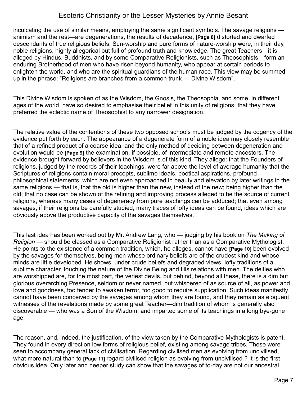inculcating the use of similar means, employing the same significant symbols. The savage religions animism and the rest—are degenerations, the results of decadence, **[Page 8]** distorted and dwarfed descendants of true religious beliefs. Sun-worship and pure forms of nature-worship were, in their day, noble religions, highly allegorical but full of profound truth and knowledge. The great Teachers—it is alleged by Hindus, Buddhists, and by some Comparative Religionists, such as Theosophists—form an enduring Brotherhood of men who have risen beyond humanity, who appear at certain periods to enlighten the world, and who are the spiritual guardians of the human race. This view may be summed up in the phrase: "Religions are branches from a common trunk — Divine Wisdom".

This Divine Wisdom is spoken of as the Wisdom, the Gnosis, the Theosophia, and some, in different ages of the world, have so desired to emphasise their belief in this unity of religions, that they have preferred the eclectic name of Theosophist to any narrower designation.

The relative value of the contentions of these two opposed schools must be judged by the cogency of the evidence put forth by each. The appearance of a degenerate form of a noble idea may closely resemble that of a refined product of a coarse idea, and the only method of deciding between degeneration and evolution would be **[Page 9]** the examination, if possible, of intermediate and remote ancestors. The evidence brought forward by believers in the Wisdom is of this kind. They allege: that the Founders of religions, judged by the records of their teachings, were far above the level of average humanity that the Scriptures of religions contain moral precepts, sublime ideals, poetical aspirations, profound philosophical statements, which are not even approached in beauty and elevation by later writings in the same religions — that is, that the old is higher than the new, instead of the new; being higher than the old; that no case can be shown of the refining and improving process alleged to be the source of current religions, whereas many cases of degeneracy from pure teachings can be adduced; that even among savages, if their religions be carefully studied, many traces of lofty ideas can be found, ideas which are obviously above the productive capacity of the savages themselves.

This last idea has been worked out by Mr. Andrew Lang, who — judging by his book on *The Making of Religion* — should be classed as a Comparative Religionist rather than as a Comparative Mythologist. He points to the existence of a common tradition, which, he alleges, cannot have **[Page 10]** been evolved by the savages for themselves, being men whose ordinary beliefs are of the crudest kind and whose minds are little developed. He shows, under crude beliefs and degraded views, lofty traditions of a sublime character, touching the nature of the Divine Being and His relations with men. The deities who are worshipped are, for the most part, the veriest devils, but behind, beyond all these, there is a dim but glorious overarching Presence, seldom or never named, but whispered of as source of all, as power and love and goodness, too tender to awaken terror, too good to require supplication. Such ideas manifestly cannot have been conceived by the savages among whom they are found, and they remain as eloquent witnesses of the revelations made by some great Teacher—dim tradition of whom is generally also discoverable — who was a Son of the Wisdom, and imparted some of its teachings in a long bye-gone age.

The reason, and, indeed, the justification, of the view taken by the Comparative Mythologists is patent. They found in every direction low forms of religious belief, existing among savage tribes. These were seen to accompany general lack of civilisation. Regarding civilised men as evolving from uncivilised, what more natural than to **[Page 11]** regard civilised religion as evolving from uncivilised ? It is the first obvious idea. Only later and deeper study can show that the savages of to-day are not our ancestral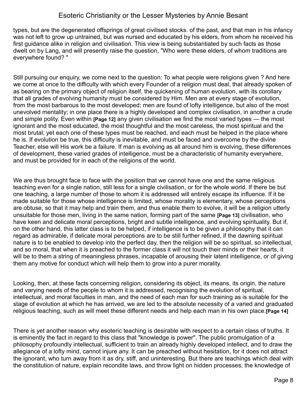types, but are the degenerated offsprings of great civilised stocks. of the past, and that man in his infancy was not left to grow up untrained, but was nursed and educated by his elders, from whom he received his first guidance alike in religion and civilisation. This view is being substantiated by such facts as those dwelt on by Lang, and will presently raise the question, "Who were these elders, of whom traditions are everywhere found? "

Still pursuing our enquiry, we come next to the question: To what people were religions given ? And here we come at once to the difficulty with which every Founder of a religion must deal, that already spoken of as bearing on the primary object of religion itself, the quickening of human evolution, with its corollary that all grades of evolving humanity must be considered by Him. Men are at every stage of evolution, from the most barbarous to the most developed; men are found of lofty intelligence, but also of the most unevolved mentality; in one place there is a highly developed and complex civilisation, in another a crude and simple polity. Even within **[Page 12]** any given civilisation we find the most varied types — the most ignorant and the most educated, the most thoughtful and the most careless, the most spiritual and the most brutal; yet each one of these types must be reached, and each must be helped in the place where he is. If evolution be true, this difficulty is inevitable, and must be faced and overcome by the divine Teacher, else will His work be a failure. If man is evolving as all around him is evolving, these differences of development, these varied grades of intelligence, must be a characteristic of humanity everywhere, and must be provided for in each of the religions of the world.

We are thus brought face to face with the position that we cannot have one and the same religious teaching even for a single nation, still less for a single civilisation, or for the whole world. If there be but one teaching, a large number of those to whom it is addressed will entirely escape its influence. If it be made suitable for those whose intelligence is limited, whose morality is elementary, whose perceptions are obtuse, so that it may help and train them, and thus enable them to evolve, it will be a religion utterly unsuitable for those men, living in the same nation, forming part of the same **[Page 13]** civilisation, who have keen and delicate moral perceptions, bright and subtle intelligence, and evolving spirituality. But if, on the other hand, this latter class is to be helped, if intelligence is to be given a philosophy that it can regard as admirable, if delicate moral perceptions are to be still further refined, if the dawning spiritual nature is to be enabled to develop into the perfect day, then the religion will be so spiritual, so intellectual, and so moral, that when it is preached to the former class it will not touch their minds or their hearts, it will be to them a string of meaningless phrases, incapable of arousing their latent intelligence, or of giving them any motive for conduct which will help them to grow into a purer morality.

Looking, then, at these facts concerning religion, considering its object, its means, its origin, the nature and varying needs of the people to whom it is addressed, recognising the evolution of spiritual, intellectual, and moral faculties in man, and the need of each man for such training as is suitable for the stage of evolution at which he has arrived, we are led to the absolute necessity of a varied and graduated religious teaching, such as will meet these different needs and help each man in his own place.**[Page 14]** 

There is yet another reason why esoteric teaching is desirable with respect to a certain class of truths. It is eminently the fact in regard to this class that "knowledge is power". The public promulgation of a philosophy profoundly intellectual, sufficient to train an already highly developed intellect, and to draw the allegiance of a lofty mind, cannot injure any. It can be preached without hesitation, for it does not attract the ignorant, who turn away from it as dry, stiff, and uninteresting. But there are teachings which deal with the constitution of nature, explain recondite laws, and throw light on hidden processes, the knowledge of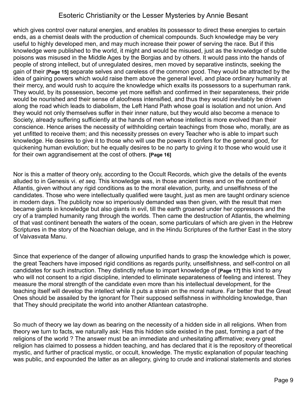which gives control over natural energies, and enables its possessor to direct these energies to certain ends, as a chemist deals with the production of chemical compounds. Such knowledge may be very useful to highly developed men, and may much increase their power of serving the race. But if this knowledge were published to the world, it might and would be misused, just as the knowledge of subtle poisons was misused in the Middle Ages by the Borgias and by others. It would pass into the hands of people of strong intellect, but of unregulated desires, men moved by separative instincts, seeking the gain of their **[Page 15]** separate selves and careless of the common good. They would be attracted by the idea of gaining powers which would raise them above the general level, and place ordinary humanity at their mercy, and would rush to acquire the knowledge which exalts its possessors to a superhuman rank. They would, by its possession, become yet more selfish and confirmed in their separateness, their pride would be nourished and their sense of aloofness intensified, and thus they would inevitably be driven along the road which leads to diabolism, the Left Hand Path whose goal is isolation and not union. And they would not only themselves suffer in their inner nature, but they would also become a menace to Society, already suffering sufficiently at the hands of men whose intellect is more evolved than their conscience. Hence arises the necessity of withholding certain teachings from those who, morally, are as yet unfitted to receive them; and this necessity presses on every Teacher who is able to impart such knowledge. He desires to give it to those who will use the powers it confers for the general good, for quickening human evolution; but he equally desires to be no party to giving it to those who would use it for their own aggrandisement at the cost of others. **[Page 16]** 

Nor is this a matter of theory only, according to the Occult Records, which give the details of the events alluded to in Genesis vi. *et seq*. This knowledge was, in those ancient times and on the continent of Atlantis, given without any rigid conditions as to the moral elevation, purity, and unselfishness of the candidates. Those who were intellectually qualified were taught, just as men are taught ordinary science in modern days. The publicity now so imperiously demanded was then given, with the result that men became giants in knowledge but also giants in evil, till the earth groaned under her oppressors and the cry of a trampled humanity rang through the worlds. Then came the destruction of Atlantis, the whelming of that vast continent beneath the waters of the ocean, some particulars of which are given in the Hebrew Scriptures in the story of the Noachian deluge, and in the Hindu Scriptures of the further East in the story of Vaivasvata Manu.

Since that experience of the danger of allowing unpurified hands to grasp the knowledge which is power, the great Teachers have imposed rigid conditions as regards purity, unselfishness, and self-control on all candidates for such instruction. They distinctly refuse to impart knowledge of **[Page 17]** this kind to any who will not consent to a rigid discipline, intended to eliminate separateness of feeling and interest. They measure the moral strength of the candidate even more than his intellectual development, for the teaching itself will develop the intellect while it puts a strain on the moral nature. Far better that the Great Ones should be assailed by the ignorant for Their supposed selfishness in withholding knowledge, than that They should precipitate the world into another Atlantean catastrophe.

So much of theory we lay down as bearing on the necessity of a hidden side in all religions. When from theory we turn to facts, we naturally ask: Has this hidden side existed in the past, forming a part of the religions of the world ? The answer must be an immediate and unhesitating affirmative; every great religion has claimed to possess a hidden teaching, and has declared that it is the repository of theoretical mystic, and further of practical mystic, or occult, knowledge. The mystic explanation of popular teaching was public, and expounded the latter as an allegory, giving to crude and irrational statements and stories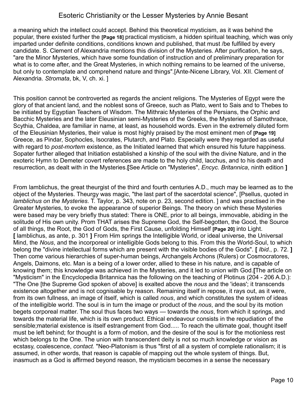a meaning which the intellect could accept. Behind this theoretical mysticism, as it was behind the popular, there existed further the **[Page 18]** practical mysticism, a hidden spiritual teaching, which was only imparted under definite conditions, conditions known and published, that must /be fulfilled by every candidate. S. Clement of Alexandria mentions this division of the Mysteries. After purification, he says, "are the Minor Mysteries, which have some foundation of instruction and of preliminary preparation for what is to come after, and the Great Mysteries, in which nothing remains to be learned of the universe, but only to contemplate and comprehend nature and things".[Ante-Nicene Library, Vol. XII. Clement of Alexandria. *Stromata*, bk, V, ch. xi. ]

This position cannot be controverted as regards the ancient religions. The Mysteries of Egypt were the glory of that ancient land, and the noblest sons of Greece, such as Plato, went to Sais and to Thebes to be initiated by Egyptian Teachers of Wisdom. The Mithraic Mysteries of the Persians, the Orphic and Bacchic Mysteries and the later Eleusinian semi-Mysteries of the Greeks, the Mysteries of Samothrace, Scythia, Chaldea, are familiar in name, at least, as household words. Even in the extremely diluted form of the Eleusinian Mysteries, their value is most highly praised by the most eminent men of **[Page 19]** Greece, as Pindar, Sophocles, Isocrates, Plutarch, and Plato. Especially were they regarded as useful with regard to *post-mortem* existence, as the Initiated learned that which ensured his future happiness. Sopater further alleged that Initiation established a kinship of the soul with the divine Nature, and in the exoteric Hymn to Demeter covert references are made to the holy child, lacchus, and to his death and resurrection, as dealt with in the Mysteries.**[**See Article on "Mysteries", *Encyc. Britannica*, ninth edition **]**

From lamblichus, the great theurgist of the third and fourth centuries A.D., much may be learned as to the object of the Mysteries. Theurgy was magic, "the last part of the sacerdotal science", [Psellus, quoted in *lamblichus on the Mysteries*. T. Taylor, p. 343, note on p. 23, second edition. ] and was practised in the Greater Mysteries, to evoke the appearance of superior Beings. The theory on which these Mysteries were based may be very briefly thus stated: There is ONE, prior to all beings, immovable, abiding in the solitude of His own unity. Prom THAT arises the Supreme God, the Self-begotten, the Good, the Source of all things, the Root, the God of Gods, the First Cause, unfolding Himself **[Page 20]** into Light. **[** lamblichus, as ante, p. 301 **]** From Him springs the Intelligible World, or ideal universe, the Universal Mind, the *Nous*, and the incorporeal or intelligible Gods belong to this. From this the World-Soul, to which belong the "divine intellectual forms which are present with the visible bodies of the Gods". **[** *Ibid*., p. 72. **]** Then come various hierarchies of super-human beings, Archangels Archons (Rulers) or Cosmocratores, Angels, Daimons, etc. Man is a being of a lower order, allied to these in his nature, and is capable of knowing them; this knowledge was achieved in the Mysteries, and it led to union with God.**[**The article on "Mysticism" in the Encyclopedia Britannica has the following on the teaching of Plotinus (204 - 206 A.D.): "The One [the Supreme God spoken of above] is exalted above the *nous* and the 'ideas'; it transcends existence altogether and is not cognisable by reason. Remaining itself in repose, it rays out, as it were, from its own fullness, an image of itself, which is called *nous*, and which constitutes the system of ideas of the intelligible world. The soul is in turn the image or product of the *nous*, and the soul by its motion begets corporeal matter. The soul thus faces two ways — towards the *nous*, from which it springs, and towards the material life, which is its own product. Ethical endeavour consists in the repudiation of the sensible;material existence is itself estrangement from God..... To reach the ultimate goal, thought itself must be left behind; for thought is a form of motion, and the desire of the soul is for the motionless rest which belongs to the One. The union with transcendent deity is not so much knowledge or vision as ecstasy, coalescence, *contact.* "Neo-Platonism is thus "first of all a system of complete rationalism; it is assumed, in other words, that reason is capable of mapping out the whole system of things. But, inasmuch as a God is affirmed beyond reason, the mysticism becomes in a sense the necessary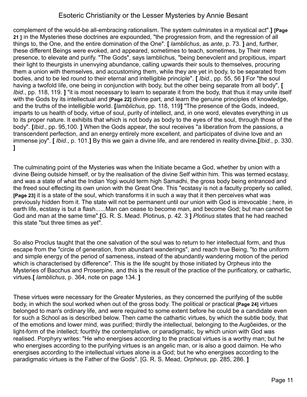complement of the would-be all-embracing rationalism. The system culminates in a mystical act".**] [Page 21 ]** In the Mysteries these doctrines are expounded, "the progression from, and the regression of all things to, the One, and the entire domination of the One". **[** *lamblichus*, as *ante*, p. 73. **]** and, further, these different Beings were evoked, and appeared, sometimes to teach, sometimes, by Their mere presence, to elevate and purify. "The Gods", says lamblichus, "being benevolent and propitious, impart their light to theurgists in unenvying abundance, calling upwards their souls to themselves, procuring them a union with themselves, and accustoming them, while they are yet in body, to be separated from bodies, and to be led round to their eternal and intelligible principle". **[** *Ibid*., pp. 55, 56 **]** For "the soul having a twofold life, one being in conjunction with body, but the other being separate from all body", **[** *Ibid*., pp. 118, 119. **]** "it is most necessary to learn to separate it from the body, that thus it may unite itself with the Gods by its intellectual and **[Page 22]** divine part, and learn the genuine principles of knowledge, and the truths of the intelligible world. **[***lamblichus*, pp. 118, 119**]** "The presence of the Gods, indeed, imparts to us health of body, virtue of soul, purity of intellect, and, in one word, elevates everything in us to its proper nature. It exhibits that which is not body as body to the eyes of the soul, through those of the body". **[***Ibid*., pp. 95,100. **]** When the Gods appear, the soul receives "a liberation from the passions, a transcendent perfection, and an energy entirely more excellent, and participates of divine love and an immense joy". **[** *Ibid*., p. 101.**]** By this we gain a divine life, and are rendered in reality divine**.[***Ibid.*, p. 330. **]** 

The culminating point of the Mysteries was when the Initiate became a God, whether by union with a divine Being outside himself, or by the realisation of the divine Self within him. This was termed ecstasy, and was a state of what the Indian Yogi would term high Samadhi, the gross body being entranced and the freed soul effecting its own union with the Great One. This "ecstasy is not a faculty properly so called, **[Page 23]** it is a state of the soul, which transforms it in such a way that it then perceives what was previously hidden from it. The state will not be permanent until our union with God is irrevocable ; here, in earth life, ecstasy is but a flash......Man can cease to become man, and become God; but man cannot be God and man at the same time".**[**G. R. S. Mead. Plotinus, p. 42. 3 **]** *Plotinus* states that he had reached this state "but three times as yet".

So also Proclus taught that the one salvation of the soul was to return to her intellectual form, and thus escape from the "circle of generation, from abundant wanderings", and reach true Being, "to the uniform and simple energy of the period of sameness, instead of the abundantly wandering motion of the period which is characterised by difference". This is the life sought by those initiated by Orpheus into the Mysteries of Bacchus and Proserpine, and this is the result of the practice of the purificatory, or cathartic, virtues.**[** *lamblichus*, p. 364, note on page 134. **]** 

These virtues were necessary for the Greater Mysteries, as they concerned the purifying of the subtle body, in which the soul worked when out of the gross body. The political or practical **[Page 24]** virtues belonged to man's ordinary life, and were required to some extent before he could be a candidate even for such a School as is described below. Then came the cathartic virtues, by which the subtle body, that of the emotions and lower mind, was purified; thirdly the intellectual, belonging to the Augõeides, or the light-form of the intellect; fourthly the contemplative, or paradigmatic, by which union with God was realised. Porphyry writes: "He who energises according to the practical virtues is a worthy man; but he who energises according to the purifying virtues is an angelic man, or is also a good daimon. He who energises according to the intellectual virtues alone is a God; but he who energises according to the paradigmatic virtues is the Father of the Gods". [G. R. S. Mead, *Orpheus*, pp. 285, 286. **]**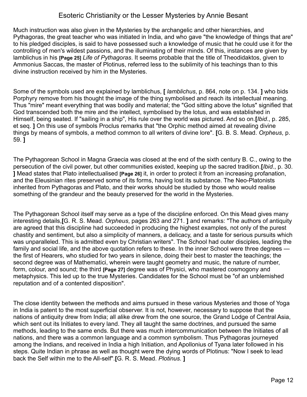Much instruction was also given in the Mysteries by the archangelic and other hierarchies, and Pythagoras, the great teacher who was initiated in India, and who gave "the knowledge of things that are" to his pledged disciples, is said to have possessed such a knowledge of music that he could use it for the controlling of men's wildest passions, and the illuminating of their minds. Of this, instances are given by lamblichus in his **[Page 25]** *Life of Pythagoras*. It seems probable that the title of Theodidaktos, given to Ammonius Saccas, the master of Plotinus, referred less to the sublimity of his teachings than to this divine instruction received by him in the Mysteries.

Some of the symbols used are explained by lamblichus, **[** *lamblichus*, p. 864, note on p. 134. **]** who bids Porphyry remove from his thought the image of the thing symbolised and reach its intellectual meaning. Thus "mire" meant everything that was bodily and material; the "God sitting above the lotus" signified that God transcended both the mire and the intellect, symbolised by the lotus, and was established in Himself, being seated. If "sailing in a ship", His rule over the world was pictured. And so on.**[***Ibid*., p. 285, et seq. **]** On this use of symbols Proclus remarks that "the Orphic method aimed at revealing divine things by means of symbols, a method common to all writers of divine lore". **[**G. B. S. Mead. *Orpheus*, p. 59. **]**

The Pythagorean School in Magna Graecia was closed at the end of the sixth century B. C., owing to the persecution of the civil power, but other communities existed, keeping up the sacred tradition.**[***Ibid*., p. 30. **]** Mead states that Plato intellectualised **[Page 26]** it, in order to protect it from an increasing profanation, and the Eleusinian rites preserved some of its forms, having lost its substance. The Neo-Platonists inherited from Pythagoras and Plato, and their works should be studied by those who would realise something of the grandeur and the beauty preserved for the world in the Mysteries.

The Pythagorean School itself may serve as a type of the discipline enforced. On this Mead gives many interesting details,**[**G. R. S. Mead. *Orpheus*, pages 263 and 271. **]** and remarks: "The authors of antiquity are agreed that this discipline had succeeded in producing the highest examples, not only of the purest chastity and sentiment, but also a simplicity of manners, a delicacy, and a taste for serious pursuits which was unparalleled. This is admitted even by Christian writers". The School had outer disciples, leading the family and social life, and the above quotation refers to these. In the inner School were three degrees the first of Hearers, who studied for two years in silence, doing their best to master the teachings; the second degree was of Mathematici, wherein were taught geometry and music, the nature of number, form, colour, and sound; the third **[Page 27]** degree was of Physici, who mastered cosmogony and metaphysics. This led up to the true Mysteries. Candidates for the School must be "of an unblemished reputation and of a contented disposition".

The close identity between the methods and aims pursued in these various Mysteries and those of Yoga in India is patent to the most superficial observer. It is not, however, necessary to suppose that the nations of antiquity drew from India; all alike drew from the one source, the Grand Lodge of Central Asia, which sent out its Initiates to every land. They all taught the same doctrines, and pursued the same methods, leading to the same ends. But there was much intercommunication between the Initiates of all nations, and there was a common language and a common symbolism. Thus Pythagoras journeyed among the Indians, and received in India a high Initiation, and Apollonius of Tyana later followed in his steps. Quite Indian in phrase as well as thought were the dying words of Plotinus: "Now I seek to lead back the Self within me to the All-self".**[**G. R. S. Mead. *Plotinus.* **]**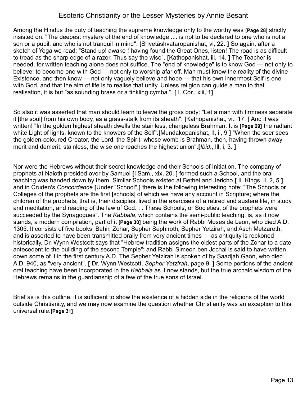Among the Hindus the duty of teaching the supreme knowledge only to the worthy was **[Page 28]** strictly insisted on. "The deepest mystery of the end of knowledge .... is not to be declared to one who is not a son or a pupil, and who is not tranquil in mind". **[**Shvetãshvataropanishat, vi, 22. **]** So again, after a sketch of Yoga we read: "Stand up! awake ! having found the Great Ones, listen! The road is as difficult to tread as the sharp edge of a razor. Thus say the wise". **[**Kathopanishat, iii, 14. **]** The Teacher is needed, for written teaching alone does not suffice. The "end of knowledge" is to know God — not only to believe; to become one with God — not only to worship afar off. Man must know the reality of the divine Existence, and then know — not only vaguely believe and hope — that his own innermost Self is one with God, and that the aim of life is to realise that unity. Unless religion can guide a man to that realisation, it is but "as sounding brass or a tinkling cymbal". **[** I. Cor., xiii, 1**]**

So also it was asserted that man should learn to leave the gross body: "Let a man with firmness separate it [the soul] from his own body, as a grass-stalk from its sheath". **[**Kathopanishat, vi., 17. **]** And it was written! "In the golden highest sheath dwells the stainless, changeless Brahman; It is **[Page 29]** the radiant white Light of lights, known to the knowers of the Self".**[**Mundakopanishat, II, ii, 9 **]** "When the seer sees the golden-coloured Creator, the Lord, the Spirit, whose womb is Brahman, then, having thrown away merit and demerit, stainless, the wise one reaches the highest union".**[***Ibid*., Ill, i, 3. **]**

Nor were the Hebrews without their secret knowledge and their Schools of Initiation. The company of prophets at Naioth presided over by Samuel **[**I Sam., xix, 20. **]** formed such a School, and the oral teaching was handed down by them. Similar Schools existed at Bethel and Jericho,**[** II. Kings, ii, 2, 5 **]** and in Cruden's *Concordance* **[**Under "School".**]** there is the following interesting note: "The Schools or Colleges of the prophets are the first [schools] of which we have any account in Scripture; where the children of the prophets, that is, their disciples, lived in the exercises of a retired and austere life, in study and meditation, and reading of the law of God. . . These Schools, or Societies, of the prophets were succeeded by the Synagogues". The *Kabbala*, which contains the semi-public teaching, is, as it now stands, a modern compilation, part of it **[Page 30]** being the work of Rabbi Moses de Leon, who died A.D. 1305. It consists of five books, Bahir, Zohar, Sepher Sephiroth, Sepher Yetzirah, and Asch Metzareth, and is asserted to have been transmitted orally from very ancient times — as antiquity is reckoned historically. Dr. Wynn Westcott says that "Hebrew tradition assigns the oldest parts of the Zohar to a date antecedent to the building of the second Temple"; and Rabbi Simeon ben Jochai is said to have written down some of it in the first century A.D. The Sepher Yetzirah is spoken of by Saadjah Gaon, who died A.D. 940, as "very ancient". **[** Dr. Wynn Westcott, *Sepher Yetzirah*, page 9. **]** Some portions of the ancient oral teaching have been incorporated in the *Kabbala* as it now stands, but the true archaic wisdom of the Hebrews remains in the guardianship of a few of the true sons of Israel.

Brief as is this outline, it is sufficient to show the existence of a hidden side in the religions of the world outside Christianity, and we may now examine the question whether Christianity was an exception to this universal rule.**[Page 31]**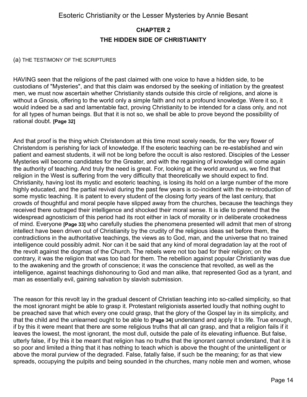### <span id="page-13-0"></span>**CHAPTER 2 THE HIDDEN SIDE OF CHRISTIANITY**

#### (a) THE TESTIMONY OF THE SCRIPTURES

HAVING seen that the religions of the past claimed with one voice to have a hidden side, to be custodians of "Mysteries", and that this claim was endorsed by the seeking of initiation by the greatest men, we must now ascertain whether Christianity stands outside this circle of religions, and alone is without a Gnosis, offering to the world only a simple faith and not a profound knowledge. Were it so, it would indeed be a sad and lamentable fact, proving Christianity to be intended for a class only, and not for all types of human beings. But that it is not so, we shall be able to prove beyond the possibility of rational doubt. **[Page 32]**

And that proof is the thing which Christendom at this time most sorely needs, for the very flower of Christendom is perishing for lack of knowledge. If the esoteric teaching can be re-established and win patient and earnest students, it will not be long before the occult is also restored. Disciples of the Lesser Mysteries will become candidates for the Greater, and with the regaining of knowledge will come again the authority of teaching. And truly the need is great. For, looking at the world around us, we find that religion in the West is suffering from the very difficulty that theoretically we should expect to find. Christianity, having lost its mystic and esoteric teaching, is losing its hold on a large number of the more highly educated, and the partial revival during the past few years is co-incident with the re-introduction of some mystic teaching. It is patent to every student of the closing forty years of the last century, that crowds of thoughtful and moral people have slipped away from the churches, because the teachings they received there outraged their intelligence and shocked their moral sense. It is idle to pretend that the widespread agnosticism of this period had its root either in lack of morality or in deliberate crookedness of mind. Everyone **[Page 33]** who carefully studies the phenomena presented will admit that men of strong intellect have been driven out of Christianity by the crudity of the religious ideas set before them, the contradictions in the authoritative teachings, the views as to God, man, and the universe that no trained intelligence could possibly admit. Nor can it be said that any kind of moral degradation lay at the root of the revolt against the dogmas of the Church. The rebels were not too bad for their religion; on the contrary, it was the religion that was too bad for them. The rebellion against popular Christianity was due to the awakening and the growth of conscience; it was the conscience that revolted, as well as the intelligence, against teachings dishonouring to God and man alike, that represented God as a tyrant, and man as essentially evil, gaining salvation by slavish submission.

The reason for this revolt lay in the gradual descent of Christian teaching into so-called simplicity, so that the most ignorant might be able to grasp it. Protestant religionists asserted loudly that nothing ought to be preached save that which every one could grasp, that the glory of the Gospel lay in its simplicity, and that the child and the unlearned ought to be able to **[Page 34]** understand and apply it to life. True enough, if by this it were meant that there are some religious truths that all can grasp, and that a religion fails if it leaves the lowest, the most ignorant, the most dull, outside the pale of its elevating influence. But false, utterly false, if by this it be meant that religion has no truths that the ignorant cannot understand, that it is so poor and limited a thing that it has nothing to teach which is above the thought of the unintelligent or above the moral purview of the degraded. False, fatally false, if such be the meaning; for as that view spreads, occupying the pulpits and being sounded in the churches, many noble men and women, whose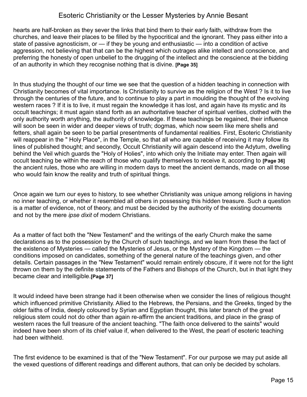hearts are half-broken as they sever the links that bind them to their early faith, withdraw from the churches, and leave their places to be filled by the hypocritical and the ignorant. They pass either into a state of passive agnosticism, or — if they be young and enthusiastic — into a condition of active aggression, not believing that that can be the highest which outrages alike intellect and conscience, and preferring the honesty of open unbelief to the drugging of the intellect and the conscience at the bidding of an authority in which they recognise nothing that is divine. **[Page 35]**

In thus studying the thought of our time we see that the question of a hidden teaching in connection with Christianity becomes of vital importance. Is Christianity to survive as the religion of the West ? Is it to live through the centuries of the future, and to continue to play a part in moulding the thought of the evolving western races ? If it is to live, it must regain the knowledge it has lost, and again have its mystic and its occult teachings; it must again stand forth as an authoritative teacher of spiritual verities, clothed with the only authority worth anything, the authority of knowledge. If these teachings be regained, their influence will soon be seen in wider and deeper views of truth; dogmas, which now seem like mere shells and fetters, shall again be seen to be partial presentments of fundamental realities. First, Esoteric Christianity will reappear in the " Holy Place", in the Temple, so that all who are capable of receiving it may follow its lines of published thought; and secondly, Occult Christianity will again descend into the Adytum, dwelling behind the Veil which guards the "Holy of Holies", into which only the Initiate may enter. Then again will occult teaching be within the reach of those who qualify themselves to receive it, according to **[Page 36]** the ancient rules, those who are willing in modern days to meet the ancient demands, made on all those who would fain know the reality and truth of spiritual things.

Once again we turn our eyes to history, to see whether Christianity was unique among religions in having no inner teaching, or whether it resembled all others in possessing this hidden treasure. Such a question is a matter of evidence, not of theory, and must be decided by the authority of the existing documents and not by the mere *ipse dixit* of modern Christians.

As a matter of fact both the "New Testament" and the writings of the early Church make the same declarations as to the possession by the Church of such teachings, and we learn from these the fact of the existence of Mysteries — called the Mysteries of Jesus, or the Mystery of the Kingdom — the conditions imposed on candidates, something of the general nature of the teachings given, and other details. Certain passages in the "New Testament" would remain entirely obscure, if it were not for the light thrown on them by the definite statements of the Fathers and Bishops of the Church, but in that light they became clear and intelligible.**[Page 37]**

It would indeed have been strange had it been otherwise when we consider the lines of religious thought which influenced primitive Christianity. Allied to the Hebrews, the Persians, and the Greeks, tinged by the older faiths of India, deeply coloured by Syrian and Egyptian thought, this later branch of the great religious stem could not do other than again re-affirm the ancient traditions, and place in the grasp of western races the full treasure of the ancient teaching. "The faith once delivered to the saints" would indeed have been shorn of its chief value if, when delivered to the West, the pearl of esoteric teaching had been withheld.

The first evidence to be examined is that of the "New Testament". For our purpose we may put aside all the vexed questions of different readings and different authors, that can only be decided by scholars.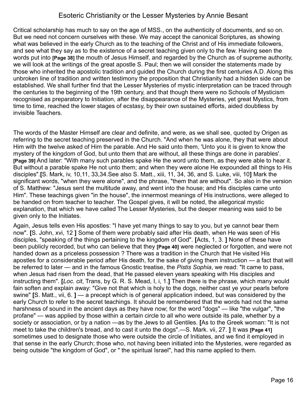Critical scholarship has much to say on the age of MSS., on the authenticity of documents, and so on. But we need not concern ourselves with these. We may accept the canonical Scriptures, as showing what was believed in the early Church as to the teaching of the Christ and of His immediate followers, and see what they say as to the existence of a secret teaching given only to the few. Having seen the words put into **[Page 38]** the mouth of Jesus Himself, and regarded by the Church as of supreme authority, we will look at the writings of the great apostle S. Paul; then we will consider the statements made by those who inherited the apostolic tradition and guided the Church during the first centuries A.D. Along this unbroken line of tradition and written testimony the proposition that Christianity had a hidden side can be established. We shall further find that the Lesser Mysteries of mystic interpretation can be traced through the centuries to the beginning of the 19th century, and that though there were no Schools of Mysticism recognised as preparatory to Initiation, after the disappearance of the Mysteries, yet great Mystics, from time to time, reached the lower stages of ecstasy, by their own sustained efforts, aided doubtless by invisible Teachers.

The words of the Master Himself are clear and definite, and were, as we shall see, quoted by Origen as referring to the secret teaching preserved in the Church. "And when he was alone, they that were about Him with the twelve asked of Him the parable. And He said unto them, 'Unto you it is given to know the mystery of the kingdom of God, but unto them that are without, all these things are done in parables'. **[Page 39]** And later: "With many such parables spake He the word unto them, as they were able to hear it. But without a parable spake He not unto them; and when they were alone He expounded all things to His disciples".**[**S. Mark, iv, 10,11, 33,34.See also S. Matt., xiii, 11, 34, 36, and S. Luke, viii, 10**]** Mark the significant words, "when they were alone", and the phrase, "them that are without". So also in the version of S. Matthew: "Jesus sent the multitude away, and went into the house; and His disciples came unto Him". These teachings given "in the house", the innermost meanings of His instructions, were alleged to be handed on from teacher to teacher. The Gospel gives, it will be noted, the allegorical mystic explanation, that which we have called The Lesser Mysteries, but the deeper meaning was said to be given only to the Initiates.

Again, Jesus tells even His apostles: "I have yet many things to say to you, but ye cannot bear them now". **[**S. John, xvi, 12 **]** Some of them were probably said after His death, when He was seen of His disciples, "speaking of the things pertaining to the kingdom of God". **[**Acts, 1, 3. **]** None of these have been publicly recorded, but who can believe that they **[Page 40]** were neglected or forgotten, and were not handed down as a priceless possession ? There was a tradition in the Church that He visited His apostles for a considerable period after His death, for the sake of giving them instruction — a fact that will be referred to later — and in the famous Gnostic treatise, the *Pistis Sophia*, we read: "It came to pass, when Jesus had risen from the dead, that He passed eleven years speaking with His disciples and instructing them". **[***Loc. cit*, Trans, by G. R. S. Mead, I, i, 1.**]** Then there is the phrase, which many would fain soften and explain away: "Give not that which is holy to the dogs, neither cast ye your pearls before swine" **[**S. Matt., vii, 6. **]** — a precept which is of general application indeed, but was considered by the early Church to refer to the secret teachings. It should be remembered that the words had not the same harshness of sound in the ancient days as they have now; for the word "dogs" — like "the vulgar", "the profane" — was applied by those within a certain circle to all who were outside its pale, whether by a society or association, or by a nation —as by the Jews to all Gentiles. **[**As to the Greek woman: "It is not meet to take the children's bread, and to cast it unto the dogs".—S. Mark. vii, 27. **]** It was **[Page 41]** sometimes used to designate those who were outside the circle of Initiates, and we find it employed in that sense in the early Church; those who, not having been initiated into the Mysteries, were regarded as being outside "the kingdom of God", or " the spiritual Israel", had this name applied to them.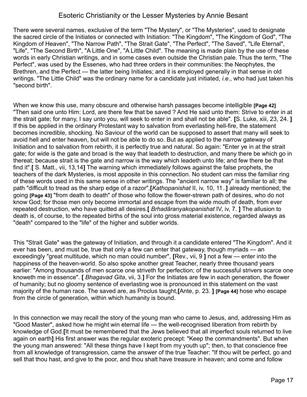There were several names, exclusive of the term "The Mystery", or "The Mysteries", used to designate the sacred circle of the Initiates or connected with Initiation: "The Kingdom", "The Kingdom of God", "The Kingdom of Heaven", "The Narrow Path", "The Strait Gate", "The Perfect", "The Saved", "Life Eternal", "Life", "The Second Birth", "A Little One", "A Little Child". The meaning is made plain by the use of these words in early Christian writings, and in some cases even outside the Christian pale. Thus the term, "The Perfect", was used by the Essenes, who had three orders in their communities: the Neophytes, the Brethren, and the Perfect — the latter being Initiates; and it is employed generally in that sense in old writings. "The Little Child" was the ordinary name for a candidate just initiated, *i.e*., who had just taken his "second birth".

When we know this use, many obscure and otherwise harsh passages become intelligible **[Page 42]** "Then said one unto Him: Lord, are there few that be saved ? And He said unto them: Strive to enter in at the strait gate; for many, I say unto you, will seek to enter in and shall not be able". **[**S. Luke, xiii, 23, 24. **]** If this be applied in the ordinary Protestant way to salvation from everlasting hell-fire, the statement becomes incredible, shocking. No Saviour of the world can be supposed to assert that many will seek to avoid hell and enter heaven, but will not be able to do so. But as applied to the narrow gateway of Initiation and to salvation from rebirth, it is perfectly true and natural. So again: "Enter ye in at the strait gate; for wide is the gate and broad is the way that leadeth to destruction, and many there be which go in thereat; because strait is the gate and narrow is the way which leadeth unto life; and few there be that find it".**[** S. Matt., vii, 13,14**]** The warning which immediately follows against the false prophets, the teachers of the dark Mysteries, is most apposite in this connection. No student can miss the familiar ring of these words used in this same sense in other writings. The "ancient narrow way" is familiar to all; the path "difficult to tread as the sharp edge of a razor",**[***Kathopanishat* II, iv, 10, 11..**]** already mentioned; the going **[Page 43]** "from death to death" of those who follow the flower-strewn path of desires, who do not know God; for those men only become immortal and escape from the wide mouth of death, from ever repeated destruction, who have quitted all desires.**[** *Brhadãranyakopanishat* IV, iv, 7. **]** The allusion to death is, of course, to the repeated births of the soul into gross material existence, regarded always as ''death" compared to the "life" of the higher and subtler worlds.

This "Strait Gate" was the gateway of Initiation, and through it a candidate entered "The Kingdom". And it ever has been, and must be, true that only a few can enter that gateway, though myriads — an exceedingly "great multitude, which no man could number", **[**Rev., vii, 9 **]** not a few — enter into the happiness of the heaven-world. So also spoke another great Teacher, nearly three thousand years earlier: "Among thousands of men scarce one striveth for perfection; of the successful strivers scarce one knoweth me in essence". **[** *Bhagavad Gita*, vii, 3.**]** For the Initiates are few in each generation, the flower of humanity; but no gloomy sentence of everlasting woe is pronounced in this statement on the vast majority of the human race. The saved are, as Proclus taught,**[**Ante, p. 23. **] [Page 44]** hose who escape from the circle of generation, within which humanity is bound.

In this connection we may recall the story of the young man who came to Jesus, and, addressing Him as "Good Master", asked how he might win eternal life — the well-recognised liberation from rebirth by knowledge of God.**[**It must be remembered that the Jews believed that all imperfect souls returned to live again on earth**]** His first answer was the regular exoteric precept: "Keep the commandments". But when the young man answered: "All these things have I kept from my youth up"; then, to that conscience free from all knowledge of transgression, came the answer of the true Teacher: "If thou wilt be perfect, go and sell that thou hast, and give to the poor, and thou shalt have treasure in heaven; and come and follow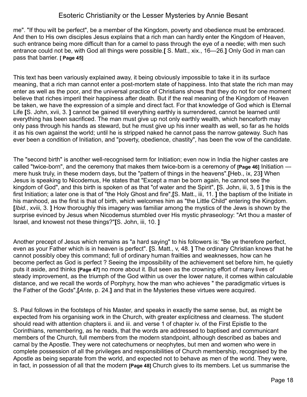me". "If thou wilt be perfect", be a member of the Kingdom, poverty and obedience must be embraced. And then to His own disciples Jesus explains that a rich man can hardly enter the Kingdom of Heaven, such entrance being more difficult than for a camel to pass through the eye of a needle; with men such entrance could not be, with God all things were possible.**[** S. Matt., xix., 16—26.**]** Only God in man can pass that barrier. **[ Page 45]**

This text has been variously explained away, it being obviously impossible to take it in its surface meaning, that a rich man cannot enter a post-mortem state of happiness. Into that state the rich man may enter as well as the poor, and the universal practice of Christians shows that they do not for one moment believe that riches imperil their happiness after death. But if the real meaning of the Kingdom of Heaven be taken, we have the expression of a simple and direct fact. For that knowledge of God which is Eternal Life **[**S. John, xvii, 3. **]** cannot be gained till everything earthly is surrendered, cannot be learned until everything has been sacrificed. The man must give up not only earthly wealth, which henceforth may only pass through his hands as steward, but he must give up his inner wealth as well, so far as he holds it as his own against the world; until he is stripped naked he cannot pass the narrow gateway. Such has ever been a condition of Initiation, and "poverty, obedience, chastity", has been the vow of the candidate.

The "second birth" is another well-recognised term for Initiation; even now in India the higher castes are called "twice-born", and the ceremony that makes them twice-born is a ceremony of **[Page 46]** Initiation mere husk truly, in these modern days, but the "pattern of things in the heavens".**[**Heb., ix, 23**]** When Jesus is speaking to Nicodemus, He states that "Except a man be born again, he cannot see the kingdom of God", and this birth is spoken of as that "of water and the Spirit", **[**S. John, iii, 3, 5 **]** this is the first Initiation; a later one is that of "the Holy Ghost and fire",**[**S. Matt., iii, 11. **]** the baptism of the Initiate in his manhood, as the first is that of birth, which welcomes him as "the Little Child" entering the Kingdom. **[***Ibid.*, xviii, 3. **]** How thoroughly this imagery was familiar among the mystics of the Jews is shown by the surprise evinced by Jesus when Nicodemus stumbled over His mystic phraseology: "Art thou a master of Israel, and knowest not these things?"**[**S. John, iii, 10. **]**

Another precept of Jesus which remains as "a hard saying" to his followers is: "Be ye therefore perfect, even as your Father which is in heaven is perfect". **[**S. Matt., v, 48. **]** The ordinary Christian knows that he cannot possibly obey this command; full of ordinary human frailties and weaknesses, how can he become perfect as God is perfect ? Seeing the impossibility of the achievement set before him, he quietly puts it aside, and thinks **[Page 47]** no more about it. But seen as the crowning effort of many lives of steady improvement, as the triumph of the God within us over the lower nature, it comes within calculable distance, and we recall the words of Porphyry, how the man who achieves " the paradigmatic virtues is the Father of the Gods",**[***Ante*, p. 24.**]** and that in the Mysteries these virtues were acquired.

S. Paul follows in the footsteps of his Master, and speaks in exactly the same sense, but, as might be expected from his organising work in the Church, with greater explicitness and clearness. The student should read with attention chapters ii. and iii. and verse 1 of chapter iv. of the First Epistle to the Corinthians, remembering, as he reads, that the words are addressed to baptised and communicant members of the Church, full members from the modern standpoint, although described as babes and carnal by the Apostle. They were not catechumens or neophytes, but men and women who were in complete possession of all the privileges and responsibilities of Church membership, recognised by the Apostle as being separate from the world, and expected not to behave as men of the world. They were, in fact, in possession of all that the modern **[Page 48]** Church gives to its members. Let us summarise the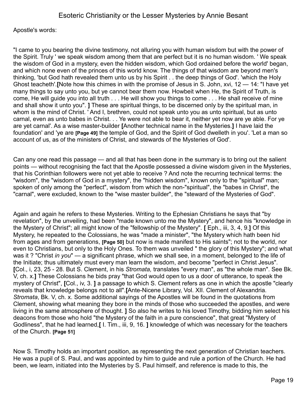Apostle's words:

"I came to you bearing the divine testimony, not alluring you with human wisdom but with the power of the Spirit. Truly ' we speak wisdom among them that are perfect but it is no human wisdom. ' We speak the wisdom of God in a mystery, even the hidden wisdom, which God ordained before the world' began, and which none even of the princes of this world know. The things of that wisdom are beyond men's thinking, 'but God hath revealed them unto us by his Spirit . . the deep things of God'. 'which the Holy Ghost teacheth'.**[**Note how this chimes in with the promise of Jesus in S. John, xvi, 12 — 14: "I have yet many things to say unto you, but ye cannot bear them now. Howbeit when He, the Spirit of Truth, is come, He will guide you into all truth . . . He will show you things to come . . . He shall receive of mine and shall show it unto you". **]** These are spiritual things, to be discerned only by the spiritual man, in whom is the mind of Christ. ' And I, brethren, could not speak unto you as unto spiritual, but as unto carnal, even as unto babes in Christ. . . Ye were not able to bear it, neither yet now are ye able. For ye are yet carnal'. As a wise master-builder **[**Another technical name in the Mysteries.**]** I have laid the foundation' and 'ye are **[Page 49]** the temple of God, and the Spirit of God dwelleth in you'. 'Let a man so account of us, as of the ministers of Christ, and stewards of the Mysteries of God'.

Can any one read this passage — and all that has been done in the summary is to bring out the salient points — without recognising the fact that the Apostle possessed a divine wisdom given in the Mysteries, that his Corinthian followers were not yet able to receive ? And note the recurring technical terms: the "wisdom", the "wisdom of God in a mystery", the "hidden wisdom", known only to the "spiritual" man; spoken of only among the "perfect", wisdom from which the non-"spiritual", the "babes in Christ", the "carnal", were excluded, known to the "wise master builder", the "steward of the Mysteries of God".

Again and again he refers to these Mysteries. Writing to the Ephesian Christians he says that "by revelation", by the unveiling, had been "made known unto me the Mystery", and hence his "knowledge in the Mystery of Christ"; all might know of the "fellowship of the Mystery". **[** Eph., iii, 3, 4, 9.**]** Of this Mystery, he repeated to the Colossians, he was "made a minister", "the Mystery which hath been hid from ages and from generations, **[Page 50]** but now is made manifest to His saints"; not to the world, nor even to Christians, but only to the Holy Ones. To them was unveiled " the glory of this Mystery"; and what was it ? "Christ *in you*" — a significant phrase, which we shall see, in a moment, belonged to the life of the Initiate; thus ultimately must every man learn the wisdom, and become "perfect in Christ Jesus". **[**Col., i, 23, 25 - 28. But S. Clement, in his *Stromata,* translates "every man", as "the whole man". See Bk. V, ch. x.**]** These Colossians he bids pray "that God would open to us a door of utterance, to speak the mystery of Christ", **[**Col., iv, 3. **]** a passage to which S. Clement refers as one in which the apostle "clearly reveals that knowledge belongs not to all".**[**Ante-Nicene Library, Vol. XII. Clement of Alexandria. *Stromata*, Bk. V, ch. x. Some additional sayings of the Apostles will be found in the quotations from Clement, showing what meaning they bore in the minds of those who succeeded the apostles, and were living in the same atmosphere of thought. **]** So also he writes to his loved Timothy, bidding him select his deacons from those who hold "the Mystery of the faith in a pure conscience", that great "Mystery of Godliness", that he had learned,**[** I. Tim., iii, 9, 16. **]** knowledge of which was necessary for the teachers of the Church. **[Page 51]** 

Now S. Timothy holds an important position, as representing the next generation of Christian teachers. He was a pupil of S. Paul, and was appointed by him to guide and rule a portion of the Church. He had been, we learn, initiated into the Mysteries by S. Paul himself, and reference is made to this, the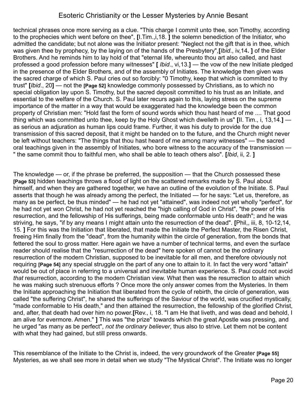technical phrases once more serving as a clue. "This charge I commit unto thee, son Timothy, according to the prophecies which went before on thee", **[**I.Tim.,i,18. **]** the solemn benediction of the Initiator, who admitted the candidate; but not alone was the Initiator present: "Neglect not the gift that is in thee, which was given thee by prophecy, by the laying on of the hands of the Presbytery",**[***Ibid*., iv,14**. ]** of the Elder Brothers. And he reminds him to lay hold of that "eternal life, whereunto thou art also called, and hast professed a good profession before many witnesses" **[** *Ibid*., vi,13.**]** — the vow of the new Initiate pledged in the presence of the Elder Brothers, and of the assembly of Initiates. The knowledge then given was the sacred charge of which S. Paul cries out so forcibly: "0 Timothy, keep that which is committed to thy trust" **[***Ibid*., 20**]** — not the **[Page 52]** knowledge commonly possessed by Christians, as to which no special obligation lay upon S. Timothy, but the sacred deposit committed to his trust as an Initiate, and essential to the welfare of the Church. S. Paul later recurs again to this, laying stress on the supreme importance of the matter in a way that would be exaggerated had the knowledge been the common property of Christian men: "Hold fast the form of sound words which thou hast heard of me .... That good thing which was committed unto thee, keep by the Holy Ghost which dwelleth in us" **[**II. Tim., i, 13,14.**]** as serious an adjuration as human lips could frame. Further, it was his duty to provide for the due transmission of this sacred deposit, that it might be handed on to the future, and the Church might never be left without teachers: "The things that thou hast heard of me among many witnesses" — the sacred oral teachings given in the assembly of Initiates, who bore witness to the accuracy of the transmission — " the same commit thou to faithful men, who shall be able to teach others also". **[***Ibid*, ii, 2. **]**

The knowledge — or, if the phrase be preferred, the supposition — that the Church possessed these **[Page 53]** hidden teachings throws a flood of light on the scattered remarks made by S. Paul about himself, and when they are gathered together, we have an outline of the evolution of the Initiate. S. Paul asserts that though he was already among the perfect, the Initiated — for he says: "Let us, therefore, as many as be perfect, be thus minded" — he had not yet "attained", was indeed not yet wholly "perfect", for he had not yet won Christ, he had not yet reached the "high calling of God in Christ", "the power of His resurrection, and the fellowship of His sufferings, being made conformable unto His death"; and he was striving, he says, "if by any means I might attain unto the resurrection of the dead". **[**Phil,, iii, 8, 10-12,14, 15. **]** For this was the Initiation that liberated, that made the Initiate the Perfect Master, the Risen Christ, freeing Him finally from the "dead", from the humanity within the circle of generation, from the bonds that fettered the soul to gross matter. Here again we have a number of technical terms, and even the surface reader should realise that the "resurrection of the dead" here spoken of cannot be the ordinary resurrection of the modern Christian, supposed to be inevitable for all men, and therefore obviously not requiring **[Page 54]** any special struggle on the part of any one to attain to it. In fact the very word "attain" would be out of place in referring to a universal and inevitable human experience. S. Paul could not avoid *that* resurrection, according to the modern Christian view. What then was the resurrection to attain which he was making such strenuous efforts ? Once more the only answer comes from the Mysteries. In them the Initiate approaching the Initiation that liberated from the cycle of rebirth, the circle of generation, was called "the suffering Christ", he shared the sufferings of the Saviour of the world, was crucified mystically, "made conformable to His death," and then attained the resurrection, the fellowship of the glorified Christ, and, after, that death had over him no power.**[**Rev., i, 18. "I am He that liveth, and was dead and behold, I am alive for evermore. Amen." **]** This was "the prize" towards which the great Apostle was pressing, and he urged "as many as be perfect", *not the ordinary believer*, thus also to strive. Let them not be content with what they had gained, but still press onwards.

This resemblance of the Initiate to the Christ is, indeed, the very groundwork of the Greater **[Page 55]** Mysteries, as we shall see more in detail when we study "The Mystical Christ". The Initiate was no longer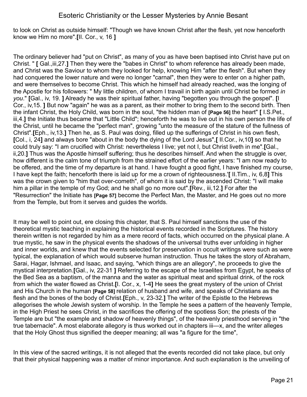to look on Christ as outside himself: "Though we have known Christ after the flesh, yet now henceforth know we Him no more".**[**II. Cor., v, 16 **]**

The ordinary believer had "put on Christ", as many of you as have been baptised into Christ have put on Christ. " **[** Gal.,iii,27.**]** Then they were the "babes in Christ" to whom reference has already been made, and Christ was the Saviour to whom they looked for help, knowing Him "after the flesh". But when they had conquered the lower nature and were no longer "carnal", then they were to enter on a higher path, and were themselves to become Christ. This which he himself had already reached, was the longing of the Apostle for his followers: " My little children, of whom I travail in birth again until Christ be formed *in you*." **[**Gal., iv, 19. **]** Already he was their spiritual father, having "begotten you through the gospel". **[**I Cor., iv,15. **]** But now "again" he was as a parent, as their mother to bring them to the second birth. Then the infant Christ, the Holy Child, was born in the soul, "the hidden man of **[Page 56]** the heart" **[** I.S.Pet., iii,4.**]** the Initiate thus became that "Little Child"; henceforth he was to live out in his own person the life of the Christ, until he became the "perfect man", growing "unto the measure of the stature of the fullness of Christ".**[**Eph., iv,13.**]** Then he, as S. Paul was doing, filled up the sufferings of Christ in his own flesh, **[**Col., i, 24**]** and always bore "about in the body the dying of the Lord Jesus",**[** II.Cor., iv,10**]** so that he could truly say: "I am crucified with Christ: nevertheless I live; yet not I, but Christ liveth in me".**[**Gal., ii,20.**]** Thus was the Apostle himself suffering; thus he describes himself. And when the struggle is over, how different is the calm tone of triumph from the strained effort of the earlier years: "I am now ready to be offered, and the time of my departure is at hand. I have fought a good fight, I have finished my course, I have kept the faith; henceforth there is laid up for me a crown of righteousness.'**[** II.Tim., iv, 6,8**]** This was the crown given to "him that over-cometh", of whom it is said by the ascended Christ: "I will make him a pillar in the temple of my God; and he shall go no more out".**[**Rev., iii,12.**]** For after the "Resurrection" the Initiate has **[Page 57]** become the Perfect Man, the Master, and He goes out no more from the Temple, but from it serves and guides the worlds.

It may be well to point out, ere closing this chapter, that S. Paul himself sanctions the use of the theoretical mystic teaching in explaining the historical events recorded in the Scriptures. The history therein written is not regarded by him as a mere record of facts, which occurred on the physical plane. A true mystic, he saw in the physical events the shadows of the universal truths ever unfolding in higher and inner worlds, and knew that the events selected for preservation in occult writings were such as were typical, the explanation of which would subserve human instruction. Thus he takes the story of Abraham, Sarai, Hagar, Ishmael, and Isaac, and saying, "which things are an allegory", he proceeds to give the mystical interpretation.**[**Gal., iv, 22-31 **]** Referring to the escape of the Israelites from Egypt, he speaks of the Bed Sea as a baptism, of the manna and the water as spiritual meat and spiritual drink, of the rock from which the water flowed as Christ.**[**I. Cor., x, 1-4**]** He sees the great mystery of the union of Christ and His Church in the human **[Page 58]** relation of husband and wife, and speaks of Christians as the flesh and the bones of the body of Christ.**[**Eph., v, 23-32.**]** The writer of the Epistle to the Hebrews allegorises the whole Jewish system of worship. In the Temple he sees a pattern of the heavenly Temple, in the High Priest he sees Christ, in the sacrifices the offering of the spotless Son; the priests of the Temple are but "the example and shadow of heavenly things", of the heavenly priesthood serving in "the true tabernacle". A most elaborate allegory is thus worked out in chapters iii—x, and the writer alleges that the Holy Ghost thus signified the deeper meaning; all was "a figure for the time",

In this view of the sacred writings, it is not alleged that the events recorded did not take place, but only that their physical happening was a matter of minor importance. And such explanation is the unveiling of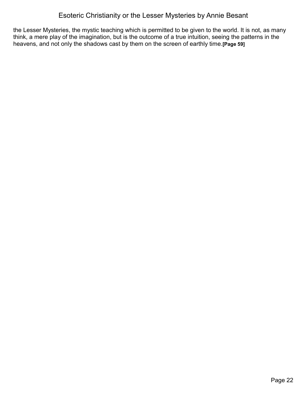the Lesser Mysteries, the mystic teaching which is permitted to be given to the world. It is not, as many think, a mere play of the imagination, but is the outcome of a true intuition, seeing the patterns in the heavens, and not only the shadows cast by them on the screen of earthly time.**[Page 59]**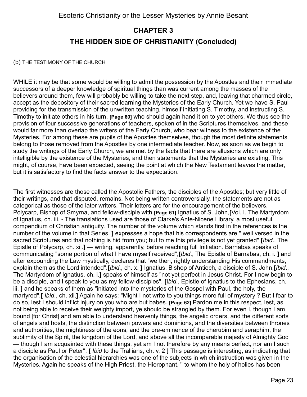# <span id="page-22-0"></span>**CHAPTER 3 THE HIDDEN SIDE OF CHRISTIANITY (Concluded)**

#### (b) THE TESTIMONY OF THE CHURCH

WHILE it may be that some would be willing to admit the possession by the Apostles and their immediate successors of a deeper knowledge of spiritual things than was current among the masses of the believers around them, few will probably be willing to take the next step, and, leaving that charmed circle, accept as the depository of their sacred learning the Mysteries of the Early Church. Yet we have S. Paul providing for the transmission of the unwritten teaching, himself initiating S. Timothy, and instructing S. Timothy to initiate others in his turn, **[Page 60]** who should again hand it on to yet others. We thus see the provision of four successive generations of teachers, spoken of in the Scriptures themselves, and these would far more than overlap the writers of the Early Church, who bear witness to the existence of the Mysteries. For among these are pupils of the Apostles themselves, though the most definite statements belong to those removed from the Apostles by one intermediate teacher. Now, as soon as we begin to study the writings of the Early Church, we are met by the facts that there are allusions which are only intelligible by the existence of the Mysteries, and then statements that the Mysteries are existing. This might, of course, have been expected, seeing the point at which the New Testament leaves the matter, but it is satisfactory to find the facts answer to the expectation.

The first witnesses are those called the Apostolic Fathers, the disciples of the Apostles; but very little of their writings, and that disputed, remains. Not being written controversially, the statements are not as categorical as those of the later writers. Their letters are for the encouragement of the believers. Polycarp, Bishop of Smyrna, and fellow-disciple with **[Page 61]** Ignatius of S. John,**[**Vol. I. The Martyrdom of Ignatius, ch. iii. - The translations used are those of Clarke's Ante-Nicene Library, a most useful compendium of Christian antiquity. The number of the volume which stands first in the references is the number of the volume in that Series. **]** expresses a hope that his correspondents are " well versed in the sacred Scriptures and that nothing is hid from you; but to me this privilege is not yet granted" **[***Ibid*., The Epistle of Polycarp, ch. xii.**]** — writing, apparently, before reaching full Initiation. Barnabas speaks of communicating "some portion of what I have myself received",**[***Ibid*., The Epistle of Barnabas, ch. i. **]** and after expounding the Law mystically, declares that "we then, rightly understanding His commandments, explain them as the Lord intended".**[***Ibid*., ch. x. **]** Ignatius, Bishop of Antioch, a disciple of S. John,**[***Ibid*., The Martyrdom of Ignatius, ch. i.**]** speaks of himself as "not yet perfect in Jesus Christ. For I now begin to be a disciple, and I speak to you as my fellow-disciples", **[**I*bid*., Epistle of Ignatius to the Ephesians, ch. iii. **]** and he speaks of them as "initiated into the mysteries of the Gospel with Paul, the holy, the martyred".**[** *Ibid*., ch. xii.**]** Again he says: "Might I not write to you things more full of mystery ? But I fear to do so, lest I should inflict injury on you who are but babes. **[Page 62]** Pardon me in this respect, lest, as not being able to receive their weighty import, ye should be strangled by them. For even I, though I am bound [for Christ] and am able to understand heavenly things, the angelic orders, and the different sorts of angels and hosts, the distinction between powers and dominions, and the diversities between thrones and authorities, the mightiness of the eons, and the pre-eminence of the cherubim and seraphim, the sublimity of the Spirit, the kingdom of the Lord, and above all the incomparable majesty of Almighty God — though I am acquainted with these things, yet am I not therefore by any means perfect, nor am I such a disciple as Paul or Peter". **[** *Ibid* to the Trallians, ch. v. 2 **]** This passage is interesting, as indicating that the organisation of the celestial hierarchies was one of the subjects in which instruction was given in the Mysteries. Again he speaks of the High Priest, the Hierophant, '' to whom the holy of holies has been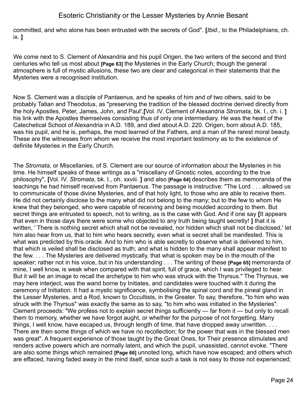committed, and who alone has been entrusted with the secrets of God". **[***Ibid*., to the Philadelphians, ch. ix. **]**

We come next to S. Clement of Alexandria and his pupil Origen, the two writers of the second and third centuries who tell us most about **[Page 63]** the Mysteries in the Early Church; though the general atmosphere is full of mystic allusions, these two are clear and categorical in their statements that the Mysteries were a recognised institution.

Now S. Clement was a disciple of Pantaenus, and he speaks of him and of two others, said to be probably Tatian and Theodotus, as "preserving the tradition of the blessed doctrine derived directly from the holy Apostles, Peter, James, John, and Paul',**[**Vol. IV. Clement of Alexandria *Stromata,* bk. I., ch. i. **]** his link with the Apostles themselves consisting thus of only one intermediary. He was the head of the Catechetical School of Alexandria in A.D. 189, and died about A.D. 220. Origen, born about A.D. 185, was his pupil, and he is, perhaps, the most learned of the Fathers, and a man of the rarest moral beauty. These are the witnesses from whom we receive the most important testimony as to the existence of definite Mysteries in the Early Church.

The *Stromata,* or Miscellanies, of S. Clement are our source of information about the Mysteries in his time. He himself speaks of these writings as a "miscellany of Gnostic notes, according to the true philosophy", **[**Vol. IV. *Stromata*, bk. I., oh. xxviii. **]** and also **[Page 64]** describes them as memoranda of the teachings he had himself received from Pantaenus. The passage is instructive: "The Lord . . . allowed us to communicate of those divine Mysteries, and of that holy light, to those who are able to receive them. He did not certainly disclose to the many what did not belong to the many; but to the few to whom He knew that they belonged, who were capable of receiving and being moulded according to them. But secret things are entrusted to speech, not to writing, as is the case with God. And if one say **[**It appears that even in those days there were some who objected to any truth being taught secretly! **]** that it is written, ' There is nothing secret which shall not be revealed, nor hidden which shall not be disclosed,' let him also hear from us, that to him who hears secretly, even what is secret shall be manifested. This is what was predicted by this oracle. And to him who is able secretly to observe what is delivered to him, that which is veiled shall be disclosed as truth; and what is hidden to the many shall appear manifest to the few. . . . The Mysteries are delivered mystically, that what is spoken may be in the mouth of the speaker; rather not in his voice, but in his understanding . . . The writing of these **[Page 65]** memoranda of mine, I well know, is weak when compared with that spirit, full of grace, which I was privileged to hear. But it will be an image to recall the archetype to him who was struck with the Thyrsus." The Thyrsus, we may here interject, was the wand borne by Initiates, and candidates were touched with it during the ceremony of Initiation. It had a mystic significance, symbolising the spinal cord and the pineal gland in the Lesser Mysteries, and a Rod, known to Occultists, in the Greater. To say, therefore, "to him who was struck with the Thyrsus" was exactly the same as to say, "to him who was initiated in the Mysteries". Clement proceeds: "We profess not to explain secret things sufficiently — far from it — but only to recall them to memory, whether we have forgot aught, or whether for the purpose of not forgetting. Many things, I well know, have escaped us, through length of time, that have dropped away unwritten. . . . There are then some things of which we have no recollection; for the power that was in the blessed men was great". A frequent experience of those taught by the Great Ones, for Their presence stimulates and renders active powers which are normally latent, and which the pupil, unassisted, cannot evoke. "There are also some things which remained **[Page 66]** unnoted long, which have now escaped; and others which are effaced, having faded away in the mind itself, since such a task is not easy to those not experienced;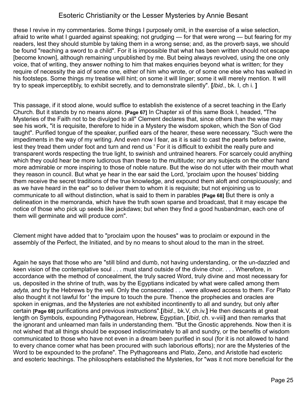these I revive in my commentaries. Some things I purposely omit, in the exercise of a wise selection, afraid to write what I guarded against speaking; not grudging — for that were wrong — but fearing for my readers, lest they should stumble by taking them in a wrong sense; and, as the proverb says, we should be found "reaching a sword to a child". For it is impossible that what has been written should not escape [become known], although remaining unpublished by me. But being always revolved, using the one only voice, that of writing, they answer nothing to him that makes enquiries beyond what is written; for they require of necessity the aid of some one, either of him who wrote, or of some one else who has walked in his footsteps. Some things my treatise will hint; on some it will linger; some it will merely mention. It will try to speak imperceptibly, to exhibit secretly, and to demonstrate silently". **[***Ibid*., bk. I, ch i. **]**

This passage, if it stood alone, would suffice to establish the existence of a secret teaching in the Early Church. But it stands by no means alone. **[Page 67]** In Chapter xii of this same Book I, headed, "The Mysteries of the Faith not to be divulged to all" Clement declares that, since others than the wise may see his work, "it is requisite, therefore to hide in a Mystery the wisdom spoken, which the Son of God taught". Purified tongue of the speaker, purified ears of the hearer, these were necessary. "Such were the impediments in the way of my writing. And even now I fear, as it is said to cast the pearls before swine, lest they tread them under foot and turn and rend us ' For it is difficult to exhibit the really pure and transparent words respecting the true light, to swinish and untrained hearers. For scarcely could anything which they could hear be more ludicrous than these to the multitude; nor any subjects on the other hand more admirable or more inspiring to those of noble nature. But the wise do not utter with their mouth what they reason in council. But what ye hear in the ear said the Lord, 'proclaim upon the houses' bidding them receive the secret traditions of the true knowledge, and expound them aloft and conspicuously; and as we have heard in the ear" so to deliver them to whom it is requisite; but not enjoining us to communicate to all without distinction, what is said to them in parables **[Page 68]** But there is only a delineation in the memoranda, which have the truth sown sparse and broadcast, that it may escape the notice of those who pick up seeds like jackdaws; but when they find a good husbandman, each one of them will germinate and will produce corn".

Clement might have added that to "proclaim upon the houses" was to proclaim or expound in the assembly of the Perfect, the Initiated, and by no means to shout aloud to the man in the street.

Again he says that those who are "still blind and dumb, not having understanding, or the un-dazzled and keen vision of the contemplative soul . . . must stand outside of the divine choir. . . . Wherefore, in accordance with the method of concealment, the truly sacred Word, truly divine and most necessary for us, deposited in the shrine of truth, was by the Egyptians indicated by what were called among them *adyta,* and by the Hebrews by the veil. Only the consecrated . . . were allowed access to them. For Plato also thought it not lawful for ' the impure to touch the pure. Thence the prophecies and oracles are spoken in enigmas, and the Mysteries are not exhibited incontinently to all and sundry, but only after certain **[Page 69]** purifications and previous instructions".**[***Ibid*., bk.V, ch.iv.**]** He then descants at great length on Symbols, expounding Pythagorean, Hebrew, Egyptian, **[***Ibid*, ch. v-viii**]** and then remarks that the ignorant and unlearned man fails in understanding them. "But the Gnostic apprehends. Now then it is not wished that all things should be exposed indiscriminately to all and sundry, or the benefits of wisdom communicated to those who have not even in a dream been purified in soul (for it is not allowed to hand to every chance comer what has been procured with such laborious efforts); nor are the Mysteries of the Word to be expounded to the profane". The Pythagoreans and Plato, Zeno, and Aristotle had exoteric and esoteric teachings. The philosophers established the Mysteries, for "was it not more beneficial for the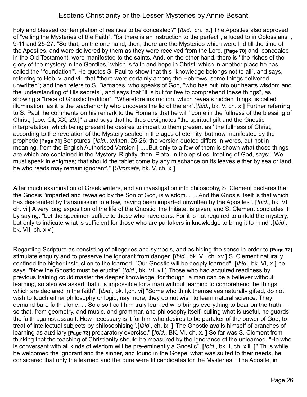holy and blessed contemplation of realities to be concealed?" **[***Ibid*., ch. ix.**]** The Apostles also approved of "veiling the Mysteries of the Faith", "for there is an instruction to the perfect", alluded to in Colossians i, 9-11 and 25-27. "So that, on the one hand, then, there are the Mysteries which were hid till the time of the Apostles, and were delivered by them as they were received from the Lord, **[Page 70]** and, concealed in the Old Testament, were manifested to the saints. And, on the other hand, there is ' the riches of the glory of the mystery in the Gentiles,' which is faith and hope in Christ; which in another place he has called the ' foundation'". He quotes S. Paul to show that this "knowledge belongs not to all", and says, referring to Heb. v. and vi., that "there were certainly among the Hebrews, some things delivered unwritten"; and then refers to S. Barnabas, who speaks of God, "who has put into our hearts wisdom and the understanding of His secrets", and says that "it is but for few to comprehend these things", as showing a "trace of Gnostic tradition". "Wherefore instruction, which reveals hidden things, is called illumination, as it is the teacher only who uncovers the lid of the ark".**[***Ibid*., bk. V, ch. x **]** Further referring to S. Paul, he comments on his remark to the Romans that he will "come in the fullness of the blessing of Christ, **[**Loc. Cit, XX, 29.**]**" a and says that he thus designates "the spiritual gift and the Gnostic interpretation, which being present he desires to impart to them present as ' the fullness of Christ, according to the revelation of the Mystery sealed in the ages of eternity, but now manifested by the prophetic **[Page 71]** Scriptures' **[***Ibid*., xvi;ten, 25-26; the version quoted differs in words, but not in meaning, from the English Authorised Version **]** .....But only to a few of them is shown what those things are which are contained in the Mystery. Rightly, then, Plato, in the epistles, treating of God, says: ' We must speak in enigmas; that should the tablet come by any mischance on its leaves either by sea or land, he who reads may remain ignorant'." **[***Stromata*, bk. V, ch. x **]** 

After much examination of Greek writers, and an investigation into philosophy, S. Clement declares that the Gnosis "imparted and revealed by the Son of God, is wisdom. . . . And the Gnosis itself is that which has descended by transmission to a few, having been imparted unwritten by the Apostles". **[***Ibid*., bk. VI, ch. vii**]** A very long exposition of the life of the Gnostic, the Initiate, is given, and S. Clement concludes it by saying: "Let the specimen suffice to those who have ears. For it is not required to unfold the mystery, but only to indicate what is sufficient for those who are partakers in knowledge to bring it to mind".**[***Ibid*., bk. VII, ch. xiv.**]** 

Regarding Scripture as consisting of allegories and symbols, and as hiding the sense in order to **[Page 72]** stimulate enquiry and to preserve the ignorant from danger. **[***Ibid.*, bk. VI, ch. xv.**]** S. Clement naturally confined the higher instruction to the learned. "Our Gnostic will be deeply learned", **[***Ibid.*, bk. VI, x **]** he says. "Now the Gnostic must be erudite".**[***Ibid*., bk. VI, vii **]** Those who had acquired readiness by previous training could master the deeper knowledge, for though "a man can be a believer without learning, so also we assert that it is impossible for a man without learning to comprehend the things which are declared in the faith". **[***Ibid*., bk. I,ch. vi**]** "Some who think themselves naturally gifted, do not wish to touch either philosophy or logic; nay more, they do not wish to learn natural science. They demand bare faith alone. . . So also I call him truly learned who brings everything to bear on the truth so that, from geometry, and music, and grammar, and philosophy itself, culling what is useful, he guards the faith against assault. How necessary is it for him who desires to be partaker of the power of God, to treat of intellectual subjects by philosophising".**[***Ibid*., ch. ix. **]**"The Gnostic avails himself of branches of learning as auxiliary **[Page 73]** preparatory exercise." **[***Ibid*., BK. VI, ch. x. **]** So far was S. Clement from thinking that the teaching of Christianity should be measured by the ignorance of the unlearned. "He who is conversant with all kinds of wisdom will be pre-eminently a Gnostic". **[***Ibid*., bk. I, ch. xiii. **]**" Thus while he welcomed the ignorant and the sinner, and found in the Gospel what was suited to their needs, he considered that only the learned and the pure were fit candidates for the Mysteries. "The Apostle, in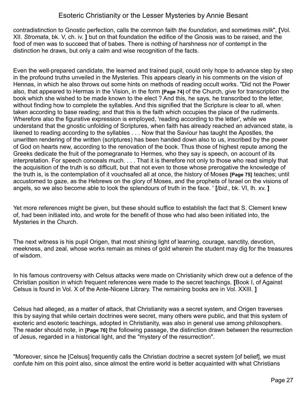contradistinction to Gnostic perfection, calls the common faith *the foundation*, and sometimes *milk*", **[**Vol. XII. *Stromata*, bk. V, ch. iv. **]** but on that foundation the edifice of the Gnosis was to be raised, and the food of men was to succeed that of babes. There is nothing of harshness nor of contempt in the distinction he draws, but only a calm and wise recognition of the facts.

Even the well-prepared candidate, the learned and trained pupil, could only hope to advance step by step in the profound truths unveiled in the Mysteries. This appears clearly in his comments on the vision of Hennas, in which he also throws out some hints on methods of reading occult works. "Did not the Power also, that appeared to Hermas in the Vision, in the form **[Page 74]** of the Church, give for transcription the book which she wished to be made known to the elect ? And this, he says, he transcribed to the letter, without finding how to complete the syllables. And this signified that the Scripture is clear to all, when taken according to base reading; and that this is the faith which occupies the place of the rudiments. Wherefore also the figurative expression is employed, 'reading according to the letter', while we understand that the gnostic unfolding of Scriptures, when faith has already reached an advanced state, is likened to reading according to the syllables . . . Now that the Saviour has taught the Apostles, the unwritten rendering of the written (scriptures) has been handed down also to us, inscribed by the power of God on hearts new, according to the renovation of the book. Thus those of highest repute among the Greeks dedicate the fruit of the pomegranate to Hermes, who they say is speech, on account of its interpretation. For speech conceals much. . . . That it is therefore not only to those who read simply that the acquisition of the truth is so difficult, but that not even to those whose prerogative the knowledge of the truth is, is the contemplation of it vouchsafed all at once, the history of Moses **[Page 75]** teaches; until accustomed to gaze, as the Hebrews on the glory of Moses, and the prophets of Israel on the visions of angels, so we also become able to look the splendours of truth in the face. ' **[***lbid*., bk. VI, lh. xv. **]** 

Yet more references might be given, but these should suffice to establish the fact that S. Clement knew of, had been initiated into, and wrote for the benefit of those who had also been initiated into, the Mysteries in the Church.

The next witness is his pupil Origen, that most shining light of learning, courage, sanctity, devotion, meekness, and zeal, whose works remain as mines of gold wherein the student may dig for the treasures of wisdom.

In his famous controversy with Celsus attacks were made on Christianity which drew out a defence of the Christian position in which frequent references were made to the secret teachings. **[**Book I, of Against Celsus is found in Vol. X of the Ante-Nicene Library. The remaining books are in Vol. XXIII. **]** 

Celsus had alleged, as a matter of attack, that Christianity was a secret system, and Origen traverses this by saying that while certain doctrines were secret, many others were public, and that this system of exoteric and esoteric teachings, adopted in Christianity, was also in general use among philosophers. The reader should note, in **[Page 76]** the following passage, the distinction drawn between the resurrection of Jesus, regarded in a historical light, and the "mystery of the resurrection".

"Moreover, since he [Celsus] frequently calls the Christian doctrine a secret system [of belief], we must confute him on this point also, since almost the entire world is better acquainted with what Christians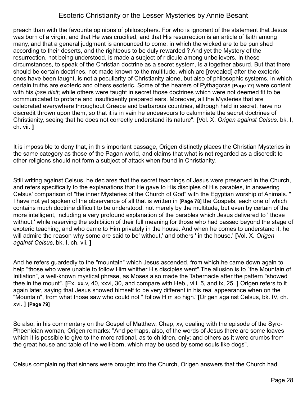preach than with the favourite opinions of philosophers. For who is ignorant of the statement that Jesus was born of a virgin, and that He was crucified, and that His resurrection is an article of faith among many, and that a general judgment is announced to come, in which the wicked are to be punished according to their deserts, and the righteous to be duly rewarded ? And yet the Mystery of the resurrection, not being understood, is made a subject of ridicule among unbelievers. In these circumstances, to speak of the Christian doctrine as a secret system, is altogether absurd. But that there should be certain doctrines, not made known to the multitude, which are [revealed] after the exoteric ones have been taught, is not a peculiarity of Christianity alone, but also of philosophic systems, in which certain truths are exoteric and others esoteric. Some of the hearers of Pythagoras **[Page 77]** were content with his *ipse dixit*; while others were taught in secret those doctrines which were not deemed fit to be communicated to profane and insufficiently prepared ears. Moreover, all the Mysteries that are celebrated everywhere throughout Greece and barbarous countries, although held in secret, have no discredit thrown upon them, so that it is in vain he endeavours to calumniate the secret doctrines of Christianity, seeing that he does not correctly understand its nature". **[**Vol. X. *Origen against Celsus,* bk. I, ch. vii. **]**

It is impossible to deny that, in this important passage, Origen distinctly places the Christian Mysteries in the same category as those of the Pagan world, and claims that what is not regarded as a discredit to other religions should not form a subject of attack when found in Christianity.

Still writing against Celsus, he declares that the secret teachings of Jesus were preserved in the Church, and refers specifically to the explanations that He gave to His disciples of His parables, in answering Celsus' comparison of "the inner Mysteries of the Church of God" with the Egyptian worship of Animals. " I have not yet spoken of the observance of all that is written in **[Page 78]** the Gospels, each one of which contains much doctrine difficult to be understood, not merely by the multitude, but even by certain of the more intelligent, including a very profound explanation of the parables which Jesus delivered to ' those without,' while reserving the exhibition of their full meaning for those who had passed beyond the stage of exoteric teaching, and who came to Him privately in the house. And when he comes to understand it, he will admire the reason why some are said to be' without,' and others ' in the house.' **[**Vol. X. *Origen against Celsus*, bk. I, ch. vii. **]**

And he refers guardedly to the "mountain" which Jesus ascended, from which he came down again to help "those who were unable to follow Him whither His disciples went".The allusion is to "the Mountain of Initiation", a well-known mystical phrase, as Moses also made the Tabernacle after the pattern "showed thee in the mount". **[**Ex. xx.v, 40, xxvi, 30, and compare with Heb., viii, 5, and ix, 25. **]** Origen refers to it again later, saying that Jesus showed himself to be very different in his real appearance when on the "Mountain", from what those saw who could not " follow Him so high."**[**Origen against Celsus, bk. IV, ch. xvi. **] [Page 79]** 

So also, in his commentary on the Gospel of Matthew, Chap, xv, dealing with the episode of the Syro-Phoenician woman, Origen remarks: "And perhaps, also, of the words of Jesus there are some loaves which it is possible to give to the more rational, as to children, only; and others as it were crumbs from the great house and table of the well-born, which may be used by some souls like dogs".

Celsus complaining that sinners were brought into the Church, Origen answers that the Church had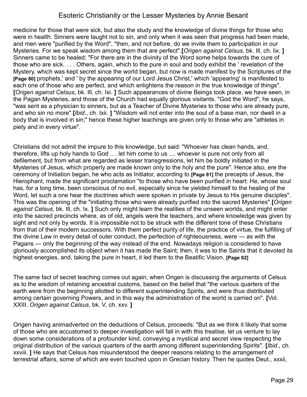medicine for those that were sick, but also the study and the knowledge of divine things for those who were in health. Sinners were taught not to sin, and only when it was seen that progress had been made, and men were "purified by the Word", "then, and not before, do we invite them to participation in our Mysteries. For we speak wisdom among them that are perfect".**[***Origen against Celsus,* bk. Ill, ch. lix. **]** Sinners came to be healed: "For there are in the divinity of the Word some helps towards the cure of those who are sick. . . . Others, again, which to the pure in soul and body exhibit the ' revelation of the Mystery, which was kept secret since the world began, but now is made manifest by the Scriptures of the **[Page 80]** prophets,' and ' by the appearing of our Lord Jesus Christ,' which 'appearing' is manifested to each one of those who are perfect, and which enlightens the reason in the true knowledge of things". **[***Origen against Celsus*, bk. Ill, ch. Ixi. **]** Such appearances of divine Beings took place, we have seen, in the Pagan Mysteries, and those of the Church had equally glorious visitants. "God the Word", he says, "was sent as a physician to sinners, but as a Teacher of Divine Mysteries to those who are already pure, and who sin no more".**[***Ibid*., ch. Ixii. **]** "Wisdom will not enter into the soul of a base man, nor dwell in a body that is involved in sin;" hence these higher teachings are given only to those who are "athletes in piety and in every virtue".

Christians did not admit the impure to this knowledge, but said: "Whoever has clean hands, and, therefore, lifts up holy hands to God .. . let him come to us .... whoever is pure not only from all defilement, but from what are regarded as lesser transgressions, let him be boldly initiated in the Mysteries of Jesus, which properly are made known only to the holy and the pure". Hence also, ere the ceremony of Initiation began, he who acts as Initiator, according to **[Page 81]** the precepts of Jesus, the Hierophant, made the significant proclamation "to those who have been purified in heart: He, whose soul has, for a long time, been conscious of no evil, especially since he yielded himself to the healing of the Word, let such a one hear the doctrines which were spoken in private by Jesus to His genuine disciples". This was the opening of the "initiating those who were already purified into the sacred Mysteries".**[***Origen against Celsus*, bk. Ill, ch. Ix. **]** Such only might learn the realities of the unseen worlds, and might enter into the sacred precincts where, as of old, angels were the teachers, and where knowledge was given by sight and not only by words. It is impossible not to be struck with the different tone of these Christians from that of their modern successors. With them perfect purity of life, the practice of virtue, the fulfilling of the divine Law in every detail of outer conduct, the perfection of righteousness, were — as with the Pagans — only the beginning of the way instead of the end. Nowadays religion is considered to have gloriously accomplished its object when it has made the Saint; then, it was to the Saints that it devoted its highest energies, and, taking the pure in heart, it led them to the Beatific Vision. **[Page 82]** 

The same fact of secret teaching comes out again, when Origen is discussing the arguments of Celsus as to the wisdom of retaining ancestral customs, based on the belief that "the various quarters of the earth were from the beginning allotted to different superintending Spirits, and were thus distributed among certain governing Powers, and in this way the administration of the world is carried on". **[**Vol. XXIII. *Origen against Celsus*, bk. V, ch. xxv. **]**

Origen having animadverted on the deductions of Celsus, proceeds: "But as we think it likely that some of those who are accustomed to deeper investigation will fall in with this treatise, let us venture to lay down some considerations of a profounder kind, conveying a mystical and secret view respecting the original distribution of the various quarters of the earth among different superintending Spirits". **[***Ibid*., ch. xxviii. **]** He says that Celsus has misunderstood the deeper reasons relating to the arrangement of terrestrial affairs, some of which are even touched upon in Grecian history. Then he quotes Deut., xxxii,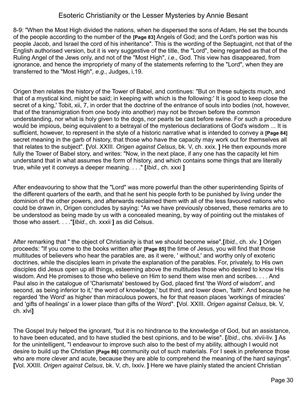8-9: "When the Most High divided the nations, when he dispersed the sons of Adam, He set the bounds of the people according to the number of the **[Page 83]** Angels of God; and the Lord's portion was his people Jacob, and Israel the cord of his inheritance". This is the wording of the Septuagint, not that of the English authorised version, but it is very suggestive of the title, the "Lord", being regarded as that of the Ruling Angel of the Jews only, and not of the "Most High", *i.e*., God. This view has disappeared, from ignorance, and hence the impropriety of many of the statements referring to the "Lord", when they are transferred to the "Most High", *e.g*., Judges, i,19.

Origen then relates the history of the Tower of Babel, and continues: "But on these subjects much, and that of a mystical kind, might be said; in keeping with which is the following:' It is good to keep close the secret of a king,' Tobit, xii, 7, in order that the doctrine of the entrance of souls into bodies (not, however, that of the transmigration from one body into another) may not be thrown before the common understanding, nor what is holy given to the dogs, nor pearls be cast before swine. For such a procedure would be impious, being equivalent to a betrayal of the mysterious declarations of God's wisdom ... It is sufficient, however, to represent in the style of a historic narrative what is intended to convey a **[Page 84]** secret meaning in the garb of history, that those who have the capacity may work out for themselves all that relates to the subject". **[**Vol. XXIII. *Origen against Celsus*, bk. V, ch. xxix. **]** He then expounds more fully the Tower of Babel story, and writes: "Now, in the next place, if any one has the capacity let him understand that in what assumes the form of history, and which contains some things that are literally true, while yet it conveys a deeper meaning. . . ." **[***Ibid*., ch. xxxi **]**

After endeavouring to show that the "Lord" was more powerful than the other superintending Spirits of the different quarters of the earth, and that he sent his people forth to be punished by living under the dominion of the other powers, and afterwards reclaimed them with all of the less favoured nations who could be drawn in, Origen concludes by saying: "As we have previously observed, these remarks are to be understood as being made by us with a concealed meaning, by way of pointing out the mistakes of those who assert. . . ."**[***Ibid*., ch. xxxii **]** as did Celsus.

After remarking that " the object of Christianity is that we should become wise",**[***Ibid*., ch. xlv. **]** Origen proceeds: "If you come to the books written after **[Page 85]** the time of Jesus, you will find that those multitudes of believers who hear the parables are, as it were, ' without,' and worthy only of exoteric doctrines, while the disciples learn in private the explanation of the parables. For, privately, to His own disciples did Jesus open up all things, esteeming above the multitudes those who desired to know His wisdom. And He promises to those who believe on Him to send them wise men and scribes. . . . And Paul also in the catalogue of 'Charismata' bestowed by God, placed first 'the Word of wisdom', and second, as being inferior to it,' the word of knowledge,' but third, and lower down, 'faith'. And because he regarded 'the Word' as higher than miraculous powers, he for that reason places 'workings of miracles' and 'gifts of healings' in a lower place than gifts of the Word". **[**Vol. XXIII. *Origen against Celsus*, bk. V, ch. xlvi**]** 

The Gospel truly helped the ignorant, "but it is no hindrance to the knowledge of God, but an assistance, to have been educated, and to have studied the best opinions, and to be wise". **[***Ibid*., chs. xlvii-liv. **]** As for the unintelligent, "I endeavour to improve such also to the best of my ability, although I would not desire to build up the Christian **[Page 86]** community out of such materials. For I seek in preference those who are more clever and acute, because they are able to comprehend the meaning of the hard sayings". **[**Vol. XXIII. *Origen against Celsus*, bk. V, ch, Ixxiv. **]** Here we have plainly stated the ancient Christian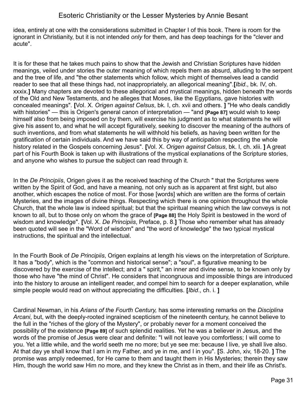idea, entirely at one with the considerations submitted in Chapter I of this book. There is room for the ignorant in Christianity, but it is not intended *only* for them, and has deep teachings for the "clever and acute".

It is for these that he takes much pains to show that the Jewish and Christian Scriptures have hidden meanings, veiled under stories the outer meaning of which repels them as absurd, alluding to the serpent and the tree of life, and "the other statements which follow, which might of themselves lead a candid reader to see that all these things had, not inappropriately, an allegorical meaning".**[***Ibid*., bk. IV, oh. xxxix.**]** Many chapters are devoted to these allegorical and mystical meanings, hidden beneath the words of the Old and New Testaments, and he alleges that Moses, like the Egyptians, gave histories with concealed meanings". **[**Vol. X. *Origen against Celsus*, bk. I, ch. xvii and others. **]** "He who deals candidly with histories" — this is Origen's general canon of interpretation — "and **[Page 87]** would wish to keep himself also from being imposed on by them, will exercise his judgment as to what statements he will give his assent to, and what he will accept figuratively, seeking to discover the meaning of the authors of such inventions, and from what statements he will withhold his beliefs, as having been written for the gratification of certain individuals. And we have said this by way of anticipation respecting the whole history related in the Gospels concerning Jesus". **[**Vol. X. *Origen against Celsus*, bk. I, ch. xlii. **]** A great part of his Fourth Book is taken up with illustrations of the mystical explanations of the Scripture stories, and anyone who wishes to pursue the subject can read through it.

In the *De Principiis*, Origen gives it as the received teaching of the Church " that the Scriptures were written by the Spirit of God, and have a meaning, not only such as is apparent at first sight, but also another, which escapes the notice of most. For those [words] which are written are the forms of certain Mysteries, and the images of divine things. Respecting which there is one opinion throughout the whole Church, that the whole law is indeed spiritual; but that the spiritual meaning which the law conveys is not known to all, but to those only on whom the grace of **[Page 88]** the Holy Spirit is bestowed in the word of wisdom and knowledge". **[**Vol. X. *De Principiis*, Preface, p. 8.**]** Those who remember what has already been quoted will see in the "Word of wisdom" and "the word of knowledge" the two typical mystical instructions, the spiritual and the intellectual.

In the Fourth Book of *De Principiis*, Origen explains at length his views on the interpretation of Scripture. It has a "body", which is the "common and historical sense"; a "soul", a figurative meaning to be discovered by the exercise of the intellect; and a " spirit," an inner and divine sense, to be known only by those who have "the mind of Christ". He considers that incongruous and impossible things are introduced into the history to arouse an intelligent reader, and compel him to search for a deeper explanation, while simple people would read on without appreciating the difficulties. **[***Ibid*., ch. i. **]**

Cardinal Newman, in his *Arians of the Fourth Century,* has some interesting remarks on the *Disciplina Arcani*, but, with the deeply-rooted ingrained scepticism of the nineteenth century, he cannot believe to the full in the "riches of the glory of the Mystery", or probably never for a moment conceived the possibility of the existence **[Page 89]** of such splendid realities. Yet he was a believer in Jesus, and the words of the promise of Jesus were clear and definite: "I will not leave you comfortless; I will come to you. Yet a little while, and the world seeth me no more; but ye see me: because I live, ye shall live also. At that day ye shall know that I am in my Father, and ye in me, and I in you". **[**S. John, xiv, 18-20. **]** The promise was amply redeemed, for He came to them and taught them in His Mysteries; therein they saw Him, though the world saw Him no more, and they knew the Christ as in them, and their life as Christ's.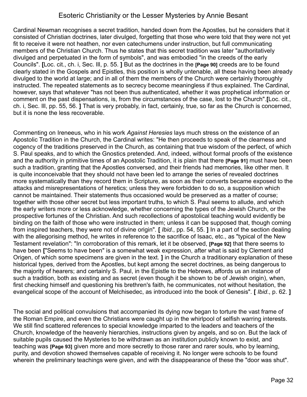Cardinal Newman recognises a secret tradition, handed down from the Apostles, but he considers that it consisted of Christian doctrines, later divulged, forgetting that those who were told that they were not yet fit to receive it were not heathen, nor even catechumens under instruction, but full communicating members of the Christian Church. Thus he states that this secret tradition was later "authoritatively divulged and perpetuated in the form of symbols", and was embodied "in the creeds of the early Councils". **[**Loc. cit., ch. i, Sec. Ill, p. 55. **]** But as the doctrines in the **[Page 90]** creeds are to be found clearly stated in the Gospels and Epistles, this position is wholly untenable, all these having been already divulged to the world at large; and in all of them the members of the Church were certainly thoroughly instructed. The repeated statements as to secrecy become meaningless if thus explained. The Cardinal, however, says that whatever "has not been thus authenticated, whether it was prophetical information or comment on the past dispensations, is, from the circumstances of the case, lost to the Church".**[**Loc. cit., ch. i, Sec. Ill, pp. 55, 56. **]** That is very probably, in fact, certainly, true, so far as the Church is concerned, but it is none the less recoverable.

Commenting on Ireneeus, who in his work *Against Heresies* lays much stress on the existence of an Apostolic Tradition in the Church, the Cardinal writes: "He then proceeds to speak of the clearness and cogency of the traditions preserved in the Church, as containing that true wisdom of the perfect, of which S. Paul speaks, and to which the Gnostics pretended. And, indeed, without formal proofs of the existence and the authority in primitive times of an Apostolic Tradition, it is plain that there **[Page 91]** must have been such a tradition, granting that the Apostles conversed, and their friends had memories, like other men. It is quite inconceivable that they should not have been led to arrange the series of revealed doctrines more systematically than they record them in Scripture, as soon as their converts became exposed to the attacks and misrepresentations of heretics; unless they were forbidden to do so, a supposition which cannot be maintained. Their statements thus occasioned would be preserved as a matter of course; together with those other secret but less important truths, to which S. Paul seems to allude, and which the early writers more or less acknowledge, whether concerning the types of the Jewish Church, or the prospective fortunes of the Christian. And such recollections of apostolical teaching would evidently be binding on the faith of those who were instructed in them; unless it can be supposed that, though coming from inspired teachers, they were not of divine origin". **[** *Ibid*., pp. 54, 55. **]** In a part of the section dealing with the allegorising method, he writes in reference to the sacrifice of Isaac, etc., as "typical of the New Testament revelation": "In corroboration of this remark, let it be observed, **[Page 92]** that there seems to have been **[**"Seems to have been" is a somewhat weak expression, after what is said by Clement arid Origen, of which some specimens are given in the text. **]** in the Church a traditionary explanation of these historical types, derived from the Apostles, but kept among the secret doctrines, as being dangerous to the majority of hearers; and certainly S. Paul, in the Epistle to the Hebrews, affords us an instance of such a tradition, both as existing and as secret (even though it be shown to be of Jewish origin), when, first checking himself and questioning his brethren's faith, he communicates, not without hesitation, the evangelical scope of the account of Melchisedec, as introduced into the book of Genesis". **[** *Ibid*., p. 62. **]**

The social and political convulsions that accompanied its dying now began to torture the vast frame of the Roman Empire, and even the Christians were caught up in the whirlpool of selfish warring interests. We still find scattered references to special knowledge imparted to the leaders and teachers of the Church, knowledge of the heavenly hierarchies, instructions given by angels, and so on. But the lack of suitable pupils caused the Mysteries to be withdrawn as an institution publicly known to exist, and teaching was **[Page 93]** given more and more secretly to those rarer and rarer souls, who by learning, purity, and devotion showed themselves capable of receiving it. No longer were schools to be found wherein the preliminary teachings were given, and with the disappearance of these the "door was shut".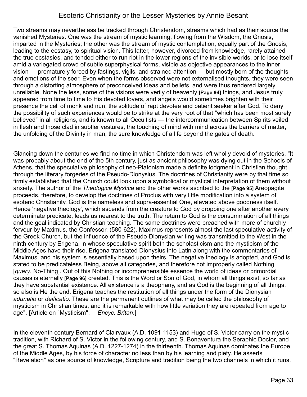Two streams may nevertheless be tracked through Christendom, streams which had as their source the vanished Mysteries. One was the stream of mystic learning, flowing from the Wisdom, the Gnosis, imparted in the Mysteries; the other was the stream of mystic contemplation, equally part of the Gnosis, leading to the ecstasy, to spiritual vision. This latter, however, divorced from knowledge, rarely attained the true ecstasies, and tended either to run riot in the lower regions of the invisible worlds, or to lose itself amid a variegated crowd of subtle superphysical forms, visible as objective appearances to the inner vision — prematurely forced by fastings, vigils, and strained attention — but mostly born of the thoughts and emotions of the seer. Even when the forms observed were not externalised thoughts, they were seen through a distorting atmosphere of preconceived ideas and beliefs, and were thus rendered largely unreliable. None the less, some of the visions were verily of heavenly **[Page 94]** things, and Jesus truly appeared from time to time to His devoted lovers, and angels would sometimes brighten with their presence the cell of monk and nun, the solitude of rapt devotee and patient seeker after God. To deny the possibility of such experiences would be to strike at the very root of that "which has been most surely believed" in all religions, and is known to all Occultists — the intercommunication between Spirits veiled in flesh and those clad in subtler vestures, the touching of mind with mind across the barriers of matter, the unfolding of the Divinity in man, the sure knowledge of a life beyond the gates of death.

Glancing down the centuries we find no time in which Christendom was left wholly devoid of mysteries. "It was probably about the end of the 5th century, just as ancient philosophy was dying out in the Schools of Athens, that the speculative philosophy of neo-Platonism made a definite lodgment in Christian thought through the literary forgeries of the Pseudo-Dionysius. The doctrines of Christianity were by that time so firmly established that the Church could look upon a symbolical or mystical interpretation of them without anxiety. The author of the *Theologica Mystica* and the other works ascribed to the **[Page 95]** Areopagite proceeds, therefore, to develop the doctrines of Proclus with very little modification into a system of esoteric Christianity. God is the nameless and supra-essential One, elevated above goodness itself. Hence 'negative theology', which ascends from the creature to God by dropping one after another every determinate predicate, leads us nearest to the truth. The return to God is the consummation of all things and the goal indicated by Christian teaching. The same doctrines were preached with more of churchly fervour by Maximus, the Confessor, (580-622). Maximus represents almost the last speculative activity of the Greek Church, but the influence of the Pseudo-Dionysian writing was transmitted to the West in the ninth century by Erigena, in whose speculative spirit both the scholasticism and the mysticism of the Middle Ages have their rise. Erigena translated Dionysius into Latin along with the commentaries of Maximus, and his system is essentially based upon theirs. The negative theology is adopted, and God is stated to be predicateless Being, above all categories, and therefore not improperly called Nothing [*query*, No-Thing]. Out of this Nothing or incomprehensible essence the world of ideas or primordial causes is eternally **[Page 96]** created. This is the Word or Son of God, in whom all things exist, so far as they have substantial existence. All existence is a theophany, and as God is the beginning of all things, so also is He the end. Erigena teaches the restitution of all things under the form of the Dionysian *adunatio* or *deificatio.* These are the permanent outlines of what may be called the philosophy of mysticism in Christian times, and it is remarkable with how little variation they are repeated from age to age". **[**Article on "Mysticism".— *Encyc. Britan*.**]**

In the eleventh century Bernard of Clairvaux (A.D. 1091-1153) and Hugo of S. Victor carry on the mystic tradition, with Richard of S. Victor in the following century, and S. Bonaventura the Seraphic Doctor, and the great S. Thomas Aquinas (A.D. 1227-1274) in the thirteenth. Thomas Aquinas dominates the Europe of the Middle Ages, by his force of character no less than by his learning and piety. He asserts "Revelation" as one source of knowledge, Scripture and tradition being the two channels in which it runs,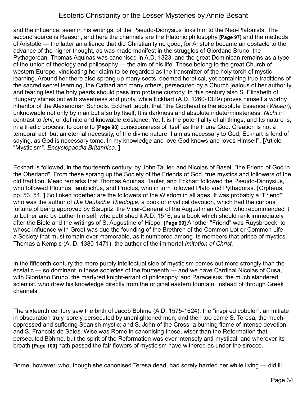and the influence, seen in his writings, of the Pseudo-Dionysius links him to the Neo-Platonists. The second source is Reason, and here the channels are the Platonic philosophy **[Page 97]** and the methods of Aristotle — the latter an alliance that did Christianity no good, for Aristotle became an obstacle to the advance of the higher thought, as was made manifest in the struggles of Giordano Bruno, the Pythagorean. Thomas Aquinas was canonised in A.D. 1323, and the great Dominican remains as a type of the union of theology and philosophy — the aim of his life. These belong to the great Church of western Europe, vindicating her claim to be regarded as the transmitter of the holy torch of mystic learning. Around her there also sprang up many sects, deemed heretical, yet containing true traditions of the sacred secret learning, the Cathari and many others, persecuted by a Church jealous of her authority, and fearing lest the holy pearls should pass into profane custody. In this century also S. Elizabeth of Hungary shines out with sweetness and purity, while Eckhart (A.D. 1260-1329) proves himself a worthy inheritor of the Alexandrian Schools. Eckhart taught that "the Godhead is the absolute Essence (*Wesen*), unknowable not only by man but also by Itself; It is darkness and absolute indeterminateness, *Nicht* in contrast to *Icht*, or definite and knowable existence. Yet It is the potentiality of all things, and Its nature is, in a triadic process, to come to **[Page 98]** consciousness of Itself as the triune God. Creation is not a temporal act, but an eternal necessity, of the divine nature. I am as necessary to God, Eckhart is fond of saying, as God is necessary tome. In my knowledge and love God knows and loves Himself". **[**Article "Mysticism". *Encyclopaedia Britannica.* **]** 

Eckhart is followed, in the fourteenth century, by John Tauler, and Nicolas of Basel, "the Friend of God in the Oberland". From these sprang up the Society of the Friends of God, true mystics and followers of the old tradition. Mead remarks that Thomas Aquinas, Tauler, and Eckhart followed the Pseudo-Dionysius, who followed Plotinus, lamblichus, and Proclus, who in turn followed Plato and Pythagoras. **[**Orpheus, pp. 53, 54. **]** So linked together are the followers of the Wisdom in all ages. It was probably a "Friend" who was the author of *Die Deutsche Theologie*, a book of mystical devotion, which had the curious fortune of being approved by Staupitz, the Vicar-General of the Augustiman Order, who recommended it to Luther and by Luther himself, who published it A.D. 1516, as a book which should rank immediately after the Bible and the writings of S. Augustine of Hippo. **[Page 99]** Another "Friend" was Ruysbroeck, to whose influence with Groot was due the founding of the Brethren of the Common Lot or Common Life a Society that must remain ever memorable, as it numbered among its members that prince of mystics, Thomas a Kempis (A. D. 1380-1471), the author of the immortal *Imitation of Christ.*

In the fifteenth century the more purely intellectual side of mysticism comes out more strongly than the ecstatic — so dominant in these societies of the fourteenth — and we have Cardinal Nicolas of Cusa, with Giordano Bruno, the martyred knight-errant of philosophy, and Paracelsus, the much slandered scientist, who drew his knowledge directly from the original eastern fountain, instead of through Greek channels.

The sixteenth century saw the birth of Jacob Bohme (A.D. 1575-1624), the "inspired cobbler", an Initiate in obscuration truly, sorely persecuted by unenlightened men; and then too came S. Teresa, the muchoppressed and suffering Spanish mystic; and S. John of the Cross, a burning flame of intense devotion; and S. Francois de Sales. Wise was Rome in canonising these, wiser than the Reformation that persecuted Bõhme, but the spirit of the Reformation was ever intensely anti-mystical, and wherever its breath **[Page 100]** hath passed the fair flowers of mysticism have withered as under the sirocco.

Borne, however, who, though she canonised Teresa dead, had sorely harried her while living — did ill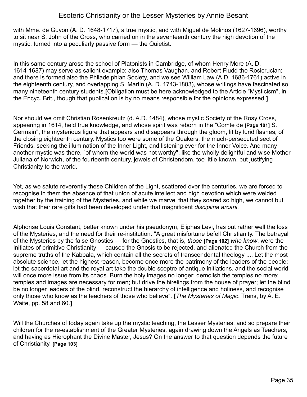with Mme. de Guyon (A. D. 1648-1717), a true mystic, and with Miguel de Molinos (1627-1696), worthy to sit near S. John of the Cross, who carried on in the seventeenth century the high devotion of the mystic, turned into a peculiarly passive form — the Quietist.

In this same century arose the school of Platonists in Cambridge, of whom Henry More (A. D. 1614-1687) may serve as salient example; also Thomas Vaughan, and Robert Fludd the Rosicrucian; and there is formed also the Philadelphian Society, and we see William Law (A.D. 1686-1761) active in the eighteenth century, and overlapping S. Martin (A. D. 1743-1803), whose writings have fascinated so many nineteenth century students.**[**Obligation must be here acknowledged to the Article "Mysticism", in the Encyc. Brit., though that publication is by no means responsible for the opinions expressed.**]**

Nor should we omit Christian Rosenkreutz (d. A.D. 1484), whose mystic Society of the Rosy Cross, appearing in 1614, held true knowledge, and whose spirit was reborn in the "Comte de **[Page 101]** S. Germain", the mysterious figure that appears and disappears through the gloom, lit by lurid flashes, of the closing eighteenth century. Mystics too were some of the Quakers, the much-persecuted sect of Friends, seeking the illumination of the Inner Light, and listening ever for the Inner Voice. And many another mystic was there, "of whom the world was not worthy", like the wholly delightful and wise Mother Juliana of Norwich, of the fourteenth century, jewels of Christendom, too little known, but justifying Christianity to the world.

Yet, as we salute reverently these Children of the Light, scattered over the centuries, we are forced to recognise in them the absence of that union of acute intellect and high devotion which were welded together by the training of the Mysteries, and while we marvel that they soared so high, we cannot but wish that their rare gifts had been developed under that magnificent *disciplina arcani.*

Alphonse Louis Constant, better known under his pseudonym, Eliphas Levi, has put rather well the loss of the Mysteries, and the need for their re-institution. "A great misfortune befell Christianity. The betrayal of the Mysteries by the false Gnostics — for the Gnostics, that is, *those* **[Page 102]** *who know*, were the Initiates of primitive Christianity — caused the Gnosis to be rejected, and alienated the Church from the supreme truths of the Kabbala, which contain all the secrets of transcendental theology .... Let the most absolute science, let the highest reason, become once more the patrimony of the leaders of the people; let the sacerdotal art and the royal art take the double sceptre of antique initiations, and the social world will once more issue from its chaos. Burn the holy images no longer; demolish the temples no more; temples and images are necessary for men; but drive the hirelings from the house of prayer; let the blind be no longer leaders of the blind, reconstruct the hierarchy of intelligence and holiness, and recognise only those who know as the teachers of those who believe". **[***The Mysteries of Magic*. Trans, by A. E. Waite, pp. 58 and 60.**]**

Will the Churches of today again take up the mystic teaching, the Lesser Mysteries, and so prepare their children for the re-establishment of the Greater Mysteries, again drawing down the Angels as Teachers, and having as Hierophant the Divine Master, Jesus? On the answer to that question depends the future of Christianity. **[Page 103]**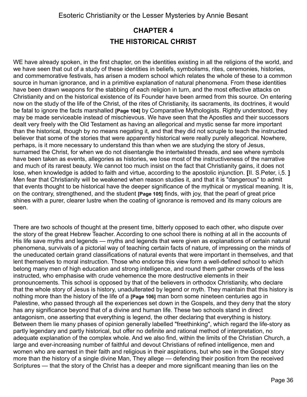## <span id="page-35-0"></span>**CHAPTER 4 THE HISTORICAL CHRIST**

WE have already spoken, in the first chapter, on the identities existing in all the religions of the world, and we have seen that out of a study of these identities in beliefs, symbolisms, rites, ceremonies, histories, and commemorative festivals, has arisen a modern school which relates the whole of these to a common source in human ignorance, and in a primitive explanation of natural phenomena. From these identities have been drawn weapons for the stabbing of each religion in turn, and the most effective attacks on Christianity and on the historical existence of its Founder have been armed from this source. On entering now on the study of the life of the Christ, of the rites of Christianity, its sacraments, its doctrines, it would be fatal to ignore the facts marshalled **[Page 104]** by Comparative Mythologists. Rightly understood, they may be made serviceable instead of mischievous. We have seen that the Apostles and their successors dealt very freely with the Old Testament as having an allegorical and mystic sense far more important than the historical, though by no means negating it, and that they did not scruple to teach the instructed believer that some of the stories that were apparently historical were really purely allegorical. Nowhere, perhaps, is it more necessary to understand this than when we are studying the story of Jesus, surnamed the Christ, for when we do not disentangle the intertwisted threads, and see where symbols have been taken as events, allegories as histories, we lose most of the instructiveness of the narrative and much of its rarest beauty. We cannot too much insist on the fact that Christianity gains, it does not lose, when knowledge is added to faith and virtue, according to the apostolic injunction. **[**II. S.Peter, i,5. **]** Men fear that Christianity will be weakened when reason studies it, and that it is "dangerous" to admit that events thought to be historical have the deeper significance of the mythical or mystical meaning. It is, on the contrary, strengthened, and the student **[Page 105]** finds, with joy, that the pearl of great price shines with a purer, clearer lustre when the coating of ignorance is removed and its many colours are seen.

There are two schools of thought at the present time, bitterly opposed to each other, who dispute over the story of the great Hebrew Teacher. According to one school there is nothing at all in the accounts of His life save myths and legends — myths and legends that were given as explanations of certain natural phenomena, survivals of a pictorial way of teaching certain facts of nature, of impressing on the minds of the uneducated certain grand classifications of natural events that were important in themselves, and that lent themselves to moral instruction. Those who endorse this view form a well-defined school to which belong many men of high education and strong intelligence, and round them gather crowds of the less instructed, who emphasise with crude vehemence the more destructive elements in their pronouncements. This school is opposed by that of the believers in orthodox Christianity, who declare that the whole story of Jesus is history, unadulterated by legend or myth. They maintain that this history is nothing more than the history of the life of a **[Page 106]** man born some nineteen centuries ago in Palestine, who passed through all the experiences set down in the Gospels, and they deny that the story has any significance beyond that of a divine and human life. These two schools stand in direct antagonism, one asserting that everything is legend, the other declaring that everything is history. Between them lie many phases of opinion generally labelled "freethinking", which regard the life-story as partly legendary and partly historical, but offer no definite and rational method of interpretation, no adequate explanation of the complex whole. And we also find, within the limits of the Christian Church, a large and ever-increasing number of faithful and devout Christians of refined intelligence, men and women who are earnest in their faith and religious in their aspirations, but who see in the Gospel story more than the history of a single divine Man, They allege — defending their position from the received Scriptures — that the story of the Christ has a deeper and more significant meaning than lies on the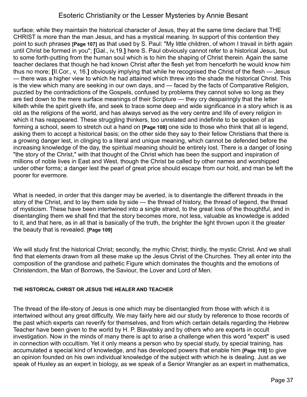surface; while they maintain the historical character of Jesus, they at the same time declare that THE CHRIST is more than the man Jesus, and has a mystical meaning. In support of this contention they point to such phrases **[Page 107]** as that used by S. Paul: "My little children, of whom I travail in birth again until Christ be formed in you"; **[**Gal., iv,19.**]** here S. Paul obviously cannot refer to a historical Jesus, but to some forth-putting from the human soul which is to him the shaping of Christ therein. Again the same teacher declares that though he had known Christ after the flesh yet from henceforth he would know him thus no more; **[**II.Cor., v, 16.**]** obviously implying that while he recognised the Christ of the flesh — Jesus — there was a higher view to which he had attained which threw into the shade the historical Christ. This is the view which many are seeking in our own days, and — faced by the facts of Comparative Religion, puzzled by the contradictions of the Gospels, confused by problems they cannot solve so long as they are tied down to the mere surface meanings of their Scripture — they cry despairingly that the letter killeth while the spirit giveth life, and seek to trace some deep and wide significance in a story which is as old as the religions of the world, and has always served as the very centre and life of every religion in which it has reappeared. These struggling thinkers, too unrelated and indefinite to be spoken of as forming a school, seem to stretch out a hand on **[Page 108]** one side to those who think that all is legend, asking them to accept a historical basis; on the other side they say to their fellow Christians that there is a growing danger lest, in clinging to a literal and unique meaning, which cannot be defended before the increasing knowledge of the day, the spiritual meaning should be entirely lost. There is a danger of losing "the story of the Christ," with that thought of the Christ which has been the support and inspiration of millions of noble lives in East and West, though the Christ be called by other names and worshipped under other forms; a danger lest the pearl of great price should escape from our hold, and man be left the poorer for evermore.

What is needed, in order that this danger may be averted, is to disentangle the different threads in the story of the Christ, and to lay them side by side — the thread of history, the thread of legend, the thread of mysticism. These have been intertwined into a single strand, to the great loss of the thoughtful, and in disentangling them we shall find that the story becomes more, not less, valuable as knowledge is added to it, and that here, as in all that is basically of the truth, the brighter the light thrown upon it the greater the beauty that is revealed. **[Page 109]**

We will study first the historical Christ; secondly, the mythic Christ; thirdly, the mystic Christ. And we shall find that elements drawn from all these make up the Jesus Christ of the Churches. They all enter into the composition of the grandiose and pathetic Figure which dominates the thoughts and the emotions of Christendom, the Man of Borrows, the Saviour, the Lover and Lord of Men.

#### **THE HISTORICAL CHRIST OR JESUS THE HEALER AND TEACHER**

The thread of the life-story of Jesus is one which may be disentangled from those with which it is intertwined without any great difficulty. We may fairly here aid our study by reference to those records of the past which experts can reverify for themselves, and from which certain details regarding the Hebrew Teacher have been given to the world by H. P. Blavatsky and by others who are experts in occult investigation. Now in the minds of many there is apt to arise a challenge when this word "expert" is used in connection with occultism. Yet it only means a person who by special study, by special training, has accumulated a special kind of knowledge, and has developed powers that enable him **[Page 110]** to give an opinion founded on his own individual knowledge of the subject with which he is dealing. Just as we speak of Huxley as an expert in biology, as we speak of a Senior Wrangler as an expert in mathematics,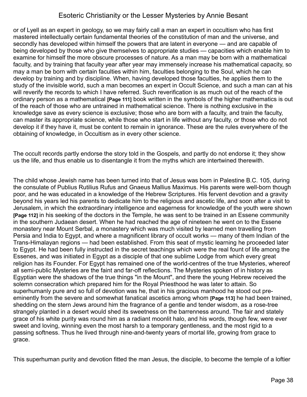or of Lyell as an expert in geology, so we may fairly call a man an expert in occultism who has first mastered intellectually certain fundamental theories of the constitution of man and the universe, and secondly has developed within himself the powers that are latent in everyone — and are capable of being developed by those who give themselves to appropriate studies — capacities which enable him to examine for himself the more obscure processes of nature. As a man may be born with a mathematical faculty, and by training that faculty year after year may immensely increase his mathematical capacity, so may a man be born with certain faculties within him, faculties belonging to the Soul, which he can develop by training and by discipline. When, having developed those faculties, he applies them to the study of the invisible world, such a man becomes an expert in Occult Science, and such a man can at his will reverify the records to which I have referred. Such reverification is as much out of the reach of the ordinary person as a mathematical **[Page 111]** book written in the symbols of the higher mathematics is out of the reach of those who are untrained in mathematical science. There is nothing exclusive in the knowledge save as every science is exclusive; those who are born with a faculty, and train the faculty, can master its appropriate science, while those who start in life without any faculty, or those who do not develop it if they have it, must be content to remain in ignorance. These are the rules everywhere of the obtaining of knowledge, in Occultism as in every other science.

The occult records partly endorse the story told in the Gospels, and partly do not endorse it; they show us the life, and thus enable us to disentangle it from the myths which are intertwined therewith.

The child whose Jewish name has been turned into that of Jesus was born in Palestine B.C. 105, during the consulate of Publius Rutilius Rufus and Gnaeus Mallius Maximus. His parents were well-born though poor, and he was educated in a knowledge of the Hebrew Scriptures. His fervent devotion and a gravity beyond his years led his parents to dedicate him to the religious and ascetic life, and soon after a visit to Jerusalem, in which the extraordinary intelligence and eagerness for knowledge of the youth were shown **[Page 112]** in his seeking of the doctors in the Temple, he was sent to be trained in an Essene community in the southern Judaean desert. When he had reached the age of nineteen he went on to the Essene monastery near Mount Serbal, a monastery which was much visited by learned men travelling from Persia and India to Egypt, and where a magnificent library of occult works — many of them Indian of the Trans-Himalayan regions — had been established. From this seat of mystic learning he proceeded later to Egypt. He had been fully instructed in the secret teachings which were the real fount of life among the Essenes, and was initiated in Egypt as a disciple of that one sublime Lodge from which every great religion has its Founder. For Egypt has remained one of the world-centres of the true Mysteries, whereof all semi-public Mysteries are the faint and far-off reflections. The Mysteries spoken of in history as Egyptian were the shadows of the true things "in the Mount", and there the young Hebrew received the solemn consecration which prepared him for the Royal Priesthood he was later to attain. So superhumanly pure and so full of devotion was he, that in his gracious manhood he stood out preeminently from the severe and somewhat fanatical ascetics among whom **[Page 113]** he had been trained, shedding on the stern Jews around him the fragrance of a gentle and tender wisdom, as a rose-tree strangely planted in a desert would shed its sweetness on the barrenness around. The fair and stately grace of his white purity was round him as a radiant moonlit halo, and his words, though few, were ever sweet and loving, winning even the most harsh to a temporary gentleness, and the most rigid to a passing softness. Thus he lived through nine-and-twenty years of mortal life, growing from grace to grace.

This superhuman purity and devotion fitted the man Jesus, the disciple, to become the temple of a loftier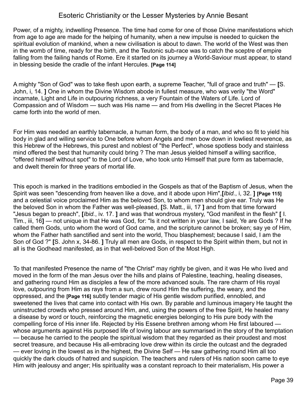Power, of a mighty, indwelling Presence. The time had come for one of those Divine manifestations which from age to age are made for the helping of humanity, when a new impulse is needed to quicken the spiritual evolution of mankind, when a new civilisation is about to dawn. The world of the West was then in the womb of time, ready for the birth, and the Teutonic sub-race was to catch the sceptre of empire falling from the failing hands of Rome. Ere it started on its journey a World-Saviour must appear, to stand in blessing beside the cradle of the infant Hercules. **[Page 114]** 

A mighty "Son of God" was to take flesh upon earth, a supreme Teacher, "full of grace and truth" — **[**S. John, i, 14. **]** One in whom the Divine Wisdom abode in fullest measure, who was verily "the Word" incarnate, Light and Life in outpouring richness, a very Fountain of the Waters of Life. Lord of Compassion and of Wisdom — such was His name — and from His dwelling in the Secret Places He came forth into the world of men.

For Him was needed an earthly tabernacle, a human form, the body of a man, and who so fit to yield his body in glad and willing service to One before whom Angels and men bow down in lowliest reverence, as this Hebrew of the Hebrews, this purest and noblest of "the Perfect", whose spotless body and stainless mind offered the best that humanity could bring ? The man Jesus yielded himself a willing sacrifice, "offered himself without spot" to the Lord of Love, who took unto Himself that pure form as tabernacle, and dwelt therein for three years of mortal life.

This epoch is marked in the traditions embodied in the Gospels as that of the Baptism of Jesus, when the Spirit was seen "descending from heaven like a dove, and it abode upon Him",**[***Ibid.*, i, 32. **] [Page 115]** and a celestial voice proclaimed Him as the beloved Son, to whom men should give ear. Truly was He the beloved Son in whom the Father was well-pleased, **[**S. Matt., iii, 17 **]** and from that time forward "Jesus began to preach", **[***Ibid.*, iv. 17. **]** and was that wondrous mystery, "God manifest in the flesh" **[** I. Tim., iii, 16**]** — not unique in that He was God, for: "Is it not written in your law, I said, Ye are Gods ? If he called them Gods, unto whom the word of God came, and the scripture cannot be broken; say ye of Him, whom the Father hath sanctified and sent into the world, Thou blasphemest; because I said, I am the Son of God ?" **[**S. John x, 34-86. **]** Truly all men are Gods, in respect to the Spirit within them, but not in all is the Godhead manifested, as in that well-beloved Son of the Most High.

To that manifested Presence the name of "the Christ" may rightly be given, and it was He who lived and moved in the form of the man Jesus over the hills and plains of Palestine, teaching, healing diseases, and gathering round Him as disciples a few of the more advanced souls. The rare charm of His royal love, outpouring from Him as rays from a sun, drew round Him the suffering, the weary, and the oppressed, and the **[Page 116]** subtly tender magic of His gentle wisdom purified, ennobled, and sweetened the lives that came into contact with His own. By parable and luminous imagery He taught the uninstructed crowds who pressed around Him, and, using the powers of the free Spirit, He healed many a disease by word or touch, reinforcing the magnetic energies belonging to His pure body with the compelling force of His inner life. Rejected by His Essene brethren among whom He first laboured whose arguments against His purposed life of loving labour are summarised in the story of the temptation — because he carried to the people the spiritual wisdom that they regarded as their proudest and most secret treasure, and because His all-embracing love drew within its circle the outcast and the degraded — ever loving in the lowest as in the highest, the Divine Self — He saw gathering round Him all too quickly the dark clouds of hatred and suspicion. The teachers and rulers of His nation soon came to eye Him with jealousy and anger; His spirituality was a constant reproach to their materialism, His power a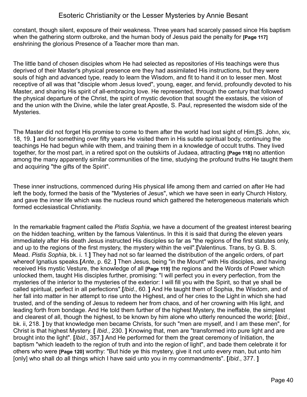constant, though silent, exposure of their weakness. Three years had scarcely passed since His baptism when the gathering storm outbroke, and the human body of Jesus paid the penalty for **[Page 117]** enshrining the glorious Presence of a Teacher more than man.

The little band of chosen disciples whom He had selected as repositories of His teachings were thus deprived of their Master's physical presence ere they had assimilated His instructions, but they were souls of high and advanced type, ready to learn the Wisdom, and fit to hand it on to lesser men. Most receptive of all was that "disciple whom Jesus loved", young, eager, and fervid, profoundly devoted to his Master, and sharing His spirit of all-embracing love. He represented, through the century that followed the physical departure of the Christ, the spirit of mystic devotion that sought the exstasis, the vision of and the union with the Divine, while the later great Apostle, S. Paul, represented the wisdom side of the Mysteries.

The Master did not forget His promise to come to them after the world had lost sight of Him,**[**S. John, xiv, 18, 19. **]** and for something over fifty years He visited them in His subtle spiritual body, continuing the teachings He had begun while with them, and training them in a knowledge of occult truths. They lived together, for the most part, in a retired spot on the outskirts of Judaea, attracting **[Page 118]** no attention among the many apparently similar communities of the time, studying the profound truths He taught them and acquiring "the gifts of the Spirit".

These inner instructions, commenced during His physical life among them and carried on after He had left the body, formed the basis of the "Mysteries of Jesus", which we have seen in early Church History, and gave the inner life which was the nucleus round which gathered the heterogeneous materials which formed ecclesiastical Christianity.

In the remarkable fragment called the *Pistis Sophia*, we have a document of the greatest interest bearing on the hidden teaching, written by the famous Valentinus. In this it is said that during the eleven years immediately after His death Jesus instructed His disciples so far as "the regions of the first statutes only, and up to the regions of the first mystery, the mystery within the veil".**[**Valentinus. Trans, by G. B. S. Mead. *Pistis Sophia*, bk. i. 1.**]** They had not so far learned the distribution of the angelic orders, of part whereof Ignatius speaks.**[***Ante*, p. 62. **]** Then Jesus, being "in the Mount" with His disciples, and having received His mystic Vesture, the knowledge of all **[Page 119]** the regions and the Words of Power which unlocked them, taught His disciples further, promising: "I will perfect you in every perfection, from the mysteries of the interior to the mysteries of the exterior: I will fill you with the Spirit, so that ye shall be called spiritual, perfect in all perfections".**[***Ibid*., 60. **]** And He taught them of Sophia, the Wisdom, and of her fall into matter in her attempt to rise unto the Highest, and of her cries to the Light in which she had trusted, and of the sending of Jesus to redeem her from chaos, and of her crowning with His light, and leading forth from bondage. And He told them further of the highest Mystery, the ineffable, the simplest and clearest of all, though the highest, to be known by him alone who utterly renounced the world; **[***Ibid*., bk. ii, 218. **]** by that knowledge men became Christs, for such "men are myself, and I am these men", for Christ is that highest Mystery. **[** *Ibid.*, 230. **]** Knowing that, men are "transformed into pure light and are brought into the light". **[***Ibid*., 357.**]** And He performed for them the great ceremony of Initiation, the baptism "which leadeth to the region of truth and into the region of light", and bade them celebrate it for others who were **[Page 120]** worthy: "But hide ye this mystery, give it not unto every man, but unto him [only] who shall do all things which I have said unto you in my commandments". **[***Ibid*., 377. **]**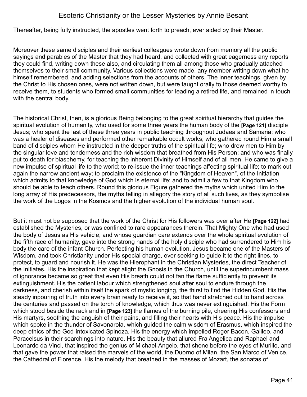Thereafter, being fully instructed, the apostles went forth to preach, ever aided by their Master.

Moreover these same disciples and their earliest colleagues wrote down from memory all the public sayings and parables of the Master that they had heard, and collected with great eagerness any reports they could find, writing down these also, and circulating them all among those who gradually attached themselves to their small community. Various collections were made, any member writing down what he himself remembered, and adding selections from the accounts of others. The inner teachings, given by the Christ to His chosen ones, were not written down, but were taught orally to those deemed worthy to receive them, to students who formed small communities for leading a retired life, and remained in touch with the central body.

The historical Christ, then, is a glorious Being belonging to the great spiritual hierarchy that guides the spiritual evolution of humanity, who used for some three years the human body of the **[Page 121]** disciple Jesus; who spent the last of these three years in public teaching throughout Judaea and Samaria; who was a healer of diseases and performed other remarkable occult works; who gathered round Him a small band of disciples whom He instructed in the deeper truths of the spiritual life; who drew men to Him by the singular love and tenderness and the rich wisdom that breathed from His Person; and who was finally put to death for blasphemy, for teaching the inherent Divinity of Himself and of all men. He came to give a new impulse of spiritual life to the world; to re-issue the inner teachings affecting spiritual life; to mark out again the narrow ancient way; to proclaim the existence of the "Kingdom of Heaven", of the Initiation which admits to that knowledge of God which is eternal life; and to admit a few to that Kingdom who should be able to teach others. Round this glorious Figure gathered the myths which united Him to the long array of His predecessors, the myths telling in allegory the story of all such lives, as they symbolise the work of the Logos in the Kosmos and the higher evolution of the individual human soul.

But it must not be supposed that the work of the Christ for His followers was over after He **[Page 122]** had established the Mysteries, or was confined to rare appearances therein. That Mighty One who had used the body of Jesus as His vehicle, and whose guardian care extends over the whole spiritual evolution of the fifth race of humanity, gave into the strong hands of the holy disciple who had surrendered to Him his body the care of the infant Church. Perfecting his human evolution, Jesus became one of the Masters of Wisdom, and took Christianity under His special charge, ever seeking to guide it to the right lines, to protect, to guard and nourish it. He was the Hierophant in the Christian Mysteries, the direct Teacher of the Initiates. His the inspiration that kept alight the Gnosis in the Church, until the superincumbent mass of ignorance became so great that even His breath could not fan the flame sufficiently to prevent its extinguishment. His the patient labour which strengthened soul after soul to endure through the darkness, and cherish within itself the spark of mystic longing, the thirst to find the Hidden God. His the steady inpouring of truth into every brain ready to receive it, so that hand stretched out to hand across the centuries and passed on the torch of knowledge, which thus was never extinguished. His the Form which stood beside the rack and in **[Page 123]** the flames of the burning pile, cheering His confessors and His martyrs, soothing the anguish of their pains, and filling their hearts with His peace. His the impulse which spoke in the thunder of Savonarola, which guided the calm wisdom of Erasmus, which inspired the deep ethics of the God-intoxicated Spinoza. His the energy which impelled Roger Bacon, Galileo, and Paracelsus in their searchings into nature. His the beauty that allured Fra Angelica and Raphael and Leonardo da Vinci, that inspired the genius of Michael-Angelo, that shone before the eyes of Murillo, and that gave the power that raised the marvels of the world, the Duorno of Milan, the San Marco of Venice, the Cathedral of Florence. His the melody that breathed in the masses of Mozart, the sonatas of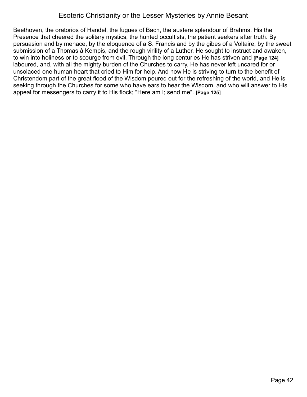Beethoven, the oratorios of Handel, the fugues of Bach, the austere splendour of Brahms. His the Presence that cheered the solitary mystics, the hunted occultists, the patient seekers after truth. By persuasion and by menace, by the eloquence of a S. Francis and by the gibes of a Voltaire, by the sweet submission of a Thomas à Kempis, and the rough virility of a Luther, He sought to instruct and awaken, to win into holiness or to scourge from evil. Through the long centuries He has striven and **[Page 124]** laboured, and, with all the mighty burden of the Churches to carry, He has never left uncared for or unsolaced one human heart that cried to Him for help. And now He is striving to turn to the benefit of Christendom part of the great flood of the Wisdom poured out for the refreshing of the world, and He is seeking through the Churches for some who have ears to hear the Wisdom, and who will answer to His appeal for messengers to carry it to His flock; "Here am I; send me". **[Page 125]**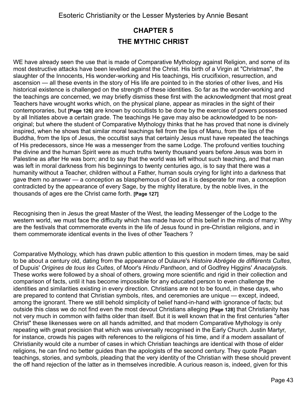# **CHAPTER 5 THE MYTHIC CHRIST**

WE have already seen the use that is made of Comparative Mythology against Religion, and some of its most destructive attacks have been levelled against the Christ. His birth of a Virgin at "Christmas", the slaughter of the Innocents, His wonder-working and His teachings, His crucifixion, resurrection, and ascension — all these events in the story of His life are pointed to in the stories of other lives, and His historical existence is challenged on the strength of these identities. So far as the wonder-working and the teachings are concerned, we may briefly dismiss these first with the acknowledgment that most great Teachers have wrought works which, on the physical plane, appear as miracles in the sight of their contemporaries, but **[Page 126]** are known by occultists to be done by the exercise of powers possessed by all Initiates above a certain grade. The teachings He gave may also be acknowledged to be nonoriginal; but where the student of Comparative Mythology thinks that he has proved that none is divinely inspired, when he shows that similar moral teachings fell from the lips of Manu, from the lips of the Buddha, from the lips of Jesus, the occultist says that certainly Jesus must have repeated the teachings of His predecessors, since He was a messenger from the same Lodge. The profound verities touching the divine and the human Spirit were as much truths twenty thousand years before Jesus was born in Palestine as after He was born; and to say that the world was left without such teaching, and that man was left in moral darkness from his beginnings to twenty centuries ago, is to say that there was a humanity without a Teacher, children without a Father, human souls crying for light into a darkness that gave them no answer — a conception as blasphemous of God as it is desperate for man, a conception contradicted by the appearance of every Sage, by the mighty literature, by the noble lives, in the thousands of ages ere the Christ came forth. **[Page 127]**

Recognising then in Jesus the great Master of the West, the leading Messenger of the Lodge to the western world, we must face the difficulty which has made havoc of this belief in the minds of many: Why are the festivals that commemorate events in the life of Jesus found in pre-Christian religions, and in them commemorate identical events in the lives of other Teachers ?

Comparative Mythology, which has drawn public attention to this question in modern times, may be said to be about a century old, dating from the appearance of Dulaure's *Histoire Abrégée de différents Cultes*, of Dupuis' *Origines de tous les Cultes*, of Moor's *Hindu Pantheon*, and of Godfrey Higgins' *Anacalypsi*s. These works were followed by a shoal of others, growing more scientific and rigid in their collection and comparison of facts, until it has become impossible for any educated person to even challenge the identities and similarities existing in every direction. Christians are not to be found, in these days, who are prepared to contend that Christian symbols, rites, and ceremonies are unique — except, indeed, among the ignorant. There we still behold simplicity of belief hand-in-hand with ignorance of facts; but outside this class we do not find even the most devout Christians alleging **[Page 128]** that Christianity has not very much in common with faiths older than itself. But it is well known that in the first centuries "after Christ" these likenesses were on all hands admitted, and that modern Comparative Mythology is only repeating with great precision that which was universally recognised in the Early Church. Justin Martyr, for instance, crowds his pages with references to the religions of his time, and if a modern assailant of Christianity would cite a number of cases in which Christian teachings are identical with those of elder religions, he can find no better guides than the apologists of the second century. They quote Pagan teachings, stories, and symbols, pleading that the very identity of the Christian with these should prevent the off hand rejection of the latter as in themselves incredible. A curious reason is, indeed, given for this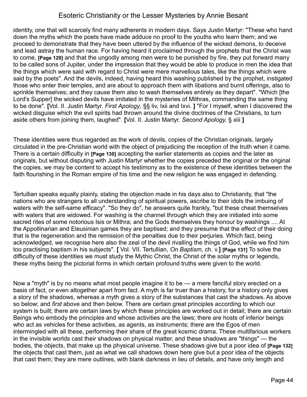identity, one that will scarcely find many adherents in modern days. Says Justin Martyr: "These who hand down the myths which the poets have made adduce no proof to the youths who learn them; and we proceed to demonstrate that they have been uttered by the influence of the wicked demons, to deceive and lead astray the human race. For having heard it proclaimed through the prophets that the Christ was to come, **[Page 129]** and that the ungodly among men were to be punished by fire, they put forward many to be called sons of Jupiter, under the impression that they would be able to produce in men the idea that the things which were said with regard to Christ were mere marvellous tales, like the things which were said by the poets". And the devils, indeed, having heard this washing published by the prophet, instigated those who enter their temples, and are about to approach them with libations and burnt offerings, also to sprinkle themselves; and they cause them also to wash themselves entirely as they depart". "Which [the Lord's Supper] the wicked devils have imitated in the mysteries of Mithras, commanding the same thing to be done". **[**Vol. II. Justin Martyr. *First Apology*, §§ liv, Ixii and Ixvi. **]** "For I myself, when I discovered the wicked disguise which the evil spirits had thrown around the divine doctrines of the Christians, to turn aside others from joining them, laughed". **[**Vol. II. Justin Martyr. *Second Apology,* § xiii **]** 

These identities were thus regarded as the work of devils, copies of the Christian originals, largely circulated in the pre-Christian world with the object of prejudicing the reception of the truth when it came. There is a certain difficulty in **[Page 130]** accepting the earlier statements as copies and the later as originals, but without disputing with Justin Martyr whether the copies preceded the original or the original the copies, we may be content to accept his testimony as to the existence of these identities between the faith flourishing in the Roman empire of his time and the new religion he was engaged in defending.

Tertullian speaks equally plainly, stating the objection made in his days also to Christianity, that "the nations who are strangers to all understanding of spiritual powers, ascribe to their idols the imbuing of waters with the self-same efficacy". "So they do", he answers quite frankly, "but these cheat themselves with waters that are widowed. For washing is the channel through which they are initiated into some sacred rites of some notorious Isis or Mithra; and the Gods themselves they honour by washings .... At the Appollinarian and Eleusinian games they are baptised; and they presume that the effect of their doing that is the regeneration and the remission of the penalties due to their perjuries. Which fact, being acknowledged, we recognise here also the zeal of the devil rivalling the things of God, while we find him too practising baptism in his subjects". **[** Vol. VII. Tertullian, *On Baptism*, ch. v.**] [Page 131]** To solve the difficulty of these identities we must study the Mythic Christ, the Christ of the solar myths or legends, these myths being the pictorial forms in which certain profound truths were given to the world.

Now a "myth" is by no means what most people imagine it to be — a mere fanciful story erected on a basis of fact, or even altogether apart from fact. A myth is far truer than a history, for a history only gives a story of the shadows, whereas a myth gives a story of the substances that cast the shadows. As above so below; and *first* above and then below. There are certain great principles according to which our system is built; there are certain laws by which these principles are worked out in detail; there are certain Beings who embody the principles and whose activities are the laws; there are hosts of inferior beings who act as vehicles for these activities, as agents, as instruments; there are the Egos of men intermingled with all these, performing their share of the great kosmic drama. These multifarious workers in the invisible worlds cast their shadows on physical matter, and these shadows are "things" — the bodies, the objects, that make up the physical universe. These shadows give but a poor idea of **[Page 132]** the objects that cast them, just as what we call shadows down here give but a poor idea of the objects that cast them; they are mere outlines, with blank darkness in lieu of details, and have only length and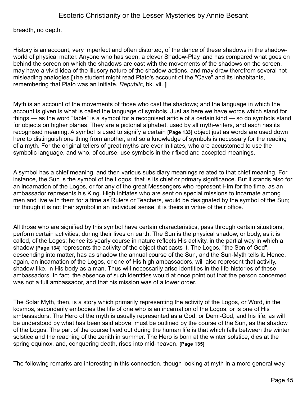breadth, no depth.

History is an account, very imperfect and often distorted, of the dance of these shadows in the shadowworld of physical matter. Anyone who has seen, a clever Shadow-Play, and has compared what goes on behind the screen on which the shadows are cast with the movements of the shadows on the screen, may have a vivid idea of the illusory nature of the shadow-actions, and may draw therefrom several not misleading analogies.**[**The student might read Plato's account of the "Cave" and its inhabitants, remembering that Plato was an Initiate. *Republic*, bk. vii. **]**

Myth is an account of the movements of those who cast the shadows; and the language in which the account is given is what is called the language of symbols. Just as here we have words which stand for things — as the word "table" is a symbol for a recognised article of a certain kind — so do symbols stand for objects on higher planes. They are a pictorial alphabet, used by all myth-writers, and each has its recognised meaning. A symbol is used to signify a certain **[Page 133]** object just as words are used down here to distinguish one thing from another, and so a knowledge of symbols is necessary for the reading of a myth. For the original tellers of great myths are ever Initiates, who are accustomed to use the symbolic language, and who, of course, use symbols in their fixed and accepted meanings.

A symbol has a chief meaning, and then various subsidiary meanings related to that chief meaning. For instance, the Sun is the symbol of the Logos; that is its chief or primary significance. But it stands also for an incarnation of the Logos, or for any of the great Messengers who represent Him for the time, as an ambassador represents his King. High Initiates who are sent on special missions to incarnate among men and live with them for a time as Rulers or Teachers, would be designated by the symbol of the Sun; for though it is not their symbol in an individual sense, it is theirs in virtue of their office.

All those who are signified by this symbol have certain characteristics, pass through certain situations, perform certain activities, during their lives on earth. The Sun is the physical shadow, or body, as it is called, of the Logos; hence its yearly course in nature reflects His activity, in the partial way in which a shadow **[Page 134]** represents the activity of the object that casts it. The Logos, "the Son of God", descending into matter, has as shadow the annual course of the Sun, and the Sun-Myth tells it. Hence, again, an incarnation of the Logos, or one of His high ambassadors, will also represent that activity, shadow-like, in His body as a man. Thus will necessarily arise identities in the life-histories of these ambassadors. In fact, the absence of such identities would at once point out that the person concerned was not a full ambassador, and that his mission was of a lower order.

The Solar Myth, then, is a story which primarily representing the activity of the Logos, or Word, in the kosmos, secondarily embodies the life of one who is an incarnation of the Logos, or is one of His ambassadors. The Hero of the myth is usually represented as a God, or Demi-God, and his life, as will be understood by what has been said above, must be outlined by the course of the Sun, as the shadow of the Logos. The part of the course lived out during the human life is that which falls between the winter solstice and the reaching of the zenith in summer. The Hero is born at the winter solstice, dies at the spring equinox, and, conquering death, rises into mid-heaven. **[Page 135]**

The following remarks are interesting in this connection, though looking at myth in a more general way,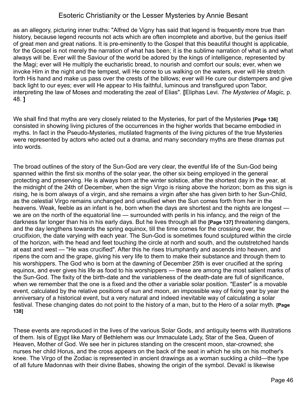as an allegory, picturing inner truths: "Alfred de Vigny has said that legend is frequently more true than history, because legend recounts not acts which are often incomplete and abortive, but the genius itself of great men and great nations. It is pre-eminently to the Gospel that this beautiful thought is applicable, for the Gospel is not merely the narration of what has been; it is the sublime narration of what is and what always will be. Ever will the Saviour of the world be adored by the kings of intelligence, represented by the Magi; ever will He multiply the eucharistic bread, to nourish and comfort our souls; ever, when we invoke Him in the night and the tempest, will He come to us walking on the waters, ever will He stretch forth His hand and make us pass over the crests of the billows; ever will He cure our distempers and give back light to our eyes; ever will He appear to His faithful, luminous and transfigured upon Tabor, interpreting the law of Moses and moderating the zeal of Elias". **[**Eliphas Levi. *The Mysteries of Magic,* p. 48. **]**

We shall find that myths are very closely related to the Mysteries, for part of the Mysteries **[Page 136]** consisted in showing living pictures of the occurrences in the higher worlds that became embodied in myths. In fact in the Pseudo-Mysteries, mutilated fragments of the living pictures of the true Mysteries were represented by actors who acted out a drama, and many secondary myths are these dramas put into words.

The broad outlines of the story of the Sun-God are very clear, the eventful life of the Sun-God being spanned within the first six months of the solar year, the other six being employed in the general protecting and preserving. He is always born at the winter solstice, after the shortest day in the year, at the midnight of the 24th of December, when the sign Virgo is rising above the horizon; born as this sign is rising, he is born always of a virgin, and she remains a virgin after she has given birth to her Sun-Child, as the celestial Virgo remains unchanged and unsullied when the Sun comes forth from her in the heavens. Weak, feeble as an infant is he, born when the days are shortest and the nights are longest we are on the north of the equatorial line — surrounded with perils in his infancy, and the reign of the darkness far longer than his in his early days. But he lives through all the **[Page 137]** threatening dangers, and the day lengthens towards the spring equinox, till the time comes for the crossing over, the crucifixion, the date varying with each year. The Sun-God is sometimes found sculptured within the circle of the horizon, with the head and feet touching the circle at north and south, and the outstretched hands at east and west — "He was crucified". After this he rises triumphantly and ascends into heaven, and ripens the corn and the grape, giving his very life to them to make their substance and through them to his worshippers. The God who is born at the dawning of December 25th is ever crucified at the spring equinox, and ever gives his life as food to his worshippers — these are among the most salient marks of the Sun-God. The fixity of the birth-date and the variableness of the death-date are full of significance, when we remember that the one is a fixed and the other a variable solar position. "Easter" is a movable event, calculated by the relative positions of sun and moon, an impossible way of fixing year by year the anniversary of a historical event, but a very natural and indeed inevitable way of calculating a solar festival. These changing dates do not point to the history of a man, but to the Hero of a solar myth. **[Page 138]**

These events are reproduced in the lives of the various Solar Gods, and antiquity teems with illustrations of them. Isis of Egypt like Mary of Bethlehem was our Immaculate Lady, Star of the Sea, Queen of Heaven, Mother of God. We see her in pictures standing on the crescent moon, star-crowned; she nurses her child Horus, and the cross appears on the back of the seat in which he sits on his mother's knee. The Virgo of the Zodiac is represented in ancient drawings as a woman suckling a child—the type of all future Madonnas with their divine Babes, showing the origin of the symbol. Devakî is likewise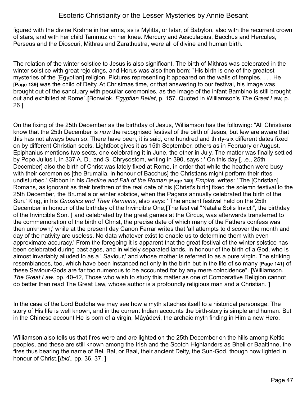figured with the divine Krshna in her arms, as is Mylitta, or Istar, of Babylon, also with the recurrent crown of stars, and with her child Tammuz on her knee. Mercury and Aesculapius, Bacchus and Hercules, Perseus and the Dioscuri, Mithras and Zarathustra, were all of divine and human birth.

The relation of the winter solstice to Jesus is also significant. The birth of Mithras was celebrated in the winter solstice with great rejoicings, and Horus was also then born: "His birth is one of the greatest mysteries of the [Egyptian] religion. Pictures representing it appeared on the walls of temples. . . . He **[Page 139]** was the child of Deity. At Christmas time, or that answering to our festival, his image was brought out of the sanctuary with peculiar ceremonies, as the image of the infant Bambino is still brought out and exhibited at Rome".**[**Bonwiok. *Egyptian Belief*, p. 157. Quoted in Williamson's *The Great Law,* p. 26 ]

On the fixing of the 25th December as the birthday of Jesus, Williamson has the following: "All Christians know that the 25th December is *now* the recognised festival of the birth of Jesus, but few are aware that this has not always been so. There have been, it is said, one hundred and thirty-six different dates fixed on by different Christian sects. Lightfoot gives it as 15th September, others as in February or August. Epiphanius mentions two sects, one celebrating it in June, the other in July. The matter was finally settled by Pope Julius I, in 337 A. D., and S. Chrysostom, writing in 390, says : ' On this day [.i.e., 25th December] also the birth of Christ was lately fixed at Rome, in order that while the heathen were busy with their ceremonies [the Brumalia, in honour of Bacchus] the Christians might perform their rites undisturbed.' Gibbon in his *Decline and Fall of the Roman* **[Page 140]** *Empire,* writes: ' The [Christian] Romans, as ignorant as their brethren of the real date of his [Christ's birth] fixed the solemn festival to the 25th December, the Brumalia or winter solstice, when the Pagans annually celebrated the birth of the Sun.' King, in his *Gnostics and Their Remains*, also says: ' The ancient festival held on the 25th December in honour of the birthday of the Invincible One,**[**The festival "Natalia Solis Invicti", the birthday of the Invincible Son. **]** and celebrated by the great games at the Circus, was afterwards transferred to the commemoration of the birth of Christ, the precise date of which many of the Fathers confess was then unknown;' while at the present day Canon Farrar writes that 'all attempts to discover the month and day of the nativity are useless. No data whatever exist to enable us to determine them with even approximate accuracy.' From the foregoing it is apparent that the great festival of the winter solstice has been celebrated during past ages, and in widely separated lands, in honour of the birth of a God, who is almost invariably alluded to as a ' Saviour,' and whose mother is referred to as a pure virgin. The striking resemblances, too, which have been instanced not only in the birth but in the life of so many **[Page 141]** of these Saviour-Gods are far too numerous to be accounted for by any mere coincidence". **[**Williamson. *The Great Law*, pp. 40-42, Those who wish to study this matter as one of Comparative Religion cannot do better than read The Great Law, whose author is a profoundly religious man and a Christian. **]** 

In the case of the Lord Buddha we may see how a myth attaches itself to a historical personage. The story of His life is well known, and in the current Indian accounts the birth-story is simple and human. But in the Chinese account He is born of a virgin, Mâyâdevi, the archaic myth finding in Him a new Hero.

Williamson also tells us that fires were and are lighted on the 25th December on the hills among Keltic peoples, and these are still known among the Irish and the Scotch Highlanders as Bheil or Baaltinne, the fires thus bearing the name of Bel, Bal, or Baal, their ancient Deity, the Sun-God, though now lighted in honour of Christ.**[***Ibid*., pp. 36, 37. **]**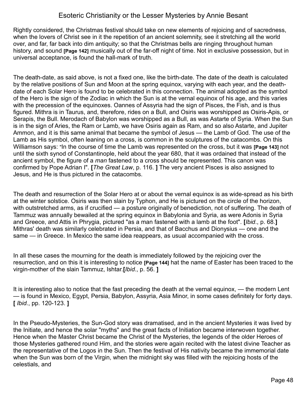Rightly considered, the Christmas festival should take on new elements of rejoicing and of sacredness, when the lovers of Christ see in it the repetition of an ancient solemnity, see it stretching all the world over, and far, far back into dim antiquity; so that the Christmas bells are ringing throughout human history, and sound **[Page 142]** musically out of the far-off night of time. Not in exclusive possession, but in universal acceptance, is found the hall-mark of truth.

The death-date, as said above, is not a fixed one, like the birth-date. The date of the death is calculated by the relative positions of Sun and Moon at the spring equinox, varying with each year, and the deathdate of each Solar Hero is found to be celebrated in this connection. The animal adopted as the symbol of the Hero is the sign of the Zodiac in which the Sun is at the vernal equinox of his age, and this varies with the precession of the equinoxes. Oannes of Assyria had the sign of Pisces, the Fish, and is thus figured. Mithra is in Taurus, and, therefore, rides on a Bull, and Osiris was worshipped as Osiris-Apis, or Serapis, the Bull. Merodach of Babylon was worshipped as a Bull, as was Astarte of Syria. When the Sun is in the sign of Aries, the Ram or Lamb, we have Osiris again as Ram, and so also Astarte, and Jupiter Ammon, and it is this same animal that became the symbol of Jesus — the Lamb of God. The use of the Lamb as His symbol, often leaning on a cross, is common in the sculptures of the catacombs. On this Williamson says: "In the course of time the Lamb was represented on the cross, but it was **[Page 143]** not until the sixth synod of Constantinople, held about the year 680, that it was ordained that instead of the ancient symbol, the figure of a *man* fastened to a cross should be represented. This canon was confirmed by Pope Adrian I". **[***The Great Law*, p. 116. **]** The very ancient Pisces is also assigned to Jesus, and He is thus pictured in the catacombs.

The death and resurrection of the Solar Hero at or about the vernal equinox is as wide-spread as his birth at the winter solstice. Osiris was then slain by Typhon, and He is pictured on the circle of the horizon, with outstretched arms, as if crucified — a posture originally of benediction, not of suffering. The death of Tammuz was annually bewailed at the spring equinox in Babylonia and Syria, as were Adonis in Syria and Greece, and Attis in Phrygia, pictured "as a man fastened with a lamb at the foot". **[***Ibid*., p. 68.**]** Mithras' death was similarly celebrated in Persia, and that of Bacchus and Dionysius — one and the same — in Greece. In Mexico the same idea reappears, as usual accompanied with the cross.

In all these cases the mourning for the death is immediately followed by the rejoicing over the resurrection, and on this it is interesting to notice **[Page 144]** hat the name of Easter has been traced to the virgin-mother of the slain Tammuz, Ishtar.**[***Ibid*., p. 56. **]**

It is interesting also to notice that the fast preceding the death at the vernal equinox, — the modern Lent — is found in Mexico, Egypt, Persia, Babylon, Assyria, Asia Minor, in some cases definitely for forty days. **[** *Ibid.*, pp. 120-123. **]**

In the Pseudo-Mysteries, the Sun-God story was dramatised, and in the ancient Mysteries it was lived by the Initiate, and hence the solar "myths" and the great facts of Initiation became interwoven together. Hence when the Master Christ became the Christ of the Mysteries, the legends of the older Heroes of those Mysteries gathered round Him, and the stories were again recited with the latest divine Teacher as the representative of the Logos in the Sun. Then the festival of His nativity became the immemorial date when the Sun was born of the Virgin, when the midnight sky was filled with the rejoicing hosts of the celestials, and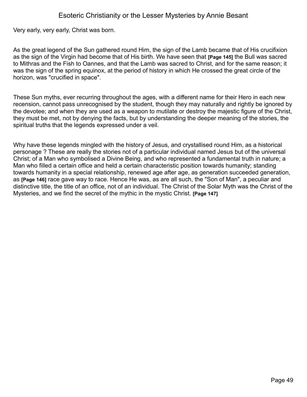Very early, very early, Christ was born.

As the great legend of the Sun gathered round Him, the sign of the Lamb became that of His crucifixion as the sign of the Virgin had become that of His birth. We have seen that **[Page 145]** the Bull was sacred to Mithras and the Fish to Oannes, and that the Lamb was sacred to Christ, and for the same reason; it was the sign of the spring equinox, at the period of history in which He crossed the great circle of the horizon, was "crucified in space".

These Sun myths, ever recurring throughout the ages, with a different name for their Hero in each new recension, cannot pass unrecognised by the student, though they may naturally and rightly be ignored by the devotee; and when they are used as a weapon to mutilate or destroy the majestic figure of the Christ, they must be met, not by denying the facts, but by understanding the deeper meaning of the stories, the spiritual truths that the legends expressed under a veil.

Why have these legends mingled with the history of Jesus, and crystallised round Him, as a historical personage ? These are really the stories not of a particular individual named Jesus but of the universal Christ; of a Man who symbolised a Divine Being, and who represented a fundamental truth in nature; a Man who filled a certain office and held a certain characteristic position towards humanity; standing towards humanity in a special relationship, renewed age after age, as generation succeeded generation, as **[Page 146]** race gave way to race. Hence He was, as are all such, the "Son of Man", a peculiar and distinctive title, the title of an office, not of an individual. The Christ of the Solar Myth was the Christ of the Mysteries, and we find the secret of the mythic in the mystic Christ. **[Page 147]**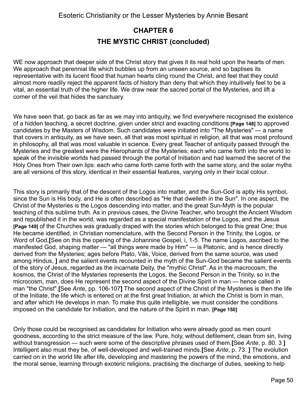# **CHAPTER 6 THE MYSTIC CHRIST (concluded)**

WE now approach that deeper side of the Christ story that gives it its real hold upon the hearts of men. We approach that perennial life which bubbles up from an unseen source, and so baptises its representative with its lucent flood that human hearts cling round the Christ, and feel that they could almost more readily reject the apparent facts of history than deny that which they intuitively feel to be a vital, an essential truth of the higher life. We draw near the sacred portal of the Mysteries, and lift a corner of the veil that hides the sanctuary.

We have seen that, go back as far as we may into antiquity, we find everywhere recognised the existence of a hidden teaching, a secret doctrine, given under strict and exacting conditions **[Page 148]** to approved candidates by the Masters of Wisdom. Such candidates were initiated into "The Mysteries" — a name that covers in antiquity, as we have seen, all that was most spiritual in religion, all that was most profound in philosophy, all that was most valuable in science. Every great Teacher of antiquity passed through the Mysteries and the greatest were the Hierophants of the Mysteries; each who came forth into the world to speak of the invisible worlds had passed through the portal of Initiation and had learned the secret of the Holy Ones from Their own lips: each who came forth came forth with the same story, and the solar myths are all versions of this story, identical in their essential features, varying only in their local colour.

This story is primarily that of the descent of the Logos into matter, and the Sun-God is aptly His symbol, since the Sun is His body, and He is often described as "He that dwelleth in the Sun". In one aspect, the Christ of the Mysteries is the Logos descending into matter, and the great Sun-Myth is the popular teaching of this sublime truth. As in previous cases, the Divine Teacher, who brought the Ancient Wisdom and republished it in the world, was regarded as a special manifestation of the Logos, and the Jesus **[Page 149]** of the Churches was gradually draped with the stories which belonged to this great One; thus He became identified, in Christian nomenclature, with the Second Person in the Trinity, the Logos, or Word of God,**[**See on this the opening of the Johannine Gospel, i, 1-5. The name Logos, ascribed to the manifested God, shaping matter — "all things were made by Him" — is Platonic, and is hence directly derived from the Mysteries; ages before Plato, Vâk, Voice, derived from the same source, was used among Hindus, **]** and the salient events recounted in the myth of the Sun-God became the salient events of the story of Jesus, regarded as the incarnate Deity, the "mythic Christ". As in the macrocosm, the kosmos, the Christ of the Mysteries represents the Logos, the Second Person in the Trinity, so in the microcosm, man, does He represent the second aspect of the Divine Spirit in man — hence called in man "the Christ".**[**See *Ante*, pp. 106-107**]** The second aspect of the Christ of the Mysteries is then the life of the Initiate, the life which is entered on at the first great Initiation, at which the Christ is born in man, and after which He develops in man. To make this quite intelligible, we must consider the conditions imposed on the candidate for Initiation, and the nature of the Spirit in man. **[Page 150]**

Only those could be recognised as candidates for Initiation who were already good as men count goodness, according to the strict measure of the law. Pure, holy, without defilement, clean from sin, living without transgression — such were some of the descriptive phrases used of them.**[**See *Ante*, p. 80. 3 **]** Intelligent also must they be, of well-developed and well-trained minds.**[**See *Ante*, p. 73. **]** The evolution carried on in the world life after life, developing and mastering the powers of the mind, the emotions, and the moral sense, learning through exoteric religions, practising the discharge of duties, seeking to help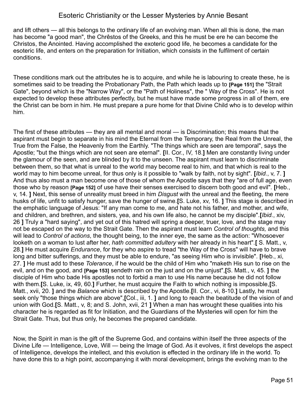and lift others — all this belongs to the ordinary life of an evolving man. When all this is done, the man has become "a good man", the Chrêstos of the Greeks, and this he must be ere he can become the Christos, the Anointed. Having accomplished the exoteric good life, he becomes a candidate for the esoteric life, and enters on the preparation for Initiation, which consists in the fulfilment of certain conditions.

These conditions mark out the attributes he is to acquire, and while he is labouring to create these, he is sometimes said to be treading the Probationary Path, the Path which leads up to **[Page 151]** the "Strait Gate", beyond which is the "Narrow Way", or the "Path of Holiness", the " Way of the Cross". He is not expected to develop these attributes perfectly, but he must have made some progress in all of them, ere the Christ can be born in him. He must prepare a pure home for that Divine Child who is to develop within him.

The first of these attributes — they are all mental and moral — is Discrimination; this means that the aspirant must begin to separate in his mind the Eternal from the Temporary, the Real from the Unreal, the True from the False, the Heavenly from the Earthly. "The things which are seen are temporal", says the Apostle; "but the things which are not seen are eternal". **[**II. Cor., IV, 18.**]** Men are constantly living under the glamour of the seen, and are blinded by it to the unseen. The aspirant must learn to discriminate between them, so that what is unreal to the world may become real to him, and that which is real to the world may to him become unreal, for thus only is it possible to "walk by faith, not by sight". **[***Ibid.*, v, 7. **]** And thus also must a man become one of those of whom the Apostle says that they "are of full age, even those who by reason **[Page 152]** of use have their senses exercised to discern both good and evil". **[**Heb., v, 14. **]** Next, this sense of unreality must breed in him *Disgust* with the unreal and the fleeting, the mere husks of life, unfit to satisfy hunger, save the hunger of swine.**[**S. Luke, xv, 16. **]** This stage is described in the emphatic language of Jesus: "If any man come to me, and hate not his father, and mother, and wife, and children, and brethren, and sisters, yea, and his own life also, he cannot be my disciple".**[***Ibid.*, xiv, 26 **]** Truly a "hard saying", and yet out of this hatred will spring a deeper, truer, love, and the stage may not be escaped on the way to the Strait Gate. Then the aspirant must learn *Control of thoughts,* and this will lead to *Control of actions*, the thought being, to the inner eye, the same as the action: "Whosoever looketh on a woman to lust after her, *hath committed adultery* with her already in his heart".**[** S. Matt., v, 28.**]** He must acquire *Endurance*, for they who aspire to tread "the Way of the Cross" will have to brave long and bitter sufferings, and they must be able to endure, "as seeing Him who is invisible". **[**Heb., xi, 27. **]** He must add to these *Tolerance*, if he would be the child of Him who "maketh His sun to rise on the evil, and on the good, and **[Page 153]** sendeth rain on the just and on the unjust",**[**S. Matt., v, 45. **]** the disciple of Him who bade His apostles not to forbid a man to use His name because he did not follow with them.**[**S. Luke, ix, 49, 60.**]** Further, he must acquire the Faith to which nothing is impossible,**[**S. Matt., xvii, 20. **]** and the *Balance* which is described by the Apostle.**[**II. Cor., vi, 8-10.**]** Lastly, he must seek only "those things which are above",**[**Col., iii, 1. **]** and long to reach the beatitude of the vision of and union with God.**[**S. Matt., v, 8; and S. John, xvii, 21 **]** When a man has wrought these qualities into his character he is regarded as fit for Initiation, and the Guardians of the Mysteries will open for him the Strait Gate. Thus, but thus only, he becomes the prepared candidate.

Now, the Spirit in man is the gift of the Supreme God, and contains within itself the three aspects of the Divine Life — Intelligence, Love, Will — being the Image of God. As it evolves, it first develops the aspect of Intelligence, develops the intellect, and this evolution is effected in the ordinary life in the world. To have done this to a high point, accompanying it with moral development, brings the evolving man to the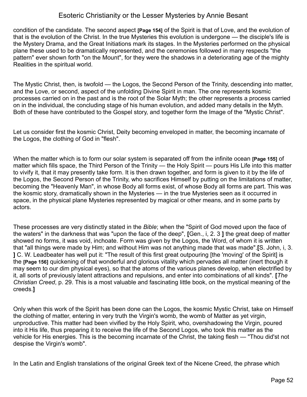condition of the candidate. The second aspect **[Page 154]** of the Spirit is that of Love, and the evolution of that is the evolution of the Christ. In the true Mysteries this evolution is undergone — the disciple's life is the Mystery Drama, and the Great Initiations mark its stages. In the Mysteries performed on the physical plane these used to be dramatically represented, and the ceremonies followed in many respects "the pattern" ever shown forth "on the Mount", for they were the shadows in a deteriorating age of the mighty Realities in the spiritual world.

The Mystic Christ, then, is twofold — the Logos, the Second Person of the Trinity, descending into matter, and the Love, or second, aspect of the unfolding Divine Spirit in man. The one represents kosmic processes carried on in the past and is the root of the Solar Myth; the other represents a process carried on in the individual, the concluding stage of his human evolution, and added many details in the Myth. Both of these have contributed to the Gospel story, and together form the Image of the "Mystic Christ".

Let us consider first the kosmic Christ, Deity becoming enveloped in matter, the becoming incarnate of the Logos, the clothing of God in "flesh".

When the matter which is to form our solar system is separated off from the infinite ocean **[Page 155]** of matter which fills space, the Third Person of the Trinity — the Holy Spirit — pours His Life into this matter to vivify it, that it may presently take form. It is then drawn together, and form is given to it by the life of the Logos, the Second Person of the Trinity, who sacrifices Himself by putting on the limitations of matter, becoming the "Heavenly Man", in whose Body all forms exist, of whose Body all forms are part. This was the kosmic story, dramatically shown in the Mysteries — in the true Mysteries seen as it occurred in space, in the physical plane Mysteries represented by magical or other means, and in some parts by actors.

These processes are very distinctly stated in the *Bible*; when the "Spirit of God moved upon the face of the waters" in the darkness that was "upon the face of the deep", **[**Gen., i, 2. 3 **]** the great deep of matter showed no forms, it was void, inchoate. Form was given by the Logos, the Word, of whom it is written that "all things were made by Him; and without Him was not anything made that was made".**[**S. John, i, 3. **]** C. W. Leadbeater has well put it: "The result of this first great outpouring [the 'moving' of the Spirit] is the **[Page 156]** quickening of that wonderful and glorious vitality which pervades all matter (inert though it may seem to our dim physical eyes), so that the atoms of the various planes develop, when electrified by it, all sorts of previously latent attractions and repulsions, and enter into combinations of all kinds". **[***The Christian Creed*, p. 29. This is a most valuable and fascinating little book, on the mystical meaning of the creeds.**]**

Only when this work of the Spirit has been done can the Logos, the kosmic Mystic Christ, take on Himself the clothing of matter, entering in very truth the Virgin's womb, the womb of Matter as yet virgin, unproductive. This matter had been vivified by the Holy Spirit, who, overshadowing the Virgin, poured into it His life, thus preparing it to receive the life of the Second Logos, who took this matter as the vehicle for His energies. This is the becoming incarnate of the Christ, the taking flesh — "Thou did'st not despise the Virgin's womb".

In the Latin and English translations of the original Greek text of the Nicene Creed, the phrase which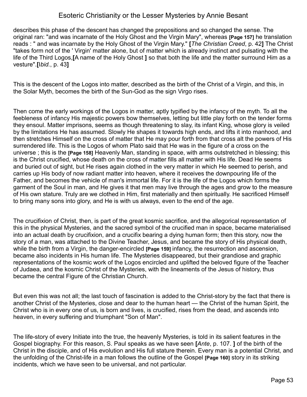describes this phase of the descent has changed the prepositions and so changed the sense. The original ran: "and was incarnate of the Holy Ghost and the Virgin Mary", whereas **[Page 157]** he translation reads : " and was incarnate by the Holy Ghost of the Virgin Mary." **[***The Christian Creed*, p. 42**]** The Christ "takes form not of the ' Virgin' matter alone, but of matter which is already instinct and pulsating with the life of the Third Logos,**[**A name of the Holy Ghost **]** so that both the life and the matter surround Him as a vesture".**[**I*bid.*, p. 43**]**

This is the descent of the Logos into matter, described as the birth of the Christ of a Virgin, and this, in the Solar Myth, becomes the birth of the Sun-God as the sign Virgo rises.

Then come the early workings of the Logos in matter, aptly typified by the infancy of the myth. To all the feebleness of infancy His majestic powers bow themselves, letting but little play forth on the tender forms they ensoul. Matter imprisons, seems as though threatening to slay, its infant King, whose glory is veiled by the limitations He has assumed. Slowly He shapes it towards high ends, and lifts it into manhood, and then stretches Himself on the cross of matter that He may pour forth from that cross alt the powers of His surrendered life. This is the Logos of whom Plato said that He was in the figure of a cross on the universe ; this is the **[Page 158]** Heavenly Man, standing in space, with arms outstretched in blessing; this is the Christ crucified, whose death on the cross of matter fills all matter with His life. Dead He seems and buried out of sight, but He rises again clothed in the very matter in which He seemed to perish, and carries up His body of now radiant matter into heaven, where it receives the downpouring life of the Father, and becomes the vehicle of man's immortal life. For it is the life of the Logos which forms the garment of the Soul in man, and He gives it that men may live through the ages and grow to the measure of His own stature. Truly are we clothed in Him, first materially and then spiritually. He sacrificed Himself to bring many sons into glory, and He is with us always, even to the end of the age.

The crucifixion of Christ, then, is part of the great kosmic sacrifice, and the allegorical representation of this in the physical Mysteries, and the sacred symbol of the crucified man in space, became materialised into an actual death by crucifixion, and a crucifix bearing a dying human form; then this story, now the story of a man, was attached to the Divine Teacher, Jesus, and became the story of His physical death, while the birth from a Virgin, the danger-encircled **[Page 159]** infancy, the resurrection and ascension, became also incidents in His human life. The Mysteries disappeared, but their grandiose and graphic representations of the kosmic work of the Logos encircled and uplifted the beloved figure of the Teacher of Judaea, and the kosmic Christ of the Mysteries, with the lineaments of the Jesus of history, thus became the central Figure of the Christian Church.

But even this was not all; the last touch of fascination is added to the Christ-story by the fact that there is another Christ of the Mysteries, close and dear to the human heart — the Christ of the human Spirit, the Christ who is in every one of us, is born and lives, is crucified, rises from the dead, and ascends into heaven, in every suffering and triumphant "Son of Man".

The life-story of every Initiate into the true, the heavenly Mysteries, is told in its salient features in the Gospel biography. For this reason, S. Paul speaks as we have seen **[***Ante*, p. 107. **]** of the birth of the Christ in the disciple, and of His evolution and His full stature therein. Every man is a potential Christ, and the unfolding of the Christ-life in a man follows the outline of the Gospel **[Page 160]** story in its striking incidents, which we have seen to be universal, and not particular.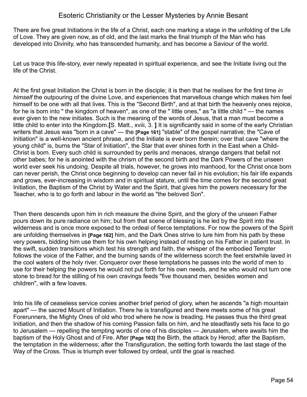There are five great Initiations in the life of a Christ, each one marking a stage in the unfolding of the Life of Love. They are given now, as of old, and the last marks the final triumph of the Man who has developed into Divinity, who has transcended humanity, and has become a Saviour of the world.

Let us trace this life-story, ever newly repeated in spiritual experience, and see the Initiate living out the life of the Christ.

At the first great Initiation the Christ is born in the disciple; it is then that he realises for the first time *in himself* the outpouring of the divine Love, and experiences that marvellous change which makes him feel himself to be one with all that lives. This is the "Second Birth", and at that birth the heavenly ones rejoice, for he is born into " the kingdom of heaven", as one of the " little ones," as "a little child " — the names ever given to the new initiates. Such is the meaning of the words of Jesus, that a man must become a little child to enter into the Kingdom.**[**S. Matt., xviii, 3. **]** It is significantly said in some of the early Christian writers that Jesus was "born in a cave" — the **[Page 161]** "stable" of the gospel narrative; the "Cave of Initiation" is a well-known ancient phrase, and the Initiate is ever born therein; over that cave "where the young child" is, burns the "Star of Initiation", the Star that ever shines forth in the East when a Child-Christ is born. Every such child is surrounded by perils and menaces, strange dangers that befall not other babes; for he is anointed with the chrism of the second birth and the Dark Powers of the unseen world ever seek his undoing. Despite all trials, however, he grows into manhood, for the Christ once born can never perish, the Christ once beginning to develop can never fail in his evolution; his fair life expands and grows, ever-increasing in wisdom and in spiritual stature, until the time comes for the second great Initiation, the Baptism of the Christ by Water and the Spirit, that gives him the powers necessary for the Teacher, who is to go forth and labour in the world as "the beloved Son".

Then there descends upon him in rich measure the divine Spirit, and the glory of the unseen Father pours down its pure radiance on him; but from that scene of blessing is he led by the Spirit into the wilderness and is once more exposed to the ordeal of fierce temptations. For now the powers of the Spirit are unfolding themselves in **[Page 162]** him, and the Dark Ones strive to lure him from his path by these very powers, bidding him use them for his own helping instead of resting on his Father in patient trust. In the swift, sudden transitions which test his strength and faith, the whisper of the embodied Tempter follows the voice of the Father, and the burning sands of the wilderness scorch the feet erstwhile laved in the cool waters of the holy river. Conqueror over these temptations he passes into the world of men to use for their helping the powers he would not put forth for his own needs, and he who would not turn one stone to bread for the stilling of his own cravings feeds "five thousand men, besides women and children", with a few loaves.

Into his life of ceaseless service conies another brief period of glory, when he ascends "a high mountain apart" — the sacred Mount of Initiation. There he is transfigured and there meets some of his great Forerunners, the Mighty Ones of old who trod where he now is treading. He passes thus the third great Initiation, and then the shadow of his coming Passion falls on him, and he steadfastly sets his face to go to Jerusalem — repelling the tempting words of one of his disciples — Jerusalem, where awaits him the baptism of the Holy Ghost and of Fire. After **[Page 163]** the Birth, the attack by Herod; after the Baptism, the temptation in the wilderness; after the Transfiguration, the setting forth towards the last stage of the Way of the Cross. Thus is triumph ever followed by ordeal, until the goal is reached.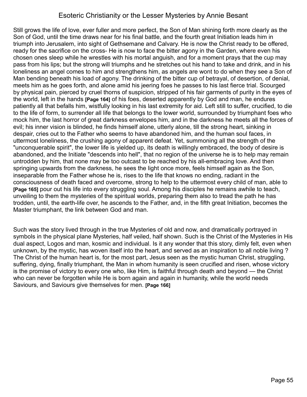Still grows the life of love, ever fuller and more perfect, the Son of Man shining forth more clearly as the Son of God, until the time draws near for his final battle, and the fourth great Initiation leads him in triumph into Jerusalem, into sight of Gethsemane and Calvary. He is now the Christ ready to be offered, ready for the sacrifice on the cross- He is now to face the bitter agony in the Garden, where even his chosen ones sleep while he wrestles with his mortal anguish, and for a moment prays that the cup may pass from his lips; but the strong will triumphs and he stretches out his hand to take and drink, and in his loneliness an angel comes to him and strengthens him, as angels are wont to do when they see a Son of Man bending beneath his load of agony. The drinking of the bitter cup of betrayal, of desertion, of denial, meets him as he goes forth, and alone amid his jeering foes he passes to his last fierce trial. Scourged by physical pain, pierced by cruel thorns of suspicion, stripped of his fair garments of purity in the eyes of the world, left in the hands **[Page 164]** of his foes, deserted apparently by God and man, he endures patiently all that befalls him, wistfully looking in his last extremity for aid. Left still to suffer, crucified, to die to the life of form, to surrender all life that belongs to the lower world, surrounded by triumphant foes who mock him, the last horror of great darkness envelopes him, and in the darkness he meets all the forces of evil; his inner vision is blinded, he finds himself alone, utterly alone, till the strong heart, sinking in despair, cries out to the Father who seems to have abandoned him, and the human soul faces, in uttermost loneliness, the crushing agony of apparent defeat. Yet, summoning all the strength of the "unconquerable spirit", the lower life is yielded up, its death is willingly embraced, the body of desire is abandoned, and the Initiate "descends into hell", that no region of the universe he is to help may remain untrodden by him, that none may be too outcast to be reached by his all-embracing love. And then springing upwards from the darkness, he sees the light once more, feels himself again as the Son, inseparable from the Father whose he is, rises to the life that knows no ending, radiant in the consciousness of death faced and overcome, strong to help to the uttermost every child of man, able to **[Page 165]** pour out his life into every struggling soul. Among his disciples he remains awhile to teach, unveiling to them the mysteries of the spiritual worlds, preparing them also to tread the path he has trodden, until, the earth-life over, he ascends to the Father, and, in the fifth great Initiation, becomes the Master triumphant, the link between God and man.

Such was the story lived through in the true Mysteries of old and now, and dramatically portrayed in symbols in the physical plane Mysteries, half veiled, half shown. Such is the Christ of the Mysteries in His dual aspect, Logos and man, kosmic and individual. Is it any wonder that this story, dimly felt, even when unknown, by the mystic, has woven itself into the heart, and served as an inspiration to all noble living ? The Christ of the human heart is, for the most part, Jesus seen as the mystic human Christ, struggling, suffering, dying, finally triumphant, the Man in whom humanity is seen crucified and risen, whose victory is the promise of victory to every one who, like Him, is faithful through death and beyond — the Christ who can never be forgotten while He is born again and again in humanity, while the world needs Saviours, and Saviours give themselves for men. **[Page 166]**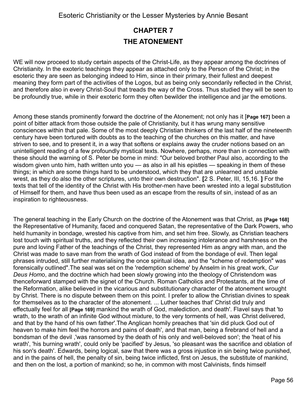# **CHAPTER 7 THE ATONEMENT**

WE will now proceed to study certain aspects of the Christ-Life, as they appear among the doctrines of Christianity. In the exoteric teachings they appear as attached only to the Person of the Christ; in the esoteric they are seen as belonging indeed to Him, since in their primary, their fullest and deepest meaning they form part of the activities of the Logos, but as being only secondarily reflected in the Christ, and therefore also in every Christ-Soul that treads the way of the Cross. Thus studied they will be seen to be profoundly true, while in their exoteric form they often bewilder the intelligence and jar the emotions.

Among these stands prominently forward the doctrine of the Atonement; not only has it [**Page 167]** been a point of bitter attack from those outside the pale of Christianity, but it has wrung many sensitive consciences within that pale. Some of the most deeply Christian thinkers of the last half of the nineteenth century have been tortured with doubts as to the teaching of the churches on this matter, and have striven to see, and to present it, in a way that softens or explains away the cruder notions based on an unintelligent reading of a few profoundly mystical texts. Nowhere, perhaps, more than in connection with these should the warning of S. Peter be borne in mind: "Our beloved brother Paul also, according to the wisdom given unto him, hath written unto you — as also in all his epistles — speaking in them of these things; in which are some things hard to be understood, which they that are unlearned and unstable wrest, as they do also the other scriptures, unto their own destruction". **[**2 S. Peter, III, 15,16. **]** For the texts that tell of the identity of the Christ with His brother-men have been wrested into a legal substitution of Himself for them, and have thus been used as an escape from the results of sin, instead of as an inspiration to righteousness.

The general teaching in the Early Church on the doctrine of the Atonement was that Christ, as **[Page 168]** the Representative of Humanity, faced and conquered Satan, the representative of the Dark Powers, who held humanity in bondage, wrested his captive from him, and set him free. Slowly, as Christian teachers lost touch with spiritual truths, and they reflected their own increasing intolerance and harshness on the pure and loving Father of the teachings of the Christ, they represented Him as angry with man, and the Christ was made to save man from the wrath of God instead of from the bondage of evil. Then legal phrases intruded, still further materialising the once spiritual idea, and the "scheme of redemption" was forensically outlined".The seal was set on the 'redemption scheme' by Anselm in his great work, *Cur Deus Hom*o, and the doctrine which had been slowly growing into the theology of Christendom was thenceforward stamped with the signet of the Church. Roman Catholics and Protestants, at the time of the Reformation, alike believed in the vicarious and substitutionary character of the atonement wrought by Christ. There is no dispute between them on this point. I prefer to allow the Christian divines to speak for themselves as to the character of the atonement. ... Luther teaches that' Christ did truly and effectually feel for all **[Page 169]** mankind the wrath of God, malediction, and death'. Flavel says that 'to wrath, to the wrath of an infinite God without mixture, to the very torments of hell, was Christ delivered, and that by the hand of his own father'.The Anglican homily preaches that 'sin did pluck God out of heaven to make him feel the horrors and pains of death', and that man, being a firebrand of hell and a bondsman of the devil ,'was ransomed by the death of his only and well-beloved son'; the 'heat of his wrath', 'his burning wrath', could only be 'pacified' by Jesus, 'so pleasant was the sacrifice and oblation of his son's death'. Edwards, being logical, saw that there was a gross injustice in sin being twice punished, and in the pains of hell, the penalty of sin, being twice inflicted, first on Jesus, the substitute of mankind, and then on the lost, a portion of mankind; so he, in common with most Calvinists, finds himself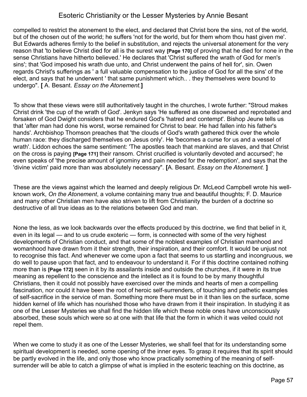compelled to restrict the atonement to the elect, and declared that Christ bore the sins, not of the world, but of the chosen out of the world; he suffers 'not for the world, but for them whom thou hast given me'. But Edwards adheres firmly to the belief in substitution, and rejects the universal atonement for the very reason that 'to believe Christ died for all is the surest way **[Page 170]** of proving that he died for none in the sense Christians have hitherto believed.' He declares that 'Christ suffered the wrath of God for men's sins'; that 'God imposed his wrath due unto, and Christ underwent the pains of hell for', sin. Owen regards Christ's sufferings as ' a full valuable compensation to the justice of God for all the sins' of the elect, and says that he underwent ' that same punishment which.. . they themselves were bound to undergo". **[** A. Besant. *Essay on the Atonement.***]**

To show that these views were still authoritatively taught in the churches, I wrote further: "Stroud makes Christ drink 'the cup of the wrath of God'. Jenkyn says 'He suffered as one disowned and reprobated and forsaken of God Dwight considers that he endured God's 'hatred and contempt'. Bishop Jeune tells us that 'after man had done his worst, worse remained for Christ to bear. He had fallen into his father's hands'. Archbishop Thomson preaches that 'the clouds of God's wrath gathered thick over the whole human race: they discharged themselves on Jesus only'. He 'becomes a curse for us and a vessel of wrath'. Liddon echoes the same sentiment: 'The apostles teach that mankind are slaves, and that Christ on the cross is paying **[Page 171]** their ransom. Christ crucified is voluntarily devoted and accursed'; he even speaks of 'the precise amount of ignominy and pain needed for the redemption', and says that the 'divine victim' paid more than was absolutely necessary". **[**A. Besant. *Essay on the Atonement.* **]**

These are the views against which the learned and deeply religious Dr. McLeod Campbell wrote his wellknown work, *On the Atonement*, a volume containing many true and beautiful thoughts; F. D. Maurice and many other Christian men have also striven to lift from Christianity the burden of a doctrine so destructive of all true ideas as to the relations between God and man.

None the less, as we look backwards over the effects produced by this doctrine, we find that belief in it, even in its legal — and to us crude exoteric — form, is connected with some of the very highest developments of Christian conduct, and that some of the noblest examples of Christian manhood and womanhood have drawn from it their strength, their inspiration, and their comfort. It would be unjust not to recognise this fact. And whenever we come upon a fact that seems to us startling and incongruous, we do well to pause upon that fact, and to endeavour to understand it. For if this doctrine contained nothing more than is **[Page 172]** seen in it by its assailants inside and outside the churches, if it were in its true meaning as repellent to the conscience and the intellect as it is found to be by many thoughtful Christians, then it could not possibly have exercised over the minds and hearts of men a compelling fascination, nor could it have been the root of heroic self-surrenders, of touching and pathetic examples of self-sacrifice in the service of man. Something more there must be in it than lies on the surface, some hidden kernel of life which has nourished those who have drawn from it their inspiration. In studying it as one of the Lesser Mysteries we shall find the hidden life which these noble ones have unconsciously absorbed, these souls which were so at one with that life that the form in which it was veiled could not repel them.

When we come to study it as one of the Lesser Mysteries, we shall feel that for its understanding some spiritual development is needed, some opening of the inner eyes. To grasp it requires that its spirit should be partly evolved in the life, and only those who know practically something of the meaning of selfsurrender will be able to catch a glimpse of what is implied in the esoteric teaching on this doctrine, as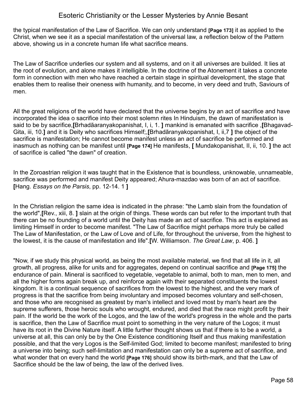the typical manifestation of the Law of Sacrifice. We can only understand **[Page 173]** it as applied to the Christ, when we see it as a special manifestation of the universal law, a reflection below of the Pattern above, showing us in a concrete human life what sacrifice means.

The Law of Sacrifice underlies our system and all systems, and on it all universes are builded. It lies at the root of evolution, and alone makes it intelligible. In the doctrine of the Atonement it takes a concrete form in connection with men who have reached a certain stage in spiritual development, the stage that enables them to realise their oneness with humanity, and to become, in very deed and truth, Saviours of men.

All the great religions of the world have declared that the universe begins by an act of sacrifice and have incorporated the idea o sacrifice into their most solemn rites In Hinduism, the dawn of manifestation is said to be by sacrifice,**[**Brhadãaranyakopanishat, I, i, 1. **]** mankind is emanated with sacrifice ,**[**Bhagavad-Gita, iii, 10.**]** and it is Deity who sacrifices Himself;,**[**Brhadãranyakopanishat, I, ii,7 **]** the object of the sacrifice is manifestation; He cannot become manifest unless an act of sacrifice be performed and inasmuch as nothing can be manifest until **[Page 174]** He manifests, **[** Mundakopanishat, II, ii, 10. **]** the act of sacrifice is called "the dawn" of creation.

In the Zoroastrian religion it was taught that in the Existence that is boundless, unknowable, unnameable, sacrifice was performed and manifest Deity appeared; Ahura-mazdao was born of an act of sacrifice. **[**Hang. *Essays on the Parsis*, pp. 12-14. 1 **]**

In the Christian religion the same idea is indicated in the phrase: "the Lamb slain from the foundation of the world",**[**Rev., xiii, 8. **]** slain at the origin of things. These words can but refer to the important truth that there can be no founding of a world until the Deity has made an act of sacrifice. This act is explained as limiting Himself in order to become manifest. "The Law of Sacrifice might perhaps more truly be called The Law of Manifestation, or the Law of Love and of Life, for throughout the universe, from the highest to the lowest, it is the cause of manifestation and life".**[**W. Williamson. *The Great Law*, p. 406. **]**

"Now, if we study this physical world, as being the most available material, we find that all life in it, all growth, all progress, alike for units and for aggregates, depend on continual sacrifice and **[Page 175]** the endurance of pain. Mineral is sacrificed to vegetable, vegetable to animal, both to man, men to men, and all the higher forms again break up, and reinforce again with their separated constituents the lowest kingdom. It is a continual sequence of sacrifices from the lowest to the highest, and the very mark of progress is that the sacrifice from being involuntary and imposed becomes voluntary and self-chosen, and those who are recognised as greatest by man's intellect and loved most by man's heart are the supreme sufferers, those heroic souls who wrought, endured, and died that the race might profit by their pain. If the world be the work of the Logos, and the law of the world's progress in the whole and the parts is sacrifice, then the Law of Sacrifice must point to something in the very nature of the Logos; it must have its root in the Divine Nature itself. A little further thought shows us that if there is to be a world, a universe at all, this can only be by the One Existence conditioning Itself and thus making manifestation possible, and that the very Logos is the Self-limited God; limited to become manifest; manifested to bring a universe into being; such self-limitation and manifestation can only be a supreme act of sacrifice, and what wonder that on every hand the world **[Page 176]** should show its birth-mark, and that the Law of Sacrifice should be the law of being, the law of the derived lives.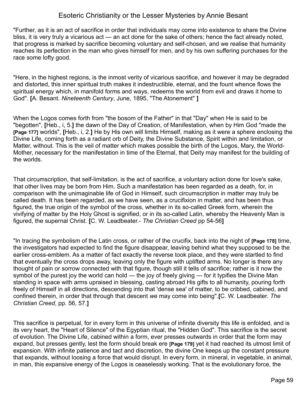"Further, as it is an act of sacrifice in order that individuals may come into existence to share the Divine bliss, it is very truly a vicarious act — an act done for the sake of others; hence the fact already noted, that progress is marked by sacrifice becoming voluntary and self-chosen, and we realise that humanity reaches its perfection in the man who gives himself for men, and by his own suffering purchases for the race some lofty good.

"Here, in the highest regions, is the inmost verity of vicarious sacrifice, and however it may be degraded and distorted, this inner spiritual truth makes it indestructible, eternal, and the fount whence flows the spiritual energy which, in manifold forms and ways, redeems the world from evil and draws it home to God". **[**A. Besant. *Nineteenth Century*, June, 1895, "The Atonement" **]**

When the Logos comes forth from "the bosom of the Father" in that "Day" when He is said to be "begotten", **[**Heb., i, 5.**]** the dawn of the Day of Creation, of Manifestation, when by Him God "made the **[Page 177]** worlds", **[**Heb., i, 2.**]** He by His own will limits Himself, making as it were a sphere enclosing the Divine Life, coming forth as a radiant orb of Deity, the Divine Substance, Spirit within and limitation, or Matter, without. This is the veil of matter which makes possible the birth of the Logos, Mary, the World-Mother, necessary for the manifestation in time of the Eternal, that Deity may manifest for the building of the worlds.

That circumscription, that self-limitation, is the act of sacrifice, a voluntary action done for love's sake, that other lives may be born from Him. Such a manifestation has been regarded as a death, for, in comparison with the unimaginable life of God in Himself, such circumscription in matter may truly be called death. It has been regarded, as we have seen, as a crucifixion in matter, and has been thus figured, the true origin of the symbol of the cross, whether in its so-called Greek form, wherein the vivifying of matter by the Holy Ghost is signified, or in its so-called Latin, whereby the Heavenly Man is figured, the supernal Christ. **[**C. W. Leadbeater.- *The Christian Creed* pp 54-56**]**

"In tracing the symbolism of the Latin cross, or rather of the crucifix, back into the night of **[Page 178]** time, the investigators had expected to find the figure disappear, leaving behind what they supposed to be the earlier cross-emblem. As a matter of fact exactly the reverse took place, and they were startled to find that eventually the cross drops away, leaving only the figure with uplifted arms. No longer is there any thought of pain or sorrow connected with that figure, though still it tells of sacrifice; rather is it now the symbol of the purest joy the world can hold — the joy of freely giving — for it typifies the Divine Man standing in space with arms upraised in blessing, casting abroad His gifts to all humanity, pouring forth freely of Himself in all directions, descending into that 'dense sea' of matter, to be cribbed, cabined, and confined therein, in order that through that descent *we* may come into being".**[**C. W. Leadbeater. *The Christian Creed*, pp. 56, 57.**]**

This sacrifice is perpetual, for in every form in this universe of infinite diversity this life is enfolded, and is its very heart, the "Heart of Silence" of the Egyptian ritual, the "Hidden God". This sacrifice is the secret of evolution. The Divine Life, cabined within a form, ever presses outwards in order that the form may expand, but presses gently, lest the form should break ere **[Page 179]** yet it had reached its utmost limit of expansion. With infinite patience and tact and discretion, the divine One keeps up the constant pressure that expands, without loosing a force that would disrupt. In every form, in mineral, in vegetable, in animal, in man, this expansive energy of the Logos is ceaselessly working. That is the evolutionary force, the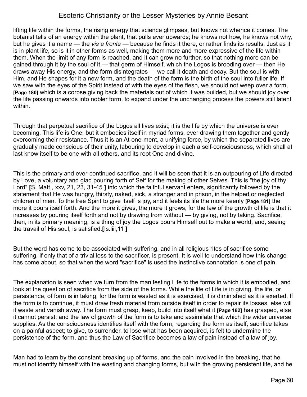lifting life within the forms, the rising energy that science glimpses, but knows not whence it comes. The botanist tells of an energy within the plant, that pulls ever upwards; he knows not how, he knows not why, but he gives it a name — the *vis a front*e — because he finds it there, or rather finds its results. Just as it is in plant life, so is it in other forms as well, making them more and more expressive of the life within them. When the limit of any form is reached, and it can grow no further, so that nothing more can be gained through it by the soul of it — that germ of Himself, which the Logos is brooding over — then He draws away His energy, and the form disintegrates — we call it death and decay. But the soul is with Him, and He shapes for it a new form, and the death of the form is the birth of the soul into fuller life. If we saw with the eyes of the Spirit instead of with the eyes of the flesh, we should not weep over a form, **[Page 180]** which is a corpse giving back the materials out of which it was builded, but we should joy over the life passing onwards into nobler form, to expand under the unchanging process the powers still latent within.

Through that perpetual sacrifice of the Logos all lives exist; it is the life by which the universe is ever becoming. This life is One, but it embodies itself in myriad forms, ever drawing them together and gently overcoming their resistance. Thus it is an At-one-ment, a unifying force, by which the separated lives are gradually made conscious of their unity, labouring to develop in each a self-consciousness, which shall at last know itself to be one with all others, and its root One and divine.

This is the primary and ever-continued sacrifice, and it will be seen that it is an outpouring of Life directed by Love, a voluntary and glad pouring forth of Self for the making of other Selves. This is "the joy of thy Lord" **[**S. Matt., xxv, 21, 23, 31-45 **]** into which the faithful servant enters, significantly followed by the statement that He was hungry, thirsty, naked, sick, a stranger and in prison, in the helped or neglected children of men. To the free Spirit to give itself is joy, and it feels its life the more keenly **[Page 181]** the more it pours itself forth. And the more it gives, the more it grows, for the law of the growth of life is that it increases by pouring itself forth and not by drawing from without — by giving, not by taking. Sacrifice, then, in its primary meaning, is a thing of joy the Logos pours Himself out to make a world, and, seeing the travail of His soul, is satisfied.**[**Is.liii,11 **]** 

But the word has come to be associated with suffering, and in all religious rites of sacrifice some suffering, if only that of a trivial loss to the sacrificer, is present. It is well to understand how this change has come about, so that when the word "sacrifice" is used the instinctive connotation is one of pain.

The explanation is seen when we turn from the manifesting Life to the forms in which it is embodied, and look at the question of sacrifice from the side of the forms. While the life of Life is in giving, the life, or persistence, of form is in taking, for the form is wasted as it is exercised, it is diminished as it is exerted. If the form is to continue, it must draw fresh material from outside itself in order to repair its losses, else will it waste and vanish away. The form must grasp, keep, build into itself what it **[Page 182]** has grasped, else it cannot persist; and the law of growth of the form is to take and assimilate that which the wider universe supplies. As the consciousness identifies itself with the form, regarding the form as itself, sacrifice takes on a painful aspect; to give, to surrender, to lose what has been acquired, is felt to undermine the persistence of the form, and thus the Law of Sacrifice becomes a law of pain instead of a law of joy.

Man had to learn by the constant breaking up of forms, and the pain involved in the breaking, that he must not identify himself with the wasting and changing forms, but with the growing persistent life, and he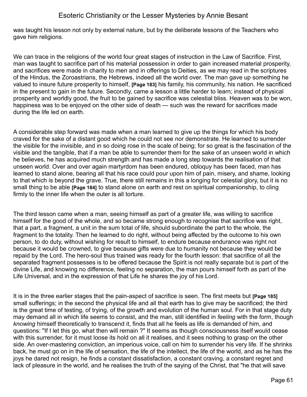was taught his lesson not only by external nature, but by the deliberate lessons of the Teachers who gave him religions.

We can trace in the religions of the world four great stages of instruction in the Law of Sacrifice. First, man was taught to sacrifice part of his material possession in order to gain increased material prosperity, and sacrifices were made in charity to men and in offerings to Deities, as we may read in the scriptures of the Hindus, the Zoroastrians, the Hebrews, indeed all the world over. The man gave up something he valued to insure future prosperity to himself, **[Page 183]** his family, his community, his nation. He sacrificed in the present to gain in the future. Secondly, came a lesson a little harder to learn; instead of physical prosperity and worldly good, the fruit to be gained by sacrifice was celestial bliss. Heaven was to be won, happiness was to be enjoyed on the other side of death — such was the reward for sacrifices made during the life led on earth.

A considerable step forward was made when a man learned to give up the things for which his body craved for the sake of a distant good which he could not see nor demonstrate. He learned to surrender the visible for the invisible, and in so doing rose in the scale of being; for so great is the fascination of the visible and the tangible, that if a man be able to surrender them for the sake of an unseen world in which he believes, he has acquired much strength and has made a long step towards the realisation of that unseen world. Over and over again martyrdom has been endured, obloquy has been faced, man has learned to stand alone, bearing all that his race could pour upon him of pain, misery, and shame, looking to that which is beyond the grave. True, there still remains in this a longing for celestial glory, but it is no small thing to be able **[Page 184]** to stand alone on earth and rest on spiritual companionship, to cling firmly to the inner life when the outer is all torture.

The third lesson came when a man, seeing himself as part of a greater life, was willing to sacrifice himself for the good of the whole, and so became strong enough to recognise that sacrifice was right, that a part, a fragment, a unit in the sum total of life, should subordinate the part to the whole, the fragment to the totality. Then he learned to do right, without being affected by the outcome to his own person, to do duty, without wishing for result to himself, to endure because endurance was right not because it would be crowned, to give because gifts were due to humanity not because they would be repaid by the Lord. The hero-soul thus trained was ready for the fourth lesson: that sacrifice of all the separated fragment possesses is to be offered because the Spirit is not really separate but is part of the divine Life, and knowing no difference, feeling no separation, the man pours himself forth as part of the Life Universal, and in the expression of that Life he shares the joy of his Lord.

It is in the three earlier stages that the pain-aspect of sacrifice is seen. The first meets but **[Page 185]** small sufferings; in the second the physical life and all that earth has to give may be sacrificed; the third is the great time of testing, of trying, of the growth and evolution of the human soul. For in that stage duty may demand all in which life seems to consist, and the man, still identified in *feeling* with the form, though *knowing* himself theoretically to transcend it, finds that all he feels as life is demanded of him, and questions: "If I let this go, what then will remain ?" It seems as though consciousness itself would cease with this surrender, for it must loose its hold on all it realises, and it sees nothing to grasp on the other side. An over-mastering conviction, an imperious voice, call on him to surrender his very life. If he shrinks back, he must go on in the life of sensation, the life of the intellect, the life of the world, and as he has the joys he dared not resign, he finds a constant dissatisfaction, a constant craving, a constant regret and lack of pleasure in the world, and he realises the truth of the saying of the Christ, that "he that will save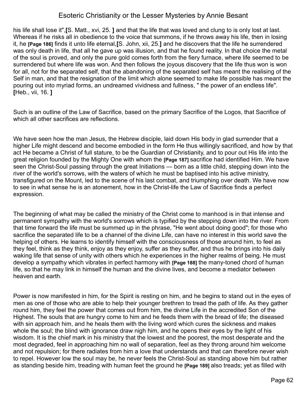his life shall lose it",**[**S. Matt., xvi, 25. **]** and that the life that was loved and clung to is only lost at last. Whereas if he risks all in obedience to the voice that summons, if he throws away his life, then in losing it, he **[Page 186]** finds it unto life eternal,**[**S. John, xii, 25.**]** and he discovers that the life he surrendered was only death in life, that all he gave up was illusion, and that he found reality. In that choice the metal of the soul is proved, and only the pure gold comes forth from the fiery furnace, where life seemed to be surrendered but where life was won. And then follows the joyous discovery that the life thus won is won for all, not for the separated self, that the abandoning of the separated self has meant the realising of the Self in man, and that the resignation of the limit which alone seemed to make life possible has meant the pouring out into myriad forms, an undreamed vividness and fullness, " the power of an endless life". **[**Heb., vii, 16. **]**

Such is an outline of the Law of Sacrifice, based on the primary Sacrifice of the Logos, that Sacrifice of which all other sacrifices are reflections.

We have seen how the man Jesus, the Hebrew disciple, laid down His body in glad surrender that a higher Life might descend and become embodied in the form He thus willingly sacrificed, and how by that act He became a Christ of full stature, to be the Guardian of Christianity, and to pour out His life into the great religion founded by the Mighty One with whom the **[Page 187]** sacrifice had identified Him. We have seen the Christ-Soul passing through the great Initiations — born as a little child, stepping down into the river of the world's sorrows, with the waters of which he must be baptised into his active ministry, transfigured on the Mount, led to the scene of his last combat, and triumphing over death. We have now to see in what sense he is an atonement, how in the Christ-life the Law of Sacrifice finds a perfect expression.

The beginning of what may be called the ministry of the Christ come to manhood is in that intense and permanent sympathy with the world's sorrows which is typified by the stepping down into the river. From that time forward the life must be summed up in the phrase, "He went about doing good"; for those who sacrifice the separated life to be a channel of the divine Life, can have no interest in this world save the helping of others. He learns to identify himself with the consciousness of those around him, to feel as they feel, think as they think, enjoy as they enjoy, suffer as they suffer, and thus he brings into his daily waking life that sense of unity with others which he experiences in the higher realms of being. He must develop a sympathy which vibrates in perfect harmony with **[Page 188]** the many-toned chord of human life, so that he may link in himself the human and the divine lives, and become a mediator between heaven and earth.

Power is now manifested in him, for the Spirit is resting on him, and he begins to stand out in the eyes of men as one of those who are able to help their younger brethren to tread the path of life. As they gather round him, they feel the power that comes out from him, the divine Life in the accredited Son of the Highest. The souls that are hungry come to him and he feeds them with the bread of life; the diseased with sin approach him, and he heals them with the living word which cures the sickness and makes whole the soul; the blind with ignorance draw nigh him, and he opens their eyes by the light of his wisdom. It is the chief mark in his ministry that the lowest and the poorest, the most desperate and the most degraded, feel in approaching him no wall of separation, feel as they throng around him welcome and not repulsion; for there radiates from him a love that understands and that can therefore never wish to repel. However low the soul may be, he never feels the Christ-Soul as standing above him but rather as standing beside him, treading with human feet the ground he **[Page 189]** also treads; yet as filled with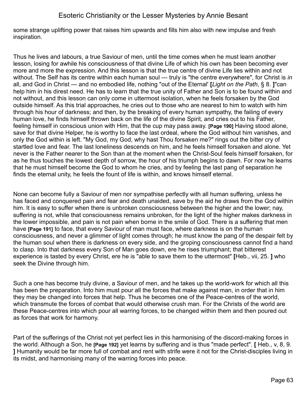some strange uplifting power that raises him upwards and fills him also with new impulse and fresh inspiration.

Thus he lives and labours, a true Saviour of men, until the time comes when he must learn another lesson, losing for awhile his consciousness of that divine Life of which his own has been becoming ever more and more the expression. And this lesson is that the true centre of divine Life lies within and not without. The Self has its centre within each human soul — truly is "the centre everywhere", for Christ is *in* all, and God in Christ — and no embodied life, nothing "out of the Eternal' **[***Light on the Path*, § 8. **]**"can help him in his direst need. He has to learn that the true unity of Father and Son is to be found within and not without, and this lesson can only come in uttermost isolation, when he feels forsaken by the God outside himself. As this trial approaches, he cries out to those who are nearest to him to watch with him through his hour of darkness; and then, by the breaking of every human sympathy, the failing of every human love, he finds himself thrown back on the life of the divine Spirit, and cries out to his Father, feeling himself in conscious union with Him, that the cup may pass away. **[Page 190]** Having stood alone, save for that divine Helper, he is worthy to face the last ordeal, where the God without him vanishes, and only the God within is left. "My God, my God, why hast Thou forsaken me?" rings out the bitter cry of startled love and fear. The last loneliness descends on him, and he feels himself forsaken and alone. Yet never is the Father nearer to the Son than at the moment when the Christ-Soul feels himself forsaken, for as he thus touches the lowest depth of sorrow, the hour of his triumph begins to dawn. For now he learns that he must himself become the God to whom he cries, and by feeling the last pang of separation he finds the eternal unity, he feels the fount of life is within, and knows himself eternal.

None can become fully a Saviour of men nor sympathise perfectly with all human suffering, unless he has faced and conquered pain and fear and death unaided, save by the aid he draws from the God within him. It is easy to suffer when there is unbroken consciousness between the higher and the lower; nay, suffering is not, while that consciousness remains unbroken, for the light of the higher makes darkness in the lower impossible, and pain is not pain when borne in the smile of God. There is a suffering that men have **[Page 191]** to face, that every Saviour of man must face, where darkness is on the human consciousness, and never a glimmer of light comes through; he must know the pang of the despair felt by the human soul when there is darkness on every side, and the groping consciousness cannot find a hand to clasp. Into that darkness every Son of Man goes down, ere he rises triumphant; that bitterest experience is tasted by every Christ, ere he is "able to save them to the uttermost" **[**Heb., vii, 25. **]** who seek the Divine through him.

Such a one has become truly divine, a Saviour of men, and he takes up the world-work for which all this has been the preparation. Into him must pour all the forces that make against man, in order that in him they may be changed into forces that help. Thus he becomes one of the Peace-centres of the world, which transmute the forces of combat that would otherwise crush man. For the Christs of the world are these Peace-centres into which pour all warring forces, to be changed within them and then poured out as forces that work for harmony.

Part of the sufferings of the Christ not yet perfect lies in this harmonising of the discord-making forces in the world. Although a Son, he **[Page 192]** yet learns by suffering and is thus "made perfect". **[** Heb., v, 8, 9. **]** Humanity would be far more full of combat and rent with strife were it not for the Christ-disciples living in its midst, and harmonising many of the warring forces into peace.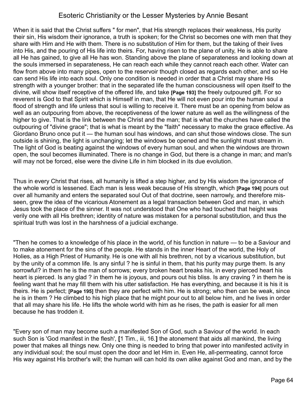When it is said that the Christ suffers " for men", that His strength replaces their weakness, His purity their sin, His wisdom their ignorance, a truth is spoken; for the Christ so becomes one with men that they share with Him and He with them. There is no substitution of Him for them, but the taking of their lives into His, and the pouring of His life into theirs. For, having risen to the plane of unity, He is able to share all He has gained, to give all He has won. Standing above the plane of separateness and looking down at the souls immersed in separateness, He can reach each while they cannot reach each other. Water can flow from above into many pipes, open to the reservoir though closed as regards each other, and so He can send His life into each soul. Only one condition is needed in order that a Christ may share His strength with a younger brother: that in the separated life the human consciousness will open itself to the divine, will show itself receptive of the offered life, and take **[Page 193]** the freely outpoured gift. For so reverent is God to that Spirit which is Himself in man, that He will not even pour into the human soul a flood of strength and life unless that soul is willing to receive it. There must be an opening from below as well as an outpouring from above, the receptiveness of the lower nature as well as the willingness of the higher to give. That is the link between the Christ and the man; that is what the churches have called the outpouring of "divine grace"; that is what is meant by the "faith" necessary to make the grace effective. As Giordano Bruno once put it — the human soul has windows, and can shut those windows close. The sun outside is shining, the light is unchanging; let the windows be opened and the sunlight must stream in. The light of God is beating against the windows of every human soul, and when the windows are thrown open, the soul becomes illuminated. There is no change in God, but there is a change in man; and man's will may not be forced, else were the divine Life in him blocked in its due evolution.

Thus in every Christ that rises, all humanity is lifted a step higher, and by His wisdom the ignorance of the whole world is lessened. Each man is less weak because of His strength, which **[Page 194]** pours out over all humanity and enters the separated soul Out of that doctrine, seen narrowly, and therefore misseen, grew the idea of the vicarious Atonement as a legal transaction between God and man, in which Jesus took the place of the sinner. It was not understood that One who had touched that height was verily one with all His brethren; identity of nature was mistaken for a personal substitution, and thus the spiritual truth was lost in the harshness of a judicial exchange.

"Then he comes to a knowledge of his place in the world, of his function in nature — to be a Saviour and to make atonement for the sins of the people. He stands in the inner Heart of the world, the Holy of Holies, as a High Priest of Humanity. He is one with all his brethren, not by a vicarious substitution, but by the unity of a common life. Is any sinful ? he is sinful in them, that his purity may purge them. Is any sorrowful? in them he is the man of sorrows; every broken heart breaks his, in every pierced heart his heart is pierced. Is any glad ? in them he is joyous, and pours out his bliss. Is any craving ? in them he is feeling want that he may fill them with his utter satisfaction. He has everything, and because it is his it is theirs. He is perfect; **[Page 195]** then they are perfect with him. He is strong; who then can be weak, since he is in them ? He climbed to his high place that he might pour out to all below him, and he lives in order that all may share his life. He lifts the whole world with him as he rises, the path is easier for all men because he has trodden it.

"Every son of man may become such a manifested Son of God, such a Saviour of the world. In each such Son is 'God manifest in the flesh', **[**1 Tim., iii, 16.**]** the atonement that aids all mankind, the living power that makes all things new. Only one thing is needed to bring that power into manifested activity in any individual soul; the soul must open the door and let Him in. Even He, all-permeating, cannot force His way against His brother's will; the human will can hold its own alike against God and man, and by the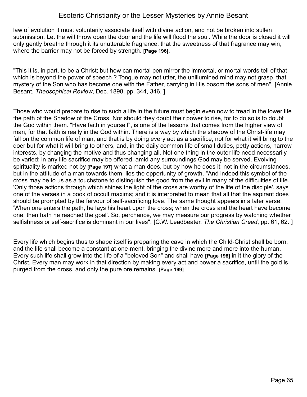law of evolution it must voluntarily associate itself with divine action, and not be broken into sullen submission. Let the will throw open the door and the life will flood the soul. While the door is closed it will only gently breathe through it its unutterable fragrance, that the sweetness of that fragrance may win, where the barrier may not be forced by strength. **[Page 196]**.

"This it is, in part, to be a Christ; but how can mortal pen mirror the immortal, or mortal words tell of that which is beyond the power of speech ? Tongue may not utter, the unillumined mind may not grasp, that mystery of the Son who has become one with the Father, carrying in His bosom the sons of men". **[**Annie Besant. *Theosophical Review*, Dec.,1898, pp. 344, 346. **]**

Those who would prepare to rise to such a life in the future must begin even now to tread in the lower life the path of the Shadow of the Cross. Nor should they doubt their power to rise, for to do so is to doubt the God within them. "Have faith in yourself", is one of the lessons that comes from the higher view of man, for that faith is really in the God within. There is a way by which the shadow of the Christ-life may fall on the common life of man, and that is by doing every act as a sacrifice, not for what it will bring to the doer but for what it will bring to others, and, in the daily common life of small duties, petty actions, narrow interests, by changing the motive and thus changing all. Not one thing in the outer life need necessarily be varied; in any life sacrifice may be offered, amid any surroundings God may be served. Evolving spirituality is marked not by **[Page 197]** what a man does, but by how he does it; not in the circumstances, but in the attitude of a man towards them, lies the opportunity of growth. "And indeed this symbol of the cross may be to us as a touchstone to distinguish the good from the evil in many of the difficulties of life. 'Only those actions through which shines the light of the cross are worthy of the life of the disciple', says one of the verses in a book of occult maxims; and it is interpreted to mean that all that the aspirant does should be prompted by the fervour of self-sacrificing love. The same thought appears in a later verse: 'When one enters the path, he lays his heart upon the cross; when the cross and the heart have become one, then hath he reached the goal'. So, perchance, we may measure our progress by watching whether selfishness or self-sacrifice is dominant in our lives". **[**C.W. Leadbeater. *The Christian Creed*, pp. 61, 62. **]**

Every life which begins thus to shape itself is preparing the cave in which the Child-Christ shall be born, and the life shall become a constant at-one-ment, bringing the divine more and more into the human. Every such life shall grow into the life of a "beloved Son" and shall have **[Page 198]** in it the glory of the Christ. Every man may work in that direction by making every act and power a sacrifice, until the gold is purged from the dross, and only the pure ore remains. **[Page 199]**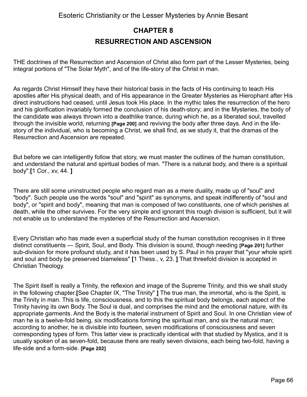# **CHAPTER 8 RESURRECTION AND ASCENSION**

THE doctrines of the Resurrection and Ascension of Christ also form part of the Lesser Mysteries, being integral portions of "The Solar Myth", and of the life-story of the Christ in man.

As regards Christ Himself they have their historical basis in the facts of His continuing to teach His apostles after His physical death, and of His appearance in the Greater Mysteries as Hierophant after His direct instructions had ceased, until Jesus took His place. In the mythic tales the resurrection of the hero and his glorification invariably formed the conclusion of his death-story; and in the Mysteries, the body of the candidate was always thrown into a deathlike trance, during which he, as a liberated soul, travelled through the invisible world, returning **[Page 200]** and reviving the body after three days. And in the lifestory of the individual, who is becoming a Christ, we shall find, as we study it, that the dramas of the Resurrection and Ascension are repeated.

But before we can intelligently follow that story, we must master the outlines of the human constitution, and understand the natural and spiritual bodies of man. "There is a natural body, and there is a spiritual body".**[**1 Cor., xv, 44. **]**

There are still some uninstructed people who regard man as a mere duality, made up of "soul" and "body". Such people use the words "soul" and "spirit" as synonyms, and speak indifferently of "soul and body", or "spirit and body", meaning that man is composed of two constituents, one of which perishes at death, while the other survives. For the very simple and ignorant this rough division is sufficient, but it will not enable us to understand the mysteries of the Resurrection and Ascension.

Every Christian who has made even a superficial study of the human constitution recognises in it three distinct constituents — Spirit, Soul, and Body. This division is sound, though needing **[Page 201]** further sub-division for more profound study, and it has been used by S. Paul in his prayer that "your whole spirit and soul and body be preserved blameless" **[**1 Thess., v, 23. **]** That threefold division is accepted in Christian Theology.

The Spirit itself is really a Trinity, the reflexion and image of the Supreme Trinity, and this we shall study in the following chapter.**[**See Chapter IX, "The Trinity" **]** The true man, the immortal, who is the Spirit, is the Trinity in man. This is life, consciousness, and to this the spiritual body belongs, each aspect of the Trinity having its own Body. The Soul is dual, and comprises the mind and the emotional nature, with its appropriate garments. And the Body is the material instrument of Spirit and Soul. In one Christian view of man he is a twelve-fold being, six modifications forming the spiritual man, and six the natural man; according to another, he is divisible into fourteen, seven modifications of consciousness and seven corresponding types of form. This latter view is practically identical with that studied by Mystics, and it is usually spoken of as seven-fold, because there are really seven divisions, each being two-fold, having a life-side and a form-side. **[Page 202]**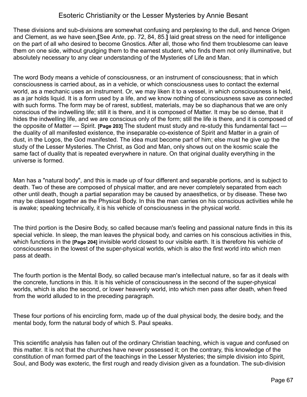These divisions and sub-divisions are somewhat confusing and perplexing to the dull, and hence Origen and Clement, as we have seen,**[**See *Ante*, pp. 72, 84, 85.**]** laid great stress on the need for intelligence on the part of all who desired to become Gnostics. After all, those who find them troublesome can leave them on one side, without grudging them to the earnest student, who finds them not only illuminative, but absolutely necessary to any clear understanding of the Mysteries of Life and Man.

The word Body means a vehicle of consciousness, or an instrument of consciousness; that in which consciousness is carried about, as in a vehicle, or which consciousness uses to contact the external world, as a mechanic uses an instrument. Or, we may liken it to a vessel, in which consciousness is held, as a jar holds liquid. It is a form used by a life, and we know nothing of consciousness save as connected with such forms. The form may be of rarest, subtlest, materials, may be so diaphanous that we are only conscious of the indwelling life; still it is there, and it is composed of Matter. It may be so dense, that it hides the indwelling life, and we are conscious only of the form; still the life is there, and it is composed of the opposite of Matter — Spirit. **[Page 203]** The student must study and re-study this fundamental fact the duality of all manifested existence, the inseparable co-existence of Spirit and Matter in a grain of dust, in the Logos, the God manifested. The idea must become part of him; else must he give up the study of the Lesser Mysteries. The Christ, as God and Man, only shows out on the kosmic scale the same fact of duality that is repeated everywhere in nature. On that original duality everything in the universe is formed.

Man has a "natural body", and this is made up of four different and separable portions, and is subject to death. Two of these are composed of physical matter, and are never completely separated from each other until death, though a partial separation may be caused by anaesthetics, or by disease. These two may be classed together as the Physical Body. In this the man carries on his conscious activities while he is awake; speaking technically, it is his vehicle of consciousness in the physical world.

The third portion is the Desire Body, so called because man's feeling and passional nature finds in this its special vehicle. In sleep, the man leaves the physical body, and carries on his conscious activities in this, which functions in the **[Page 204]** invisible world closest to our visible earth. It is therefore his vehicle of consciousness in the lowest of the super-physical worlds, which is also the first world into which men pass at death.

The fourth portion is the Mental Body, so called because man's intellectual nature, so far as it deals with the concrete, functions in this. It is his vehicle of consciousness in the second of the super-physical worlds, which is also the second, or lower heavenly world, into which men pass after death, when freed from the world alluded to in the preceding paragraph.

These four portions of his encircling form, made up of the dual physical body, the desire body, and the mental body, form the natural body of which S. Paul speaks.

This scientific analysis has fallen out of the ordinary Christian teaching, which is vague and confused on this matter. It is not that the churches have never possessed it; on the contrary, this knowledge of the constitution of man formed part of the teachings in the Lesser Mysteries; the simple division into Spirit, Soul, and Body was exoteric, the first rough and ready division given as a foundation. The sub-division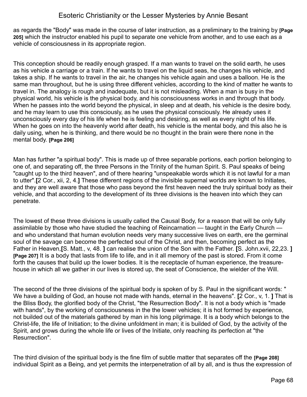as regards the "Body" was made in the course of later instruction, as a preliminary to the training by **[Page 205]** which the instructor enabled his pupil to separate one vehicle from another, and to use each as a vehicle of consciousness in its appropriate region.

This conception should be readily enough grasped. If a man wants to travel on the solid earth, he uses as his vehicle a carriage or a train. If he wants to travel on the liquid seas, he changes his vehicle, and takes a ship. If he wants to travel in the air, he changes his vehicle again and uses a balloon. He is the same man throughout, but he is using three different vehicles, according to the kind of matter he wants to travel in. The analogy is rough and inadequate, but it is not misleading. When a man is busy in the physical world, his vehicle is the physical body, and his consciousness works in and through that body. When he passes into the world beyond the physical, in sleep and at death, his vehicle is the desire body, and he may learn to use this consciously, as he uses the physical consciously. He already uses it unconsciously every day of his life when he is feeling and desiring, as well as every night of his life. When he goes on into the heavenly world after death, his vehicle is the mental body, and this also he is daily using, when he is thinking, and there would be no thought in the brain were there none in the mental body. **[Page 206]**

Man has further "a spiritual body". This is made up of three separable portions, each portion belonging to one of, and separating off, the three Persons in the Trinity of the human Spirit. S. Paul speaks of being "caught up to the third heaven", and of there hearing "unspeakable words which it is not lawful for a man to utter".**[**2 Cor., xii, 2, 4.**]** These different regions of the invisible supernal worlds are known to Initiates, and they are well aware that those who pass beyond the first heaven need the truly spiritual body as their vehicle, and that according to the development of its three divisions is the heaven into which they can penetrate.

The lowest of these three divisions is usually called the Causal Body, for a reason that will be only fully assimilable by those who have studied the teaching of Reincarnation — taught in the Early Church and who understand that human evolution needs very many successive lives on earth, ere the germinal soul of the savage can become the perfected soul of the Christ, and then, becoming perfect as the Father in Heaven,**[**S. Matt., v, 48. **]** can realise the union of the Son with the Father. **[**S. John.xvii, 22,23. **] [Page 207]** It is a body that lasts from life to life, and in it all memory of the past is stored. From it come forth the causes that build up the lower bodies. It is the receptacle of human experience, the treasurehouse in which all we gather in our lives is stored up, the seat of Conscience, the wielder of the Will.

The second of the three divisions of the spiritual body is spoken of by S. Paul in the significant words: " We have a building of God, an house not made with hands, eternal in the heavens". **[**2 Cor., v, 1. **]** That is the Bliss Body, the glorified body of the Christ, "the Resurrection Body". It is not a body which is "made with hands", by the working of consciousness in the the lower vehicles; it is hot formed by experience, not builded out of the materials gathered by man in his long pilgrimage. It is a body which belongs to the Christ-life, the life of Initiation; to the divine unfoldment in man; it is builded of God, by the activity of the Spirit, and grows during the whole life or lives of the Initiate, only reaching its perfection at "the Resurrection".

The third division of the spiritual body is the fine film of subtle matter that separates off the **[Page 208]** individual Spirit as a Being, and yet permits the interpenetration of all by all, and is thus the expression of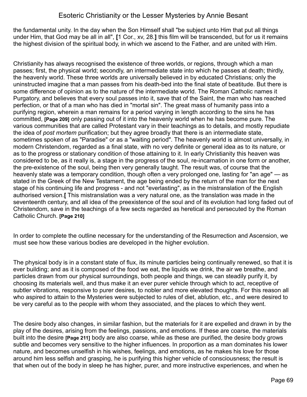the fundamental unity. In the day when the Son Himself shall "be subject unto Him that put all things under Him, that God may be all in all", **[**1 Cor., xv, 28.**]** this film will be transcended, but for us it remains the highest division of the spiritual body, in which we ascend to the Father, and are united with Him.

Christianity has always recognised the existence of three worlds, or regions, through which a man passes; first, the physical world; secondly, an intermediate state into which he passes at death; thirdly, the heavenly world. These three worlds are universally believed in by educated Christians; only the uninstructed imagine that a man passes from his death-bed into the final state of beatitude. But there is some difference of opinion as to the nature of the intermediate world. The Roman Catholic names it Purgatory, and believes that every soul passes into it, save that of the Saint, the man who has reached perfection, or that of a man who has died in "mortal sin". The great mass of humanity pass into a purifying region, wherein a man remains for a period varying in length according to the sins he has committed, **[Page 209]** only passing out of it into the heavenly world when he has become pure. The various communities that are called Protestant vary in their teachings as to details, and mostly repudiate the idea of *post mortem* purification; but they agree broadly that there is an intermediate state, sometimes spoken of as "Paradise" or as a "waiting period". The heavenly world is almost universally, in modern Christendom, regarded as a final state, with no very definite or general idea as to its nature, or as to the progress or stationary condition of those attaining to it. In early Christianity this heaven was considered to be, as it really is, a stage in the progress of the soul, re-incarnation in one form or another, the pre-existence of the soul, being then very generally taught. The result was, of course that the heavenly state was a temporary condition, though often a very prolonged one, lasting for "an age" — as stated in the Greek of the New Testament, the age being ended by the return of the man for the next stage of his continuing life and progress - and not "everlasting", as in the mistranslation of the English authorised version.**[** This mistranslation was a very natural one, as the translation was made in the seventeenth century, and all idea of the preexistence of the soul and of its evolution had long faded out of Christendom, save in the teachings of a few sects regarded as heretical and persecuted by the Roman Catholic Church. **[Page 210]**

In order to complete the outline necessary for the understanding of the Resurrection and Ascension, we must see how these various bodies are developed in the higher evolution.

The physical body is in a constant state of flux, its minute particles being continually renewed, so that it is ever building; and as it is composed of the food we eat, the liquids we drink, the air we breathe, and particles drawn from our physical surroundings, both people and things, we can steadily purify it, by choosing its materials well, and thus make it an ever purer vehicle through which to act, receptive of subtler vibrations, responsive to purer desires, to nobler and more elevated thoughts. For this reason all who aspired to attain to the Mysteries were subjected to rules of diet, ablution, etc., and were desired to be very careful as to the people with whom they associated, and the places to which they went.

The desire body also changes, in similar fashion, but the materials for it are expelled and drawn in by the play of the desires, arising from the feelings, passions, and emotions. If these are coarse, the materials built into the desire **[Page 211]** body are also coarse, while as these are purified, the desire body grows subtle and becomes very sensitive to the higher influences. In proportion as a man dominates his lower nature, and becomes unselfish in his wishes, feelings, and emotions, as he makes his love for those around him less selfish and grasping, he is purifying this higher vehicle of consciousness; the result is that when out of the body in sleep he has higher, purer, and more instructive experiences, and when he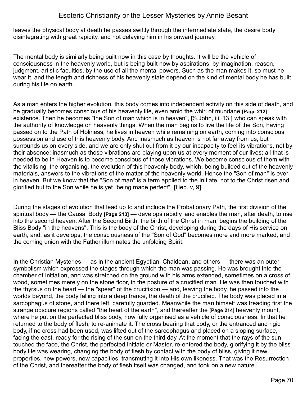leaves the physical body at death he passes swiftly through the intermediate state, the desire body disintegrating with great rapidity, and not delaying him in his onward journey.

The mental body is similarly being built now in this case by thoughts. It will be the vehicle of consciousness in the heavenly world, but is being built now by aspirations, by imagination, reason, judgment, artistic faculties, by the use of all the mental powers. Such as the man makes it, so must he wear it, and the length and richness of his heavenly state depend on the kind of mental body he has built during his life on earth.

As a man enters the higher evolution, this body comes into independent activity on this side of death, and he gradually becomes conscious of his heavenly life, even amid the whirl of mundane **[Page 212]** existence. Then he becomes "the Son of man which is in heaven", **[**S.John, iii, 13.**]** who can speak with the authority of knowledge on heavenly things. When the man begins to live the life of the Son, having passed on to the Path of Holiness, he lives in heaven while remaining on earth, coming into conscious possession and use of this heavenly body. And inasmuch as heaven is not far away from us, but surrounds us on every side, and we are only shut out from it by our incapacity to feel its vibrations, not by their absence; inasmuch as those vibrations are playing upon us at every moment of our lives; all that is needed to be in Heaven is to become conscious of those vibrations. We become conscious of them with the vitalising, the organising, the evolution of this heavenly body, which, being builded out of the heavenly materials, answers to the vibrations of the matter of the heavenly world. Hence the "Son of man" is ever in heaven. But we know that the "Son of man" is a term applied to the Initiate, not to the Christ risen and glorified but to the Son while he is yet "being made perfect". **[**Heb. v, 9**]**

During the stages of evolution that lead up to and include the Probationary Path, the first division of the spiritual body — the Causal Body **[Page 213]** — develops rapidly, and enables the man, after death, to rise into the second heaven. After the Second Birth, the birth of the Christ in man, begins the building of the Bliss Body "in the heavens". This is the body of the Christ, developing during the days of His service on earth, and, as it develops, the consciousness of the "Son of God" becomes more and more marked, and the coming union with the Father illuminates the unfolding Spirit.

In the Christian Mysteries — as in the ancient Egyptian, Chaldean, and others — there was an outer symbolism which expressed the stages through which the man was passing. He was brought into the chamber of Initiation, and was stretched on the ground with his arms extended, sometimes on a cross of wood, sometimes merely on the stone floor, in the posture of a crucified man. He was then touched with the thyrsus on the heart — the "spear" of the crucifixion — and, leaving the body, he passed into the worlds beyond, the body falling into a deep trance, the death of the crucified. The body was placed in a sarcophagus of stone, and there left, carefully guarded. Meanwhile the man himself was treading first the strange obscure regions called "the heart of the earth", and thereafter the **[Page 214]** heavenly mount, where he put on the perfected bliss body, now fully organised as a vehicle of consciousness. In that he returned to the body of flesh, to re-animate it. The cross bearing that body, or the entranced and rigid body, if no cross had been used, was lifted out of the sarcophagus and placed on a sloping surface, facing the east, ready for the rising of the sun on the third day. At the moment that the rays of the sun touched the face, the Christ, the perfected Initiate or Master, re-entered the body, glorifying it by the bliss body He was wearing, changing the body of flesh by contact with the body of bliss, giving it new properties, new powers, new capacities, transmuting it into His own likeness. That was the Resurrection of the Christ, and thereafter the body of flesh itself was changed, and took on a new nature.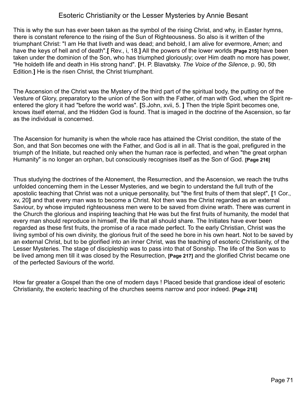This is why the sun has ever been taken as the symbol of the rising Christ, and why, in Easter hymns, there is constant reference to the rising of the Sun of Righteousness. So also is it written of the triumphant Christ: "I am He that liveth and was dead; and behold, I am alive for evermore, Amen; and have the keys of hell and of death".**[** Rev., i, 18.**]** All the powers of the lower worlds **[Page 215]** have been taken under the dominion of the Son, who has triumphed gloriously; over Him death no more has power, "He holdeth life and death in His strong hand". **[**H. P. Blavatsky. *The Voice of the Silence*, p. 90, 5th Edition.**]** He is the risen Christ, the Christ triumphant.

The Ascension of the Christ was the Mystery of the third part of the spiritual body, the putting on of the Vesture of Glory, preparatory to the union of the Son with the Father, of man with God, when the Spirit reentered the glory it had "before the world was". **[**S.John, xvii, 5. **]** Then the triple Spirit becomes one, knows itself eternal, and the Hidden God is found. That is imaged in the doctrine of the Ascension, so far as the individual is concerned.

The Ascension for humanity is when the whole race has attained the Christ condition, the state of the Son, and that Son becomes one with the Father, and God is all in all. That is the goal, prefigured in the triumph of the Initiate, but reached only when the human race is perfected, and when "the great orphan Humanity" is no longer an orphan, but consciously recognises itself as the Son of God. **[Page 216]**

Thus studying the doctrines of the Atonement, the Resurrection, and the Ascension, we reach the truths unfolded concerning them in the Lesser Mysteries, and we begin to understand the full truth of the apostolic teaching that Christ was not a unique personality, but "the first fruits of them that slept", **[**1 Cor., xv, 20**]** and that every man was to become a Christ. Not then was the Christ regarded as an external Saviour, by whose imputed righteousness men were to be saved from divine wrath. There was current in the Church the glorious and inspiring teaching that He was but the first fruits of humanity, the model that every man should reproduce in himself, the life that all should share. The Initiates have ever been regarded as these first fruits, the promise of a race made perfect. To the early Christian, Christ was the living symbol of his own divinity, the glorious fruit of the seed he bore in his own heart. Not to be saved by an external Christ, but to be glorified into an inner Christ, was the teaching of esoteric Christianity, of the Lesser Mysteries. The stage of discipleship was to pass into that of Sonship. The life of the Son was to be lived among men till it was closed by the Resurrection, **[Page 217]** and the glorified Christ became one of the perfected Saviours of the world.

How far greater a Gospel than the one of modern days ! Placed beside that grandiose ideal of esoteric Christianity, the exoteric teaching of the churches seems narrow and poor indeed. **[Page 218]**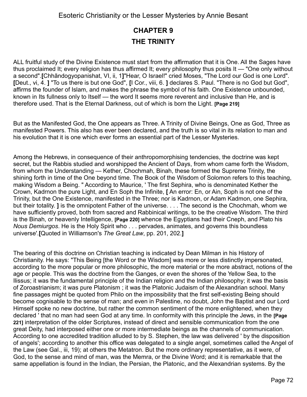### **CHAPTER 9 THE TRINITY**

ALL fruitful study of the Divine Existence must start from the affirmation that it is One. All the Sages have thus proclaimed It; every religion has thus affirmed It; every philosophy thus posits It — "One only without a second".**[**Chhãndogyopanishat, VI, ii, 1**]**"Hear, O Israel!" cried Moses, "The Lord our God is one Lord". **[**Deut., vi, 4. **]** "To us there is but one God", **[**I Cor., viii, 6. **]** declares S. Paul. "There is no God but God", affirms the founder of Islam, and makes the phrase the symbol of his faith. One Existence unbounded, known in Its fullness only to Itself — the word It seems more reverent and inclusive than He, and is therefore used. That is the Eternal Darkness, out of which is born the Light. **[Page 219]**

But as the Manifested God, the One appears as Three. A Trinity of Divine Beings, One as God, Three as manifested Powers. This also has ever been declared, and the truth is so vital in its relation to man and his evolution that it is one which ever forms an essential part of the Lesser Mysteries.

Among the Hebrews, in consequence of their anthropomorphising tendencies, the doctrine was kept secret, but the Rabbis studied and worshipped the Ancient of Days, from whom came forth the Wisdom, from whom the Understanding — Kether, Chochmah, Binah, these formed the Supreme Trinity, the shining forth in time of the One beyond time. The Book of the Wisdom of Solomon refers to this teaching, making Wisdom a Being. " According to Maurice, ' The first Sephira, who is denominated Kether the Crown, Kadrnon the pure Light, and En Soph the Infinite, **[** An error: En, or Ain, Soph is not one of the Trinity, but the One Existence, manifested in the Three; nor is Kadrnon, or Adam Kadmon, one Sephira, but their totality. **]** is the omnipotent Father of the universe. . . . The second is the Chochmah, whom we have sufficiently proved, both from sacred and Rabbinical writings, to be the creative Wisdom. The third is the Binah, or heavenly Intelligence, **[Page 220]** whence the Egyptians had their Cneph, and Plato his *Nous Demiurgos*. He is the Holy Spirit who . . . pervades, animates, and governs this boundless universe'.**[**Quoted in Williamson's *The Great Law*, pp. 201, 202.**]**

The bearing of this doctrine on Christian teaching is indicated by Dean Milman in his History of Christianity. He says: "This Being [the Word or the Wisdom] was more or less distinctly impersonated, according to the more popular or more philosophic, the more material or the more abstract, notions of the age or people. This was the doctrine from the Ganges, or even the shores of the Yellow Sea, to the Ilissus; it was the fundamental principle of the Indian religion and the Indian philosophy; it was the basis of Zoroastrianism; it was pure Platonism ; it was the Platonic Judaism of the Alexandrian school. Many fine passages might be quoted from Philo on the impossibility that the first self-existing Being should become cognisable to the sense of man; and even in Palestine, no doubt, John the Baptist and our Lord Himself spoke no new doctrine, but rather the common sentiment of the more enlightened, when they declared ' that no man had seen God at any time. In conformity with this principle the Jews, in the **[Page 221]** interpretation of the older Scriptures, instead of direct and sensible communication from the one great Deity, had interposed either one or more intermediate beings as the channels of communication. According to one accredited tradition alluded to by S. Stephen, the law was delivered ' by the disposition of angels'; according to another this office was delegated to a single angel, sometimes called the Angel of the Law (see Gal., iii, 19); at others the Metatron. But the more ordinary representative, as it were, of God, to the sense and mind of man, was the Memra, or the Divine Word; and it is remarkable that the same appellation is found in the Indian, the Persian, the Platonic, and the Alexandrian systems. By the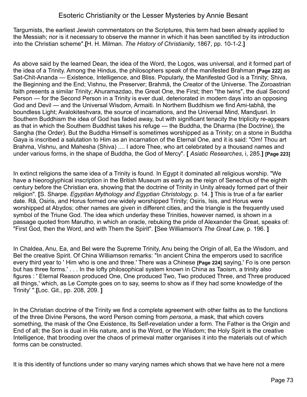Targumists, the earliest Jewish commentators on the Scriptures, this term had been already applied to the Messiah; nor is it necessary to observe the manner in which it has been sanctified by its introduction into the Christian scheme".**[**H. H. Milman. *The History of Christianity*, 1867, pp. 10-1-2.**]**

As above said by the learned Dean, the idea of the Word, the Logos, was universal, and it formed part of the idea of a Trinity. Among the Hindus, the philosophers speak of the manifested Brahman **[Page 222]** as Sat-Chit-Ananda — Existence, Intelligence, and Bliss. Popularly, the Manifested God is a Trinity; Shiva, the Beginning and the End; Vishnu, the Preserver; Brahmã, the Creator of the Universe. The Zoroastrian faith presents a similar Trinity; Ahuramazdao, the Great One, the First; then "the twins", the dual Second Person — for the Second Person in a Trinity is ever dual, deteriorated in modern days into an opposing God and Devil — and the Universal Wisdom, Armaiti. In Northern Buddhism we find Ami-tabhã, the boundless Light; Avalokiteshvara, the source of incarnations, and the Universal Mind, Mandjusri. In Southern Buddhism the idea of God has faded away, but with significant tenacity the triplicity re-appears as that in which the Southern Buddhist takes his refuge — the Buddha, the Dharma (the Doctrine), the Sangha (the Order). But the Buddha Himself is sometimes worshipped as a Trinity; on a stone in Buddha Gaya is inscribed a salutation to Him as an incarnation of the Eternal One, and it is said: "Om! Thou art Brahma, Vishnu, and Mahesha (Shiva) .... I adore Thee, who art celebrated by a thousand names and under various forms, in the shape of Buddha, the God of Mercy". **[** *Asiatic Researches*, i, 285.**] [Page 223]**

In extinct religions the same idea of a Trinity is found. In Egypt it dominated all religious worship. "We have a hieoroglyphical inscription in the British Museum as early as the reign of Senechus of the eighth century before the Christian era, showing that the doctrine of Trinity in Unity already formed part of their religion". **[**S. Sharpe. *Egyptian Mythology and Egyptian Christology,* p. 14. **]** This is true of a far earlier date. Râ, Osiris, and Horus formed one widely worshipped Trinity; Osiris, Isis, and Horus were worshipped at Abydos; other names are given in different cities, and the triangle is the frequently used symbol of the Triune God. The idea which underlay these Trinities, however named, is shown in a passage quoted from Marutho, in which an oracle, rebuking the pride of Alexander the Great, speaks of: "First God, then the Word, and with Them the Spirit". **[**See Williamson's *The Great Law,* p. 196. **]**

In Chaldea, Anu, Ea, and Bel were the Supreme Trinity, Anu being the Origin of all, Ea the Wisdom, and Bel the creative Spirit. Of China Williamson remarks: "In ancient China the emperors used to sacrifice every third year to ' Him who is one and three.' There was a Chinese **[Page 224]** saying,' Fo is one person but has three forms.' . . . In the lofty philosophical system known in China as Taoism, a trinity also figures : ' Eternal Reason produced One, One produced Two, Two produced Three, and Three produced all things,' which, as Le Compte goes on to say, seems to show as if they had some knowledge of the Trinity' ".**[**Loc. Git., pp. 208, 209. **]**

In the Christian doctrine of the Trinity we find a complete agreement with other faiths as to the functions of the three Divine Persons, the word Person coming from *persona*, a mask, that which covers something, the mask of the One Existence, Its Self-revelation under a form. The Father is the Origin and End of all; the Son is dual in His nature, and is the Word, or the Wisdom; the Holy Spirit is the creative Intelligence, that brooding over the chaos of primeval matter organises it into the materials out of which forms can be constructed.

It is this identity of functions under so many varying names which shows that we have here not a mere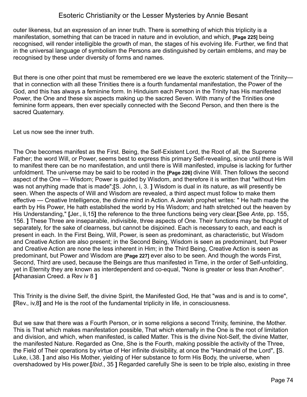outer likeness, but an expression of an inner truth. There is something of which this triplicity is a manifestation, something that can be traced in nature and in evolution, and which, **[Page 225]** being recognised, will render intelligible the growth of man, the stages of his evolving life. Further, we find that in the universal language of symbolism the Persons are distinguished by certain emblems, and may be recognised by these under diversity of forms and names.

But there is one other point that must be remembered ere we leave the exoteric statement of the Trinity that in connection with all these Trinities there is a fourth fundamental manifestation, the Power of the God, and this has always a feminine form. In Hinduism each Person in the Trinity has His manifested Power, the One and these six aspects making up the sacred Seven. With many of the Trinities one feminine form appears, then ever specially connected with the Second Person, and then there is the sacred Quaternary.

Let us now see the inner truth.

The One becomes manifest as the First. Being, the Self-Existent Lord, the Root of all, the Supreme Father; the word Will, or Power, seems best to express this primary Self-revealing, since until there is Will to manifest there can be no manifestation, and until there is Will manifested, impulse is lacking for further unfoldment. The universe may be said to be rooted in the **[Page 226]** divine Will. Then follows the second aspect of the One — Wisdom; Power is guided by Wisdom, and therefore it is written that "without Him was not anything made that is made";**[**S. John, i, 3. **]** Wisdom is dual in its nature, as will presently be seen. When the aspects of Will and Wisdom are revealed, a third aspect must follow to make them effective — Creative Intelligence, the divine mind in Action. A Jewish prophet writes: " He hath made the earth by His Power, He hath established the world by His Wisdom; and hath stretched out the heaven by His Understanding," **[**Jer., li,15**]** the reference to the three functions being very clear.**[**See *Ante*, pp. 155, 156. **]** These Three are inseparable, indivisible, three aspects of One. Their functions may be thought of separately, for the sake of clearness, but cannot be disjoined. Each is necessary to each, and each is present in each. In the First Being, Will, Power, is seen as predominant, as characteristic, but Wisdom and Creative Action are also present; in the Second Being, Wisdom is seen as predominant, but Power and Creative Action are none the less inherent in Him; in the Third Being, Creative Action is seen as predominant, but Power and Wisdom are **[Page 227]** ever also to be seen. And though the words First, Second, Third are used, because the Beings are thus manifested in Time, in the order of Self-unfolding, yet in Eternity they are known as interdependent and co-equal, "None is greater or less than Another". **[**Athanasian Creed. a Rev iv 8 **]**

This Trinity is the divine Self, the divine Spirit, the Manifested God, He that "was and is and is to come", **[**Rev., iv,8**]** and He is the root of the fundamental triplicity in life, in consciousness.

But we saw that there was a Fourth Person, or in some religions a second Trinity, feminine, the Mother. This is That which makes manifestation possible, That which eternally in the One is the root of limitation and division, and which, when manifested, is called Matter. This is the divine Not-Self, the divine Matter, the manifested Nature. Regarded as One, She is the Fourth, making possible the activity of the Three, the Field of Their operations by virtue of Her infinite divisibility, at once the "Handmaid of the Lord", **[**S. Luke, i,38. **]** and also His Mother, yielding of Her substance to form His Body, the universe, when overshadowed by His power.**[***Ibid*., 35 **]** Regarded carefully She is seen to be triple also, existing in three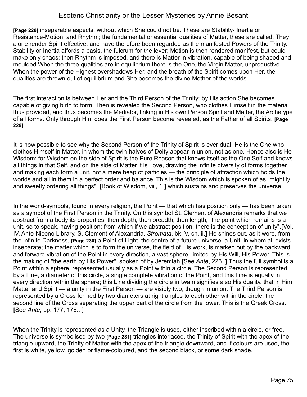**[Page 228]** inseparable aspects, without which She could not be. These are Stability- Inertia or Resistance-Motion, and Rhythm; the fundamental or essential qualities of Matter, these are called. They alone render Spirit effective, and have therefore been regarded as the manifested Powers of the Trinity. Stability or Inertia affords a basis, the fulcrum for the lever; Motion is then rendered manifest, but could make only chaos; then Rhythm is imposed, and there is Matter in vibration, capable of being shaped and moulded When the three qualities are in equilibrium there is the One, the Virgin Matter, unproductive. When the power of the Highest overshadows Her, and the breath of the Spirit comes upon Her, the qualities are thrown out of equilibrium and She becomes the divine Mother of the worlds.

The first interaction is between Her and the Third Person of the Trinity; by His action She becomes capable of giving birth to form. Then is revealed the Second Person, who clothes Himself in the material thus provided, and thus becomes the Mediator, linking in His own Person Spirit and Matter, the Archetype of all forms. Only through Him does the First Person become revealed, as the Father of all Spirits. **[Page 229]**

It is now possible to see why the Second Person of the Trinity of Spirit is ever dual; He is the One who clothes Himself in Matter, in whom the twin-halves of Deity appear in union, not as one. Hence also is He Wisdom; for Wisdom on the side of Spirit is the Pure Reason that knows itself as the One Self and knows all things in that Self, and on the side of Matter it is Love, drawing the infinite diversity of forms together, and making each form a unit, not a mere heap of particles — the principle of attraction which holds the worlds and all in them in a perfect order and balance. This is the Wisdom which is spoken of as "mightily and sweetly ordering all things", **[**Book of Wisdom, viii, 1 **]** which sustains and preserves the universe.

In the world-symbols, found in every religion, the Point — that which has position only — has been taken as a symbol of the First Person in the Trinity. On this symbol St. Clement of Alexandria remarks that we abstract from a body its properties, then depth, then breadth, then length; "the point which remains is a unit, so to speak, having position; from which if we abstract position, there is the conception of unity".**[**Vol. IV. Ante-Nicene Library. S. Clement of Alexandria. *Stromata*, bk. V, ch, ii.**]** He shines out, as it were, from the infinite Darkness, **[Page 230]** a Point of Light, the centre of a future universe, a Unit, in whom all exists inseparate; the matter which is to form the universe, the field of His work, is marked out by the backward and forward vibration of the Point in every direction, a vast sphere, limited by His Will, His Power. This is the making of "the earth by His Power", spoken of by Jeremiah.**[**See *Ante*, 226. **]** Thus the full symbol is a Point within a sphere, represented usually as a Point within a circle. The Second Person is represented by a Line, a diameter of this circle, a single complete vibration of the Point, and this Line is equally in every direction within the sphere; this Line dividing the circle in twain signifies also His duality, that in Him Matter and Spirit — a unity in the First Person — are visibly two, though in union. The Third Person is represented by a Cross formed by two diameters at right angles to each other within the circle, the second line of the Cross separating the upper part of the circle from the lower. This is the Greek Cross. **[**See *Ante*, pp. 177, 178.. **]**

When the Trinity is represented as a Unity, the Triangle is used, either inscribed within a circle, or free. The universe is symbolised by two **[Page 231]** triangles interlaced, the Trinity of Spirit with the apex of the triangle upward, the Trinity of Matter with the apex of the triangle downward, and if colours are used, the first is white, yellow, golden or flame-coloured, and the second black, or some dark shade.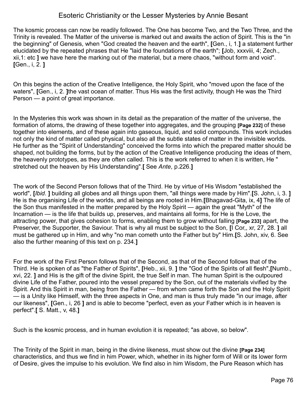The kosmic process can now be readily followed. The One has become Two, and the Two Three, and the Trinity is revealed. The Matter of the universe is marked out and awaits the action of Spirit. This is the "in the beginning" of Genesis, when "God created the heaven and the earth", **[**Gen., i, 1.**]** a statement further elucidated by the repeated phrases that He "laid the foundations of the earth"; **[**Job, xxxviii, 4; Zech., xii,1: etc **]** we have here the marking out of the material, but a mere chaos, "without form and void". **[**Gen., i, 2. **]**

On this begins the action of the Creative Intelligence, the Holy Spirit, who "moved upon the face of the waters", **[**Gen., i, 2. **]**the vast ocean of matter. Thus His was the first activity, though He was the Third Person — a point of great importance.

In the Mysteries this work was shown in its detail as the preparation of the matter of the universe, the formation of atoms, the drawing of these together into aggregates, and the grouping **[Page 232]** of these together into elements, and of these again into gaseous, liquid, and solid compounds. This work includes not only the kind of matter called physical, but also all the subtle states of matter in the invisible worlds. He further as the "Spirit of Understanding" conceived the forms into which the prepared matter should be shaped, not building the forms, but by the action of the Creative Intelligence producing the ideas of them, the heavenly prototypes, as they are often called. This is the work referred to when it is written, He " stretched out the heaven by His Understanding".**[** See *Ante*, p.226.**]**

The work of the Second Person follows that of the Third. He by virtue of His Wisdom "established the world", **[***Ibid*. **]** building all globes and all things upon them, "all things were made by Him".**[**S. John, i, 3. **]** He is the organising Life of the worlds, and all beings are rooted in Him.**[**Bhagavad-Gita, ix, 4**]** The life of the Son thus manifested in the matter prepared by the Holy Spirit — again the great "Myth" of the Incarnation — is the life that builds up, preserves, and maintains all forms, for He is the Love, the attracting power, that gives cohesion to forms, enabling them to grow without falling **[Page 233]** apart, the Preserver, the Supporter, the Saviour. That is why all must be subject to the Son, **[**I Cor,, xr, 27, 28. **]** all must be gathered up in Him, and why "no man cometh unto the Father but by" Him.**[**S. John, xiv, 6. See also the further meaning of this text on p. 234.**]**

For the work of the First Person follows that of the Second, as that of the Second follows that of the Third. He is spoken of as "the Father of Spirits", **[**Heb., xii, 9. **]** the "God of the Spirits of all flesh",**[**Numb., xvi, 22. **]** and His is the gift of the divine Spirit, the true Self in man. The human Spirit is the outpoured divine Life of the Father, poured into the vessel prepared by the Son, out of the materials vivified by the Spirit. And this Spirit in man, being from the Father — from whom came forth the Son and the Holy Spirit — is a Unity like Himself, with the three aspects in One, and man is thus truly made "in our image, after our likeness", **[**Gen., i, 26 **]** and is able to become "perfect, even as your Father which is in heaven is perfect".**[** S. Matt., v, 48.**]**

Such is the kosmic process, and in human evolution it is repeated; "as above, so below".

The Trinity of the Spirit in man, being in the divine likeness, must show out the divine **[Page 234]** characteristics, and thus we find in him Power, which, whether in its higher form of Will or its lower form of Desire, gives the impulse to his evolution. We find also in him Wisdom, the Pure Reason which has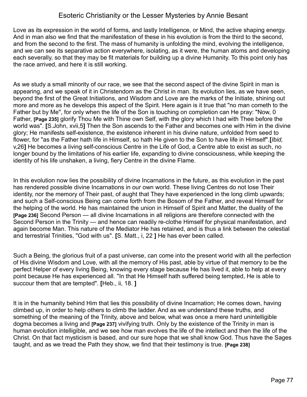Love as its expression in the world of forms, and lastly Intelligence, or Mind, the active shaping energy. And in man also we find that the manifestation of these in his evolution is from the third to the second, and from the second to the first. The mass of humanity is unfolding the mind, evolving the intelligence, and we can see its separative action everywhere, isolating, as it were, the human atoms and developing each severally, so that they may be fit materials for building up a divine Humanity. To this point only has the race arrived, and here it is still working.

As we study a small minority of our race, we see that the second aspect of the divine Spirit in man is appearing, and we speak of it in Christendom as the Christ in man. Its evolution lies, as we have seen, beyond the first of the Great Initiations, and Wisdom and Love are the marks of the Initiate, shining out more and more as he develops this aspect of the Spirit. Here again is it true that "no man cometh to the Father but by Me", for only when the life of the Son is touching on completion can He pray: "Now, 0 Father, **[Page 235]** glorify Thou Me with Thine own Self, with the glory which I had with Thee before the world was". **[**S.John, xvii,5**]** Then the Son ascends to the Father and becomes one with Him in the divine glory; He manifests self-existence, the existence inherent in his divine nature, unfolded from seed to flower, for "as the Father hath life in Himself, so hath He given to the Son to have life in Himself".**[***Ibid,* v,26**]** He becomes a living self-conscious Centre in the Life of God, a Centre able to exist as such, no longer bound by the limitations of his earlier life, expanding to divine consciousness, while keeping the identity of his life unshaken, a living, fiery Centre in the divine Flame.

In this evolution now lies the possibility of divine Incarnations in the future, as this evolution in the past has rendered possible divine Incarnations in our own world. These living Centres do not lose Their identity, nor the memory of Their past, of aught that They have experienced in the long climb upwards; and such a Self-conscious Being can come forth from the Bosom of the Father, and reveal Himself for the helping of the world. He has maintained the union in Himself of Spirit and Matter, the duality of the **[Page 236]** Second Person — all divine Incarnations in all religions are therefore connected with the Second Person in the Trinity — and hence can readily re-clothe Himself for physical manifestation, and again become Man. This nature of the Mediator He has retained, and is thus a link between the celestial and terrestrial Trinities, "God with us". **[**S. Matt., i, 22 **]** He has ever been called.

Such a Being, the glorious fruit of a past universe, can come into the present world with all the perfection of His divine Wisdom and Love, with all the memory of His past, able by virtue of that memory to be the perfect Helper of every living Being, knowing every stage because He has lived it, able to help at every point because He has experienced all. ''In that He Himself hath suffered being tempted, He is able to succour them that are tempted". **[**Heb., ii, 18. **]** 

It is in the humanity behind Him that lies this possibility of divine Incarnation; He comes down, having climbed up, in order to help others to climb the ladder. And as we understand these truths, and something of the meaning of the Trinity, above and below, what was once a mere hard unintelligible dogma becomes a living and **[Page 237]** vivifying truth. Only by the existence of the Trinity in man is human evolution intelligible, and we see how man evolves the life of the intellect and then the life of the Christ. On that fact mysticism is based, and our sure hope that we shall know God. Thus have the Sages taught, and as we tread the Path they show, we find that their testimony is true. **[Page 238]**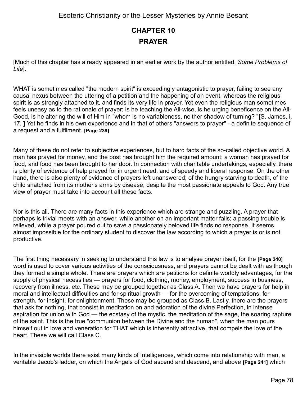# **CHAPTER 10 PRAYER**

[Much of this chapter has already appeared in an earlier work by the author entitled. *Some Problems of Life*].

WHAT is sometimes called "the modern spirit" is exceedingly antagonistic to prayer, failing to see any causal nexus between the uttering of a petition and the happening of an event, whereas the religious spirit is as strongly attached to it, and finds its very life in prayer. Yet even the religious man sometimes feels uneasy as to the rationale of prayer; is he teaching the All-wise, is he urging beneficence on the All-Good, is he altering the will of Him in "whom is no variableness, neither shadow of turning? "**[**S. James, i, 17. **]** Yet he finds in his own experience and in that of others "answers to prayer" - a definite sequence of a request and a fulfilment. **[Page 239]**

Many of these do not refer to subjective experiences, but to hard facts of the so-called objective world. A man has prayed for money, and the post has brought him the required amount; a woman has prayed for food, and food has been brought to her door. In connection with charitable undertakings, especially, there is plenty of evidence of help prayed for in urgent need, and of speedy and liberal response. On the other hand, there is also plenty of evidence of prayers left unanswered; of the hungry starving to death, of the child snatched from its mother's arms by disease, despite the most passionate appeals to God. Any true view of prayer must take into account all these facts.

Nor is this all. There are many facts in this experience which are strange and puzzling. A prayer that perhaps is trivial meets with an answer, while another on an important matter fails; a passing trouble is relieved, while a prayer poured out to save a passionately beloved life finds no response. It seems almost impossible for the ordinary student to discover the law according to which a prayer is or is not productive.

The first thing necessary in seeking to understand this law is to analyse prayer itself, for the **[Page 240]** word is used to cover various activities of the consciousness, and prayers cannot be dealt with as though they formed a simple whole. There are prayers which are petitions for definite worldly advantages, for the supply of physical necessities — prayers for food, clothing, money, employment, success in business, recovery from illness, etc. These may be grouped together as Class A. Then we have prayers for help in moral and intellectual difficulties and for spiritual growth — for the overcoming of temptations, for strength, for insight, for enlightenment. These may be grouped as Class B. Lastly, there are the prayers that ask for nothing, that consist in meditation on and adoration of the divine Perfection, in intense aspiration for union with God — the ecstasy of the mystic, the meditation of the sage, the soaring rapture of the saint. This is the true "communion between the Divine and the human", when the man pours himself out in love and veneration for THAT which is inherently attractive, that compels the love of the heart. These we will call Class C.

In the invisible worlds there exist many kinds of Intelligences, which come into relationship with man, a veritable Jacob's ladder, on which the Angels of God ascend and descend, and above **[Page 241]** which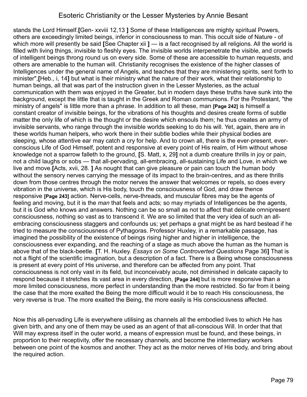stands the Lord Himself.**[**Gen- xxviii 12,13 **]** Some of these Intelligences are mighty spiritual Powers, others are exceedingly limited beings, inferior in consciousness to man. This occult side of Nature - of which more will presently be said **[**See Chapter xii **]** — is a fact recognised by all religions. All the world is filled with living things, invisible to fleshly eyes. The invisible worlds interpenetrate the visible, and crowds of intelligent beings throng round us on every side. Some of these are accessible to human requests, and others are amenable to the human will. Christianity recognises the existence of the higher classes of Intelligences under the general name of Angels, and teaches that they are ministering spirits, sent forth to minister",**[**Heb., i, 14**]** but what is their ministry what the nature of their work, what their relationship to human beings, all that was part of the instruction given in the Lesser Mysteries, as the actual communication with them was enjoyed in the Greater, but in modern days these truths have sunk into the background, except the little that is taught in the Greek and Roman communions. For the Protestant, "the ministry of angels" is little more than a phrase. In addition to all these, man **[Page 242]** is himself a constant creator of invisible beings, for the vibrations of his thoughts and desires create forms of subtle matter the only life of which is the thought or the desire which ensouls them; he thus creates an army of invisible servants, who range through the invisible worlds seeking to do his will. Yet, again, there are in these worlds human helpers, who work there in their subtle bodies while their physical bodies are sleeping, whose attentive ear may catch a cry for help. And to crown all, there is the ever-present, everconscious Life of God Himself, potent and responsive at every point of His realm, of Him without whose knowledge not a sparrow falleth to the ground, **[**S. Matt, x, 29**]** not a dumb creature thrills in joy or pain, not a child laughs or sobs — that all-pervading, all-embracing, all-sustaining Life and Love, in which we live and move.**[**Acts, xvii, 28. **]** As nought that can give pleasure or pain can touch the human body without the sensory nerves carrying the message of its impact to the brain-centres, and as there thrills down from those centres through the motor nerves the answer that welcomes or repels, so does every vibration in the universe, which is His body, touch the consciousness of God, and draw thence responsive **[Page 243]** action. Nerve-cells, nerve-threads, and muscular fibres may be the agents of feeling and moving, but it is the *man* that feels and acts; so may myriads of Intelligences be the agents, but it is God who knows and answers. Nothing can be so small as not to affect that delicate omnipresent consciousness, nothing so vast as to transcend it. We are so limited that the very idea of such an allembracing consciousness staggers and confounds us; yet perhaps a gnat might be as hard bestead if he tried to measure the consciousness of Pythagoras. Professor Huxley, in a remarkable passage, has imagined the possibility of the existence of beings rising higher and higher in intelligence, the consciousness ever expanding, and the reaching of a stage as much above the human as the human is above that of the black-beetle. **[**T. H. Huxley. *Essays on Some Controverted Questions* Page 36**]** That is not a flight of the scientific imagination, but a description of a fact. There is a Being whose consciousness is present at every point of His universe, and therefore can be affected from any point. That consciousness is not only vast in its field, but inconceivably acute, not diminished in delicate capacity to respond because it stretches its vast area in every direction, **[Page 244]** but is more responsive than a more limited consciousness, more perfect in understanding than the more restricted. So far from it being the case that the more exalted the Being the more difficult would it be to reach His consciousness, the very reverse is true. The more exalted the Being, the more easily is His consciousness affected.

Now this all-pervading Life is everywhere utilising as channels all the embodied lives to which He has given birth, and any one of them may be used as an agent of that all-conscious Will. In order that that Will may express itself in the outer world, a means of expression must be found, and these beings, in proportion to their receptivity, offer the necessary channels, and become the intermediary workers between one point of the kosmos and another. They act as the motor nerves of His body, and bring about the required action.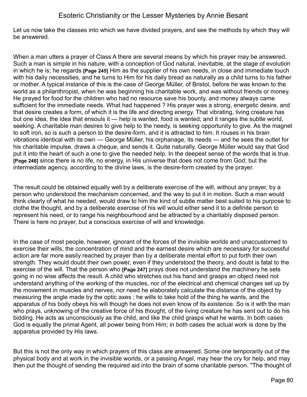Let us now take the classes into which we have divided prayers, and see the methods by which they will be answered.

When a man utters a prayer of Class A there are several means by which his prayer may be answered. Such a man is simple in his nature, with a conception of God natural, inevitable, at the stage of evolution in which he is; he regards **[Page 245]** Him as the supplier of his own needs, in close and immediate touch with his daily necessities, and he turns to Him for his daily bread as naturally as a child turns to his father or mother. A typical instance of this is the case of George Müller, of Bristol, before he was known to the world as a philanthropist, when he was beginning his charitable work, and was without friends or money. He prayed for food for the children who had no resource save his bounty, and money always came sufficient for the immediate needs. What had happened ? His prayer was a strong, energetic desire, and that desire creates a form, of which it is the life and directing energy. That vibrating, living creature has but one idea, the idea that ensouls it — help is wanted, food is wanted; and it ranges the subtle world, seeking. A charitable man desires to give help to the needy, is seeking opportunity to give. As the magnet to soft iron, so is such a person to the desire-form, and it is attracted to him. It rouses in his brain vibrations identical with its own — George Müller, his orphanage, its needs — and he sees the outlet for his charitable impulse, draws a cheque, and sends it. Quite naturally, George Müller would say that God put it into the heart of such a one to give the needed help. In the deepest sense of the words that is true. **[Page 246]** since there is no life, no energy, in His universe that does not come from God; but the intermediate agency, according to the divine laws, is the desire-form created by the prayer.

The result could be obtained equally well by a deliberate exercise of the will, without any prayer, by a person who understood the mechanism concerned, and the way to put it in motion. Such a man would think clearly of what he needed, would draw to him the kind of subtle matter best suited to his purpose to clothe the thought, and by a deliberate exercise of his will would either send it to a definite person to represent his need, or to range his neighbourhood and be attracted by a charitably disposed person. There is here no prayer, but a conscious exercise of will and knowledge.

In the case of most people, however, ignorant of the forces of the invisible worlds and unaccustomed to exercise their wills, the concentration of mind and the earnest desire which are necessary for successful action are far more easily reached by prayer than by a deliberate mental effort to put forth their own strength. They would doubt their own power, even if they understood the theory, and doubt is fatal to the exercise of the will. That the person who **[Page 247]** prays does not understand the machinery he sets going in no wise affects the result. A child who stretches out his hand and grasps an object need not understand anything of the working of the muscles, nor of the electrical and chemical changes set up by the movement in muscles and nerves, nor need he elaborately calculate the distance of the object by measuring the angle made by the optic axes ; he wills to take hold of the thing he wants, and the apparatus of his body obeys his will though he does not even know of its existence. So is it with the man who prays, unknowing of the creative force of his thought, of the living creature he has sent out to do his bidding. He acts as unconsciously as the child, and like the child grasps what he wants. In both cases God is equally the primal Agent, all power being from Him; in both cases the actual work is done by the apparatus provided by His laws.

But this is not the only way in which prayers of this class are answered. Some one temporarily out of the physical body and at work in the invisible worlds, or a passing Angel, may hear the cry for help, and may then put the thought of sending the required aid into the brain of some charitable person. "The thought of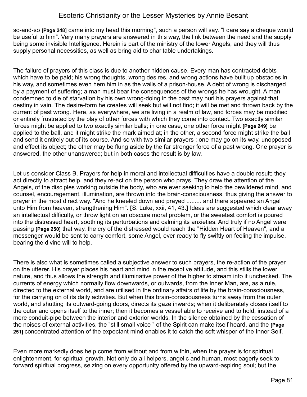so-and-so **[Page 248]** came into my head this morning", such a person will say. "I dare say a cheque would be useful to him". Very many prayers are answered in this way, the link between the need and the supply being some invisible Intelligence. Herein is part of the ministry of the lower Angels, and they will thus supply personal necessities, as well as bring aid to charitable undertakings.

The failure of prayers of this class is due to another hidden cause. Every man has contracted debts which have to be paid; his wrong thoughts, wrong desires, and wrong actions have built up obstacles in his way, and sometimes even hem him in as the walls of a prison-house. A debt of wrong is discharged by a payment of suffering; a man must bear the consequences of the wrongs he has wrought. A man condemned to die of starvation by his own wrong-doing in the past may hurl his prayers against that destiny in vain. The desire-form he creates will seek but will not find; it will be met and thrown back by the current of past wrong. Here, as everywhere, we are living in a realm of law, and forces may be modified or entirely frustrated by the play of other forces with which they come into contact. Two exactly similar forces might be applied to two exactly similar balls; in one case, one other force might **[Page 249]** be applied to the ball, and it might strike the mark aimed at; in the other, a second force might strike the ball and send it entirely out of its course. And so with two similar prayers ; one may go on its way, unopposed and effect its object; the other may be flung aside by the far stronger force of a past wrong. One prayer is answered, the other unanswered; but in both cases the result is by law.

Let us consider Class B. Prayers for help in moral and intellectual difficulties have a double result; they act directly to attract help, and they re-act on the person who prays. They draw the attention of the Angels, of the disciples working outside the body, who are ever seeking to help the bewildered mind, and counsel, encouragement, illumination, are thrown into the brain-consciousness, thus giving the answer to prayer in the most direct way. "And he kneeled down and prayed ......... and there appeared an Angel unto Him from heaven, strengthening Him". **[**S. Luke, xxii, 41, 43.**]** Ideas are suggested which clear away an intellectual difficulty, or throw light on an obscure moral problem, or the sweetest comfort is poured into the distressed heart, soothing its perturbations and calming its anxieties. And truly if no Angel were passing **[Page 250]** that way, the cry of the distressed would reach the "Hidden Heart of Heaven", and a messenger would be sent to carry comfort, some Angel, ever ready to fly swiftly on feeling the impulse, bearing the divine will to help.

There is also what is sometimes called a subjective answer to such prayers, the re-action of the prayer on the utterer. His prayer places his heart and mind in the receptive attitude, and this stills the lower nature, and thus allows the strength and illuminative power of the higher to stream into it unchecked. The currents of energy which normally flow downwards, or outwards, from the Inner Man, are, as a rule, directed to the external world, and are utilised in the ordinary affairs of life by the brain-consciousness, for the carrying on of its daily activities. But when this brain-consciousness turns away from the outer world, and shutting its outward-going doors, directs its gaze inwards; when it deliberately closes itself to the outer and opens itself to the inner; then it becomes a vessel able to receive and to hold, instead of a mere conduit-pipe between the interior and exterior worlds. In the silence obtained by the cessation of the noises of external activities, the "still small voice " of the Spirit can make itself heard, and the **[Page 251]** concentrated attention of the expectant mind enables it to catch the soft whisper of the Inner Self.

Even more markedly does help come from without and from within, when the prayer is for spiritual enlightenment, for spiritual growth. Not only do all helpers, angelic and human, most eagerly seek to forward spiritual progress, seizing on every opportunity offered by the upward-aspiring soul; but the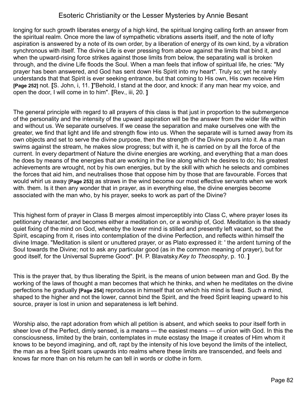longing for such growth liberates energy of a high kind, the spiritual longing calling forth an answer from the spiritual realm. Once more the law of sympathetic vibrations asserts itself, and the note of lofty aspiration is answered by a note of its own order, by a liberation of energy of its own kind, by a vibration synchronous with itself. The divine Life is ever pressing from above against the limits that bind it, and when the upward-rising force strikes against those limits from below, the separating wall is broken through, and the divine Life floods the Soul. When a man feels that inflow of spiritual life, he cries: "My prayer has been answered, and God has sent down His Spirit into my heart". Truly so; yet he rarely understands that that Spirit is ever seeking entrance, but that coming to His own, His own receive Him **[Page 252]** not. **[**S. John, i, 11. **]**"Behold, I stand at the door, and knock: if any man hear my voice, and open the door, I will come in to him". **[**Rev., iii, 20. **]**

The general principle with regard to all prayers of this class is that just in proportion to the submergence of the personality and the intensity of the upward aspiration will be the answer from the wider life within and without us. We separate ourselves. If we cease the separation and make ourselves one with the greater, we find that light and life and strength flow into us. When the separate will is turned away from its own objects and set to serve the divine purpose, then the strength of the Divine pours into it. As a man swims against the stream, he makes slow progress; but with it, he is carried on by all the force of the current. In every department of Nature the divine energies are working, and everything that a man does he does by means of the energies that are working in the line along which he desires to do; his greatest achievements are wrought, not by his own energies, but by the skill with which he selects and combines the forces that aid him, and neutralises those that oppose him by those that are favourable. Forces that would whirl us away **[Page 253]** as straws in the wind become our most effective servants when we work with. them. Is it then any wonder that in prayer, as in everything else, the divine energies become associated with the man who, by his prayer, seeks to work as part of the Divine?

This highest form of prayer in Class B merges almost imperceptibly into Class C, where prayer loses its petitionary character, and becomes either a meditation on, or a worship of, God. Meditation is the steady quiet fixing of the mind on God, whereby the lower mind is stilled and presently left vacant, so that the Spirit, escaping from it, rises into contemplation of the divine Perfection, and reflects within himself the divine Image. "Meditation is silent or unuttered prayer, or as Plato expressed it: ' the ardent turning of the Soul towards the Divine; not to ask any particular good (as in the common meaning of prayer), but for good itself, for the Universal Supreme Good". **[**H. P. Blavatsky.*Key to Theosophy*, p. 10. **]**

This is the prayer that, by thus liberating the Spirit, is the means of union between man and God. By the working of the laws of thought a man becomes that which he thinks, and when he meditates on the divine perfections he gradually **[Page 254]** reproduces in himself that on which his mind is fixed. Such a mind, shaped to the higher and not the lower, cannot bind the Spirit, and the freed Spirit leaping upward to his source, prayer is lost in union and separateness is left behind.

Worship also, the rapt adoration from which all petition is absent, and which seeks to pour itself forth in sheer love of the Perfect, dimly sensed, is a means — the easiest means — of union with God. In this the consciousness, limited by the brain, contemplates in mute ecstasy the Image it creates of Him whom it knows to be beyond imagining, and oft, rapt by the intensity of his love beyond the limits of the intellect, the man as a free Spirit soars upwards into realms where these limits are transcended, and feels and knows far more than on his return he can tell in words or clothe in form.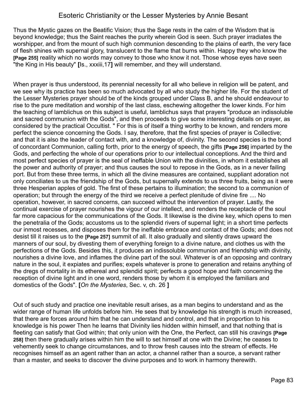Thus the Mystic gazes on the Beatific Vision; thus the Sage rests in the calm of the Wisdom that is beyond knowledge; thus the Saint reaches the purity wherein God is seen. Such prayer irradiates the worshipper, and from the mount of such high communion descending to the plains of earth, the very face of flesh shines with supernal glory, translucent to the flame that burns within. Happy they who know the **[Page 255]** reality which no words may convey to those who know it not. Those whose eyes have seen "the King in His beauty" **[**Is., xxxiii,17**]** will remember, and they will understand.

When prayer is thus understood, its perennial necessity for all who believe in religion will be patent, and we see why its practice has been so much advocated by all who study the higher life. For the student of the Lesser Mysteries prayer should be of the kinds grouped under Class B, and he should endeavour to rise to the pure meditation and worship of the last class, eschewing altogether the lower kinds. For him the teaching of lamblichus on this subject is useful, lamblichus says that prayers "produce an indissoluble and sacred communion with the Gods", and then proceeds to give some interesting details on prayer, as considered by the practical Occultist. " For this is of itself a thing worthy to be known, and renders more perfect the science concerning the Gods. I say, therefore, that the first species of prayer is Collective; and that it is also the leader of contact with, and a knowledge of, divinity. The second species is the bond of concordant Communion, calling forth, prior to the energy of speech, the gifts **[Page 256]** imparted by the Gods, and perfecting the whole of our operations prior to our intellectual conceptions. And the third and most perfect species of prayer is the seal of ineffable Union with the divinities, in whom it establishes all the power and authority of prayer; and thus causes the soul to repose in the Gods, as in a never failing port. But from these three terms, in which all the divine measures are contained, suppliant adoration not only conciliates to us the friendship of the Gods, but supernally extends to us three fruits, being as it were three Hesperian apples of gold. The first of these pertains to illumination; the second to a communion of operation; but through the energy of the third we receive a perfect plenitude of divine fire .... No operation, however, in sacred concerns, can succeed without the intervention of prayer. Lastly, the continual exercise of prayer nourishes the vigour of our intellect, and renders the receptacle of the soul far more capacious for the communications of the Gods. It likewise is the divine key, which opens to men the penetralia of the Gods; accustoms us to the splendid rivers of supernal light; in a short time perfects our inmost recesses, and disposes them for the ineffable embrace and contact of the Gods; and does not desist till it raises us to the **[Page 257]** summit of all. It also gradually and silently draws upward the manners of our soul, by divesting them of everything foreign to a divine nature, and clothes us with the perfections of the Gods. Besides this, it produces an indissoluble communion and friendship with divinity, nourishes a divine love, and inflames the divine part of the soul. Whatever is of an opposing and contrary nature in the soul, it expiates and purifies; expels whatever is prone to generation and retains anything of the dregs of mortality in its ethereal and splendid spirit; perfects a good hope and faith concerning the reception of divine light and in one word, renders those by whom it is employed the familiars and domestics of the Gods". **[***On the Mysteries*, Sec. v, ch. 26 **]**

Out of such study and practice one inevitable result arises, as a man begins to understand and as the wider range of human life unfolds before him. He sees that by knowledge his strength is much increased, that there are forces around him that he can understand and control, and that in proportion to his knowledge is his power Then he learns that Divinity lies hidden within himself, and that nothing that is fleeting can satisfy that God within; that only union with the One, the Perfect, can still his cravings **[Page 258]** then there gradually arises within him the will to set himself at one with the Divine; he ceases to vehemently seek to change circumstances, and to throw fresh causes into the stream of effects. He recognises himself as an agent rather than an actor, a channel rather than a source, a servant rather than a master, and seeks to discover the divine purposes and to work in harmony therewith.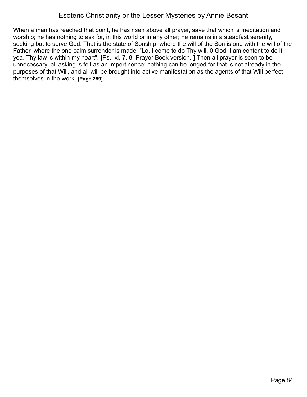When a man has reached that point, he has risen above all prayer, save that which is meditation and worship; he has nothing to ask for, in this world or in any other; he remains in a steadfast serenity, seeking but to serve God. That is the state of Sonship, where the will of the Son is one with the will of the Father, where the one calm surrender is made, "Lo, I come to do Thy will, 0 God. I am content to do it; yea, Thy law is within my heart". **[**Ps., xl, 7, 8, Prayer Book version. **]** Then all prayer is seen to be unnecessary; all asking is felt as an impertinence; nothing can be longed for that is not already in the purposes of that Will, and all will be brought into active manifestation as the agents of that Will perfect themselves in the work. **[Page 259]**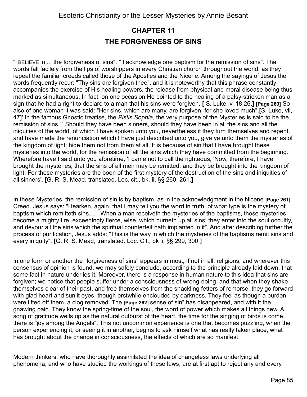# **CHAPTER 11 THE FORGIVENESS OF SINS**

"I BELIEVE in ... the forgiveness of sins". " I acknowledge one baptism for the remission of sins". The words fall facilely from the lips of worshippers in every Christian church throughout the world, as they repeat the familiar creeds called those of the Apostles and the Nicene. Among the sayings of Jesus the words frequently recur: "Thy sins are forgiven thee", and it is noteworthy that this phrase constantly accompanies the exercise of His healing powers, the release from physical and moral disease being thus marked as simultaneous. In fact, on one occasion He pointed to the healing of a palsy-stricken man as a sign that he had a right to declare to a man that his sins were forgiven. **[** S. Luke, v, 18.26.**] [Page 260]** So also of one woman it was said: "Her sins, which are many, are forgiven, for she loved much".**[**S. Luke, vii, 47**]**' In the famous Gnostic treatise, the *Pistis Sophia*, the very purpose of the Mysteries is said to be the remission of sins. " Should they have been sinners, should they have been in all the sins and all the iniquities of the world, of which I have spoken unto you, nevertheless if they turn themselves and repent, and have made the renunciation which I have just described unto you, give ye unto them the mysteries of the kingdom of light; hide them not from them at all. It is because of sin that I have brought these mysteries into the world, for the remission of all the sins which they have committed from the beginning. Wherefore have I said unto you aforetime, 'I came not to call the righteous, 'Now, therefore, I have brought the mysteries, that the sins of all men may be remitted, and they be brought into the kingdom of light. For these mysteries are the boon of the first mystery of the destruction of the sins and iniquities of all sinners'. **[**G. R. S. Mead, translated. Loc. cit., bk. ii, §§ 260, 261.**]**

In these Mysteries, the remission of sin is by baptism, as in the acknowledgment in the Nicene **[Page 261]** Creed. Jesus says: "Hearken, again, that I may tell you the word in truth, of what type is the mystery of baptism which remitteth sins.. . . When a man receiveth the mysteries of the baptisms, those mysteries become a mighty fire, exceedingly fierce, wise, which burneth up all sins; they enter into the soul occultly, and devour all the sins which the spiritual counterfeit hath implanted in it". And after describing further the process of purification, Jesus adds: "This is the way in which the mysteries of the baptisms remit sins and every iniquity". **[**G. R. S. Mead, translated. Loc. Cit., bk ii, §§ 299, 300 **]**

In one form or another the "forgiveness of sins" appears in most, if not in all, religions; and wherever this consensus of opinion is found, we may safely conclude, according to the principle already laid down, that some fact in nature underlies it. Moreover, there is a response in human nature to this idea that sins are forgiven; we notice that people suffer under a consciousness of wrong-doing, and that when they shake themselves clear of their past, and free themselves from the shackling fetters of remorse, they go forward with glad heart and sunlit eyes, though erstwhile enclouded by darkness. They feel as though a burden were lifted off them, a clog removed. The **[Page 262]** sense of sin" has disappeared, and with it the gnawing pain. They know the spring-time of the soul, the word of power which makes all things new. A song of gratitude wells up as the natural outburst of the heart, the time for the singing of birds is come, there is "joy among the Angels". This not uncommon experience is one that becomes puzzling, when the person experiencing it, or seeing it in another, begins to ask himself what has really taken place, what has brought about the change in consciousness, the effects of which are so manifest.

Modern thinkers, who have thoroughly assimilated the idea of changeless laws underlying all phenomena, and who have studied the workings of these laws, are at first apt to reject any and every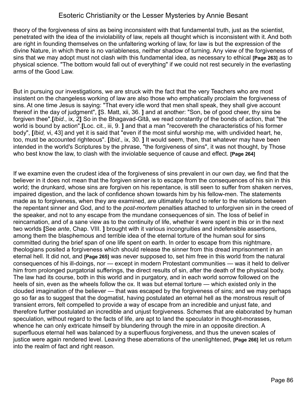theory of the forgiveness of sins as being inconsistent with that fundamental truth, just as the scientist, penetrated with the idea of the inviolability of law, repels all thought which is inconsistent with it. And both are right in founding themselves on the unfaltering working of law, for law is but the expression of the divine Nature, in which there is no variableness, neither shadow of turning. Any view of the forgiveness of sins that we may adopt must not clash with this fundamental idea, as necessary to ethical **[Page 263]** as to physical science. "The bottom would fall out of everything" if we could not rest securely in the everlasting arms of the Good Law.

But in pursuing our investigations, we are struck with the fact that the very Teachers who are most insistent on the changeless working of law are also those who emphatically proclaim the forgiveness of sins. At one time Jesus is saying: "That every idle word that men shall speak, they shall give account thereof in the day of judgment", **[**S. Matt, xii, 36. **]** and at another: "Son, be of good cheer, thy sins be forgiven thee".**[***Ibid*., ix, 2**]** So in the Bhagavad-Gltâ, we read constantly of the bonds of action, that "the world is bound by action".**[**Loc. cit., iii, 9. **]** and that a man "recovereth the characteristics of his former body", **[***Ibid,* vi, 43] and yet it is said that "even if the most sinful worship me, with undivided heart, he, too, must be accounted righteous". **[***Ibid*., ix, 30. **]** It would seem, then, that whatever may have been intended in the world's Scriptures by the phrase, "the forgiveness of sins", it was not thought, by Those who best know the law, to clash with the inviolable sequence of cause and effect. **[Page 264]**

If we examine even the crudest idea of the forgiveness of sins prevalent in our own day, we find that the believer in it does not mean that the forgiven sinner is to escape from the consequences of his sin in this world; the drunkard, whose sins are forgiven on his repentance, is still seen to suffer from shaken nerves, impaired digestion, and the lack of confidence shown towards him by his fellow-men. The statements made as to forgiveness, when they are examined, are ultimately found to refer to the relations between the repentant sinner and God, and to the *post-mortem* penalties attached to unforgiven sin in the creed of the speaker, and not to any escape from the mundane consequences of sin. The loss of belief in reincarnation, and of a sane view as to the continuity of life, whether it were spent in this or in the next two worlds **[**See *ante*, Chap. VIII. **]** brought with it various incongruities and indefensible assertions, among them the blasphemous and terrible idea of the eternal torture of the human soul for sins committed during the brief span of one life spent on earth. In order to escape from this nightmare, theologians posited a forgiveness which should release the sinner from this dread imprisonment in an eternal hell. It did not, and **[Page 265]** was never supposed to, set him free in this world from the natural consequences of his ill-doings, nor — except in modern Protestant communities — was it held to deliver him from prolonged purgatorial sufferings, the direct results of sin, after the death of the physical body. The law had its course, both in this world and in purgatory, and in each world sorrow followed on the heels of sin, even as the wheels follow the ox. It was but eternal torture — which existed only in the clouded imagination of the believer — that was escaped by the forgiveness of sins; and we may perhaps go so far as to suggest that the dogmatist, having postulated an eternal hell as the monstrous result of transient errors, felt compelled to provide a way of escape from an incredible and unjust fate, and therefore further postulated an incredible and unjust forgiveness. Schemes that are elaborated by human speculation, without regard to the facts of life, are apt to land the speculator in thought-morasses, whence he can only extricate himself by blundering through the mire in an opposite direction. A superfluous eternal hell was balanced by a superfluous forgiveness, and thus the uneven scales of justice were again rendered level. Leaving these aberrations of the unenlightened, **[Page 266]** let us return into the realm of fact and right reason.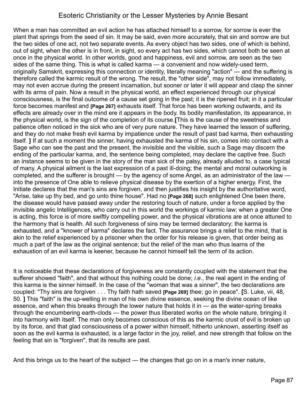When a man has committed an evil action he has attached himself to a sorrow, for sorrow is ever the plant that springs from the seed of sin. It may be said, even more accurately, that sin and sorrow are but the two sides of one act, not two separate events. As every object has two sides, one of which is behind, out of sight, when the other is in front, in sight, so every act has two sides, which cannot both be seen at once in the physical world. In other worlds, good and happiness, evil and sorrow, are seen as the two sides of the same thing. This is what is called karma — a convenient and now widely-used term, originally Samskrit, expressing this connection or identity, literally meaning "action" — and the suffering is therefore called the karmic result of the wrong. The result, the "other side", may not follow immediately, may not even accrue during the present incarnation, but sooner or later it will appear and clasp the sinner with its arms of pain. Now a result in the physical world, an effect experienced through our physical consciousness, is the final outcome of a cause set going in the past; it is the ripened fruit; in it a particular force becomes manifest and **[Page 267]** exhausts itself. That force has been working outwards, and its effects are already over in the mind ere it appears in the body. Its bodily manifestation, its appearance, in the physical world, is the sign of the completion of its course.**[**This is the cause of the sweetness and patience often noticed in the sick who are of very pure nature. They have learned the lesson of suffering, and they do not make fresh evil karma by impatience under the result of past bad karma, then exhausting itself. **]** If at such a moment the sinner, having exhausted the karma of his sin, comes into contact with a Sage who can see the past and the present, the invisible and the visible, such a Sage may discern the ending of the particular karma, and, the sentence being completed, may declare the captive free. Such an instance seems to be given in the story of the man sick of the palsy, already alluded to, a case typical of many. A physical ailment is the last expression of a past ill-doing; the mental and moral outworking is completed, and the sufferer is brought — by the agency of some Angel, as an administrator of the law into the presence of One able to relieve physical disease by the exertion of a higher energy. First, the Initiate declares that the man's sins are forgiven, and then justifies his insight by the authoritative word, "Arise, take up thy bed, and go unto thine house". Had no **[Page 268]** such enlightened One been there, the disease would have passed away under the restoring touch of nature, under a force applied by the invisible angelic Intelligences, who carry out in this world the workings of karmic law; when a greater One is acting, this force is of more swiftly compelling power, and the physical vibrations are at once attuned to the harmony that is health. All such forgiveness of sins may be termed declaratory; the karma is exhausted, and a "knower of karma" declares the fact. The assurance brings a relief to the mind, that is akin to the relief experienced by a prisoner when the order for his release is given, that order being as much a part of the law as the original sentence; but the relief of the man who thus learns of the exhaustion of an evil karma is keener, because he cannot himself tell the term of its action.

It is noticeable that these declarations of forgiveness are constantly coupled with the statement that the sufferer showed "faith", and that without this nothing could be done; *i.e*., the real agent in the ending of this karma is the sinner himself. In the case of the "woman that was a sinner", the two declarations are coupled: "Thy sins are forgiven . . . Thy faith hath saved **[Page 269]** thee; go in peace". **[**S. Luke, vii, 48, 50. **]** This "faith" is the up-welling in man of his own divine essence, seeking the divine ocean of like essence, and when this breaks through the lower nature that holds it in — as the water-spring breaks through the encumbering earth-clods — the power thus liberated works on the whole nature, bringing it into harmony with itself. The man only becomes conscious of this as the karmic crust of evil is broken up by its force, and that glad consciousness of a power within himself, hitherto unknown, asserting itself as soon as the evil karma is exhausted, is a large factor in the joy, relief, and new strength that follow on the feeling that sin is "forgiven", that its results are past.

And this brings us to the heart of the subject — the changes that go on in a man's inner nature,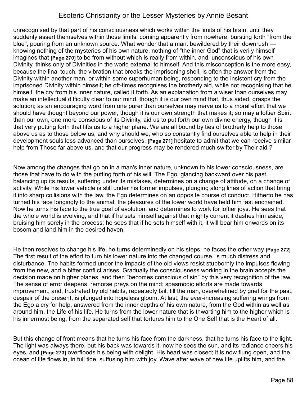unrecognised by that part of his consciousness which works within the limits of his brain, until they suddenly assert themselves within those limits, coming apparently from nowhere, bursting forth "from the blue", pouring from an unknown source. What wonder that a man, bewildered by their downrush knowing nothing of the mysteries of his own nature, nothing of "the inner God" that is verily himself imagines that **[Page 270]** to be from without which is really from within, and, unconscious of his own Divinity, thinks only of Divinities in the world external to himself. And this misconception is the more easy, because the final touch, the vibration that breaks the imprisoning shell, is often the answer from the Divinity within another man, or within some superhuman being, responding to the insistent cry from the imprisoned Divinity within himself; he oft-times recognises the brotherly aid, while not recognising that he himself, the cry from his inner nature, called it forth. As an explanation from a wiser than ourselves may make an intellectual difficulty clear to our mind, though it is our own mind that, thus aided, grasps the solution; as an encouraging word from one purer than ourselves may nerve us to a moral effort that we should have thought beyond our power, though it is our own strength that makes it; so may a loftier Spirit than our own, one more conscious of its Divinity, aid us to put forth our own divine energy, though it is that very putting forth that lifts us to a higher plane. We are all bound by ties of brotherly help to those above us as to those below us, and why should we, who so constantly find ourselves able to help in their development souls less advanced than ourselves, **[Page 271]** hesitate to admit that we can receive similar help from Those far above us, and that our progress may be rendered much swifter by Their aid ?

Now among the changes that go on in a man's inner nature, unknown to his lower consciousness, are those that have to do with the putting forth of his will. The Ego, glancing backward over his past, balancing up its results, suffering under its mistakes, determines on a change of attitude, on a change of activity. While his lower vehicle is still under his former impulses, plunging along lines of action that bring it into sharp collisions with the law, the Ego determines on an opposite course of conduct. Hitherto he has turned his face longingly to the animal, the pleasures of the lower world have held him fast enchained. Now he turns his face to the true goal of evolution, and determines to work for loftier joys. He sees that the whole world is evolving, and that if he sets himself against that mighty current it dashes him aside, bruising him sorely in the process; he sees that if he sets himself with it, it will bear him onwards on its bosom and land him in the desired haven.

He then resolves to change his life, he turns determinedly on his steps, he faces the other way **[Page 272]** The first result of the effort to turn his lower nature into the changed course, is much distress and disturbance. The habits formed under the impacts of the old views resist stubbornly the impulses flowing from the new, and a bitter conflict arises. Gradually the consciousness working in the brain accepts the decision made on higher planes, and then "becomes conscious of sin" by this very recognition of the law. The sense of error deepens, remorse preys on the mind; spasmodic efforts are made towards improvement, and, frustrated by old habits, repeatedly fail, till the man, overwhelmed by grief for the past, despair of the present, is plunged into hopeless gloom. At last, the ever-increasing suffering wrings from the Ego a cry for help, answered from the inner depths of his own nature, from the God within as well as around him, the Life of his life. He turns from the lower nature that is thwarting him to the higher which is his innermost being, from the separated self that tortures him to the One Self that is the Heart of all.

But this change of front means that he turns his face from the darkness, that he turns his face to the light. The light was always there, but his back was towards it; now he sees the sun, and its radiance cheers his eyes, and **[Page 273]** overfloods his being with delight. His heart was closed; it is now flung open, and the ocean of life flows in, in full tide, suffusing him with joy. Wave after wave of new life uplifts him, and the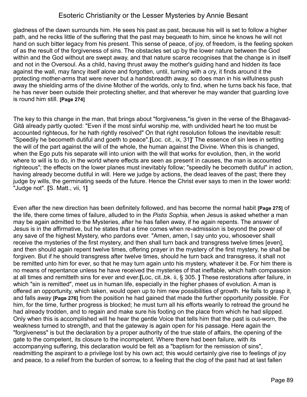gladness of the dawn surrounds him. He sees his past as past, because his will is set to follow a higher path, and he recks little of the suffering that the past may bequeath to him, since he knows he will not hand on such bitter legacy from his present. This sense of peace, of joy, of freedom, is the feeling spoken of as the result of the forgiveness of sins. The obstacles set up by the lower nature between the God within and the God without are swept away, and that nature scarce recognises that the change is in itself and not in the Oversoul. As a child, having thrust away the mother's guiding hand and hidden its face against the wall, may fancy itself alone and forgotten, until, turning with a cry, it finds around it the protecting mother-arms that were never but a handsbreadth away, so does man in his wilfulness push away the shielding arms of the divine Mother of the worlds, only to find, when he turns back his face, that he has never been outside their protecting shelter, and that wherever he may wander that guarding love is round him still. **[Page 274]**

The key to this change in the man, that brings about "forgiveness,"is given in the verse of the Bhagavad-Gitâ already partly quoted: "Even if the most sinful worship me, with undivided heart he too must be accounted righteous, for he hath rightly resolved" On that right resolution follows the inevitable result: "Speedily he becometh dutiful and goeth to peace".**[**Loc. cit., ix, 31**]**' The essence of sin lees in setting the will of the part against the will of the whole, the human against the Divine. When this is changed, when the Ego puts his separate will into union with the will that works for evolution, then, in the world where to will is to do, in the world where effects are seen as present in causes, the man is accounted righteous"; the effects on the lower planes must inevitably follow; "speedily he becometh dutiful" in action, having already become dutiful in will. Here we judge by actions, the dead leaves of the past; there they judge by wills, the germinating seeds of the future. Hence the Christ ever says to men in the lower world: "Judge not". **[**S. Matt., vii, 1**]** 

Even after the new direction has been definitely followed, and has become the normal habit **[Page 275]** of the life, there come times of failure, alluded to in the *Pistis Sophia,* when Jesus is asked whether a man may be again admitted to the Mysteries, after he has fallen away, if he again repents. The answer of Jesus is in the affirmative, but he states that a time comes when re-admission is beyond the power of any save of the highest Mystery, who pardons ever. "Amen, amen, I say unto you, whosoever shall receive the mysteries of the first mystery, and then shall turn back and transgress twelve times [even], and then should again repent twelve times, offering prayer in the mystery of the first mystery, he shall be forgiven. But if he should transgress after twelve times, should he turn back and transgress, it shall not be remitted unto him for ever, so that he may turn again unto his mystery, whatever it be. For him there is no means of repentance unless he have received the mysteries of that ineffable, which hath compassion at all times and remitteth sins for ever and ever.**[**Loc, cit.,bk. ii, § 305. **]** These restorations after failure, in which "sin is remitted", meet us in human life, especially in the higher phases of evolution. A man is offered an opportunity, which taken, would open up to him new possibilities of growth. He fails to grasp it, and falls away **[Page 276]** from the position he had gained that made the further opportunity possible. For him, for the time, further progress is blocked; he must turn all his efforts wearily to retread the ground he had already trodden, and to regain and make sure his footing on the place from which he had slipped. Only when this is accomplished will he hear the gentle Voice that tells him that the past is out-worn, the weakness turned to strength, and that the gateway is again open for his passage. Here again the "forgiveness" is but the declaration by a proper authority of the true state of affairs, the opening of the gate to the competent, its closure to the incompetent. Where there had been failure, with its accompanying suffering, this declaration would be felt as a "baptism for the remission of sins", readmitting the aspirant to a privilege lost by his own act; this would certainly give rise to feelings of joy and peace, to a relief from the burden of sorrow, to a feeling that the clog of the past had at last fallen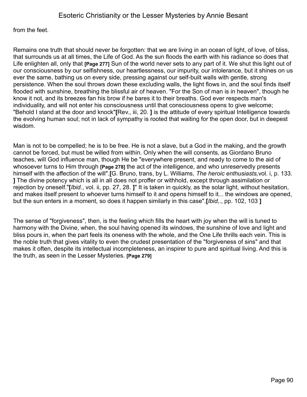from the feet.

Remains one truth that should never be forgotten: that we are living in an ocean of light, of love, of bliss, that surrounds us at all times, the Life of God. As the sun floods the earth with his radiance so does that Life enlighten all, only that **[Page 277]** Sun of the world never sets to any part of it. We shut this light out of our consciousness by our selfishness, our heartlessness, our impurity, our intolerance, but it shines on us ever the same, bathing us on every side, pressing against our self-built walls with gentle, strong persistence. When the soul throws down these excluding walls, the light flows in, and the soul finds itself flooded with sunshine, breathing the blissful air of heaven. "For the Son of man is in heaven", though he know it not, and its breezes fan his brow if he bares it to their breaths. God ever respects man's individuality, and will not enter his consciousness until that consciousness opens to give welcome; "Behold I stand at the door and knock"**[**Rev., iii, 20. **]** is the attitude of every spiritual Intelligence towards the evolving human soul; not in lack of sympathy is rooted that waiting for the open door, but in deepest wisdom.

Man is not to be compelled; he is to be free. He is not a slave, but a God in the making, and the growth cannot be forced, but must be willed from within. Only when the will consents, as Giordano Bruno teaches, will God influence man, though He be "everywhere present, and ready to come to the aid of whosoever turns to Him through **[Page 278]** the act of the intelligence, and who unreservedly presents himself with the affection of the will".**[**G. Bruno, trans, by L. Williams, *The heroic enthusiasts,*vol. i, p. 133. **]** The divine potency which is all in all does not proffer or withhold, except through assimilation or rejection by oneself."**[***Ibid.*, vol. ii, pp. 27, 28. **]**" It is taken in quickly, as the solar light, without hesitation, and makes itself present to whoever turns himself to it and opens himself to it... the windows are opened, but the sun enters in a moment, so does it happen similarly in this case".**[***Ibid,*., pp. 102, 103 **]**

The sense of "forgiveness", then, is the feeling which fills the heart with joy when the will is tuned to harmony with the Divine, when, the soul having opened its windows, the sunshine of love and light and bliss pours in, when the part feels its oneness with the whole, and the One Life thrills each vein. This is the noble truth that gives vitality to even the crudest presentation of the "forgiveness of sins" and that makes it often, despite its intellectual incompleteness, an inspirer to pure and spiritual living. And this is the truth, as seen in the Lesser Mysteries. **[Page 279]**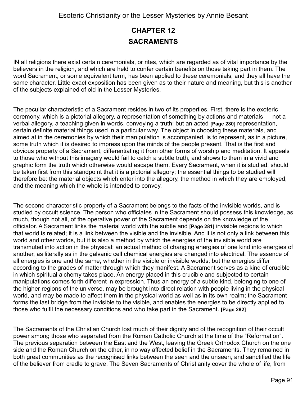# **CHAPTER 12 SACRAMENTS**

IN all religions there exist certain ceremonials, or rites, which are regarded as of vital importance by the believers in the religion, and which are held to confer certain benefits on those taking part in them. The word Sacrament, or some equivalent term, has been applied to these ceremonials, and they all have the same character. Little exact exposition has been given as to their nature and meaning, but this is another of the subjects explained of old in the Lesser Mysteries.

The peculiar characteristic of a Sacrament resides in two of its properties. First, there is the exoteric ceremony, which is a pictorial allegory, a representation of something by actions and materials — not a verbal allegory, a teaching given in words, conveying a truth; but an acted **[Page 280]** representation, certain definite material things used in a particular way. The object in choosing these materials, and aimed at in the ceremonies by which their manipulation is accompanied, is to represent, as in a picture, some truth which it is desired to impress upon the minds of the people present. That is the first and obvious property of a Sacrament, differentiating it from other forms of worship and meditation. It appeals to those who without this imagery would fail to catch a subtle truth, and shows to them in a vivid and graphic form the truth which otherwise would escape them. Every Sacrament, when it is studied, should be taken first from this standpoint that it is a pictorial allegory; the essential things to be studied will therefore be: the material objects which enter into the allegory, the method in which they are employed, and the meaning which the whole is intended to convey.

The second characteristic property of a Sacrament belongs to the facts of the invisible worlds, and is studied by occult science. The person who officiates in the Sacrament should possess this knowledge, as much, though not all, of the operative power of the Sacrament depends on the knowledge of the officiator. A Sacrament links the material world with the subtle and **[Page 281]** invisible regions to which that world is related; it is a link between the visible and the invisible. And it is not only a link between this world and other worlds, but it is also a method by which the energies of the invisible world are transmuted into action in the physical; an actual method of changing energies of one kind into energies of another, as literally as in the galvanic cell chemical energies are changed into electrical. The essence of all energies is one and the same, whether in the visible or invisible worlds; but the energies differ according to the grades of matter through which they manifest. A Sacrament serves as a kind of crucible in which spiritual alchemy takes place. An energy placed in this crucible and subjected to certain manipulations comes forth different in expression. Thus an energy of a subtle kind, belonging to one of the higher regions of the universe, may be brought into direct relation with people living in the physical world, and may be made to affect them in the physical world as well as in its own realm; the Sacrament forms the last bridge from the invisible to the visible, and enables the energies to be directly applied to those who fulfil the necessary conditions and who take part in the Sacrament. **[Page 282]**

The Sacraments of the Christian Church lost much of their dignity and of the recognition of their occult power among those who separated from the Roman Catholic Church at the time of the "Reformation". The previous separation between the East and the West, leaving the Greek Orthodox Church on the one side and the Roman Church on the other, in no way affected belief in the Sacraments. They remained in both great communities as the recognised links between the seen and the unseen, and sanctified the life of the believer from cradle to grave. The Seven Sacraments of Christianity cover the whole of life, from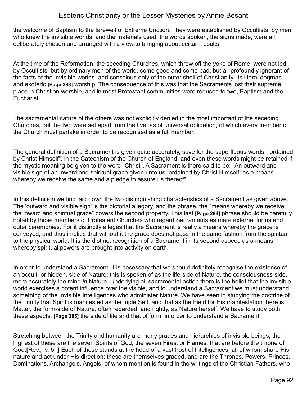the welcome of Baptism to the farewell of Extreme Unction. They were established by Occultists, by men who knew the invisible worlds; and the materials used, the words spoken, the signs made, were all deliberately chosen and arranged with a view to bringing about certain results.

At the time of the Reformation, the seceding Churches, which threw off the yoke of Rome, were not led by Occultists, but by ordinary men of the world, some good and some bad, but all profoundly ignorant of the facts of the invisible worlds, and conscious only of the outer shell of Christianity, its literal dogmas and exoteric **[Page 283]** worship. The consequence of this was that the Sacraments lost their supreme place in Christian worship, and in most Protestant communities were reduced to two, Baptism and the Eucharist.

The sacramental nature of the others was not explicitly denied in the most important of the seceding Churches, but the two were set apart from the five, as of universal obligation, of which every member of the Church must partake in order to be recognised as a full member.

The general definition of a Sacrament is given quite accurately, save for the superfluous words, "ordained by Christ Himself", in the Catechism of the Church of England, and even these words might be retained if the mystic meaning be given to the word "Christ". A Sacrament is there said to be: "An outward and visible sign of an inward and spiritual grace given unto us, ordained by Christ Himself, as a means whereby we receive the same and a pledge to assure us thereof".

In this definition we find laid down the two distinguishing characteristics of a Sacrament as given above. The 'outward and visible sign' is the pictorial allegory, and the phrase, the "means whereby we receive the inward and spiritual grace" covers the second property. This last **[Page 284]** phrase should be carefully noted by those members of Protestant Churches who regard Sacraments as mere external forms and outer ceremonies. For it distinctly alleges that the Sacrament is really a means whereby the grace is conveyed, and thus implies that without it the grace does not pass in the same fashion from the spiritual to the physical world. It is the distinct recognition of a Sacrament in its second aspect, as a means whereby spiritual powers are brought into activity on earth.

In order to understand a Sacrament, it is necessary that we should definitely recognise the existence of an occult, or hidden, side of Nature; this is spoken of as the life-side of Nature, the consciousness-side, more accurately the mind *in* Nature. Underlying all sacramental action there is the belief that the invisible world exercises a potent influence over the visible, and to understand a Sacrament we must understand something of the invisible Intelligences who administer Nature. We have seen in studying the doctrine of the Trinity that Spirit is manifested as the triple Self, and that as the Field for His manifestation there is Matter, the form-side of Nature, often regarded, and rightly, as Nature herself. We have to study both these aspects, **[Page 285]** the side of life and that of form, in order to understand a Sacrament.

Stretching between the Trinity and humanity are many grades and hierarchies of invisible beings; the highest of these are the seven Spirits of God, the seven Fires, or Flames, that are before the throne of God.**[**Rev., iv, 5. **]** Each of these stands at the head of a vast host of Intelligences, all of whom share His nature and act under His direction; these are themselves graded, and are the Thrones, Powers, Princes, Dominations, Archangels, Angels, of whom mention is found in the writings of the Christian Fathers, who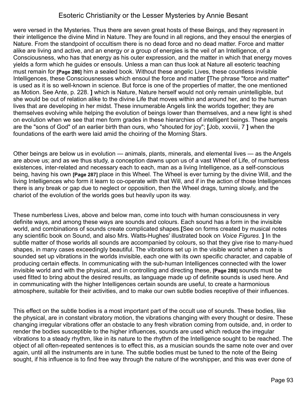were versed in the Mysteries. Thus there are seven great hosts of these Beings, and they represent in their intelligence the divine Mind in Nature. They are found in all regions, and they ensoul the energies of Nature. From the standpoint of occultism there is no dead force and no dead matter. Force and matter alike are living and active, and an energy or a group of energies is the veil of an Intelligence, of a Consciousness, who has that energy as his outer expression, and the matter in which that energy moves yields a form which he guides or ensouls. Unless a man can thus look at Nature all esoteric teaching must remain for **[Page 286]** him a sealed book. Without these angelic Lives, these countless invisible Intelligences, these Consciousnesses which ensoul the force and matter **[**The phrase "force and matter" is used as it is so well-known in science. But force is one of the properties of matter, the one mentioned as Motion. See Ante, p. 228. **]** which is Nature, Nature herself would not only remain unintelligible, but she would be out of relation alike to the divine Life that moves within and around her, and to the human lives that are developing in her midst. These innumerable Angels link the worlds together; they are themselves evolving while helping the evolution of beings lower than themselves, and a new light is shed on evolution when we see that men form grades in these hierarchies of intelligent beings. These angels are the "sons of God" of an earlier birth than ours, who "shouted for joy"; **[**Job, xxxviii, 7 **]** when the foundations of the earth were laid amid the choiring of the Morning Stars.

Other beings are below us in evolution — animals, plants, minerals, and elemental lives — as the Angels are above us; and as we thus study, a conception dawns upon us of a vast Wheel of Life, of numberless existences, inter-related and necessary each to each, man as a living Intelligence, as a self-conscious being, having his own **[Page 287]** place in this Wheel. The Wheel is ever turning by the divine Will, and the living Intelligences who form it learn to co-operate with that Will, and if in the action of those Intelligences there is any break or gap due to neglect or opposition, then the Wheel drags, turning slowly, and the chariot of the evolution of the worlds goes but heavily upon its way.

These numberless Lives, above and below man, come into touch with human consciousness in very definite ways, and among these ways are sounds and colours. Each sound has a form in the invisible world, and combinations of sounds create complicated shapes.**[**See on forms created by musical notes any scientific book on Sound, and also Mrs. Watts-Hughes' illustrated book on *Voice Figures*. **]** In the subtle matter of those worlds all sounds are accompanied by colours, so that they give rise to many-hued shapes, in many cases exceedingly beautiful. The vibrations set up in the visible world when a note is sounded set up vibrations in the worlds invisible, each one with its own specific character, and capable of producing certain effects. In communicating with the sub-human Intelligences connected with the lower invisible world and with the physical, and in controlling and directing these, **[Page 288]** sounds must be used fitted to bring about the desired results, as language made up of definite sounds is used here. And in communicating with the higher Intelligences certain sounds are useful, to create a harmonious atmosphere, suitable for their activities, and to make our own subtle bodies receptive of their influences.

This effect on the subtle bodies is a most important part of the occult use of sounds. These bodies, like the physical, are in constant vibratory motion, the vibrations changing with every thought or desire. These changing irregular vibrations offer an obstacle to any fresh vibration coming from outside, and, in order to render the bodies susceptible to the higher influences, sounds are used which reduce the irregular vibrations to a steady rhythm, like in its nature to the rhythm of the Intelligence sought to be reached. The object of all often-repeated sentences is to effect this, as a musician sounds the same note over and over again, until all the instruments are in tune. The subtle bodies must be tuned to the note of the Being sought, if his influence is to find free way through the nature of the worshipper, and this was ever done of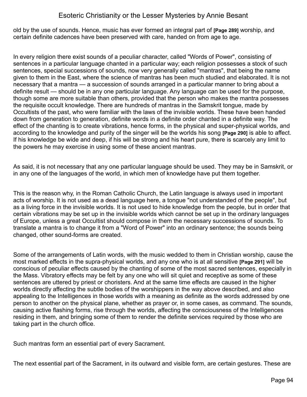old by the use of sounds. Hence, music has ever formed an integral part of **[Page 289]** worship, and certain definite cadences have been preserved with care, handed on from age to age.

In every religion there exist sounds of a peculiar character, called "Words of Power", consisting of sentences in a particular language chanted in a particular way; each religion possesses a stock of such sentences, special successions of sounds, now very generally called "mantras", that being the name given to them in the East, where the science of mantras has been much studied and elaborated. It is not necessary that a mantra — a succession of sounds arranged in a particular manner to bring about a definite result — should be in any one particular language. Any language can be used for the purpose, though some are more suitable than others, provided that the person who makes the mantra possesses the requisite occult knowledge. There are hundreds of mantras in the Samskrit tongue, made by Occultists of the past, who were familiar with the laws of the invisible worlds. These have been handed down from generation to generation, definite words in a definite order chanted in a definite way. The effect of the chanting is to create vibrations, hence forms, in the physical and super-physical worlds, and according to the knowledge and purity of the singer will be the worlds his song **[Page 290]** is able to affect. If his knowledge be wide and deep, if his will be strong and his heart pure, there is scarcely any limit to the powers he may exercise in using some of these ancient mantras.

As said, it is not necessary that any one particular language should be used. They may be in Samskrit, or in any one of the languages of the world, in which men of knowledge have put them together.

This is the reason why, in the Roman Catholic Church, the Latin language is always used in important acts of worship. It is not used as a dead language here, a tongue "not understanded of the people", but as a living force in the invisible worlds. It is not used to hide knowledge from the people, but in order that certain vibrations may be set up in the invisible worlds which cannot be set up in the ordinary languages of Europe, unless a great Occultist should compose in them the necessary successions of sounds. To translate a mantra is to change it from a "Word of Power" into an ordinary sentence; the sounds being changed, other sound-forms are created.

Some of the arrangements of Latin words, with the music wedded to them in Christian worship, cause the most marked effects in the supra-physical worlds, and any one who is at all sensitive **[Page 291]** will be conscious of peculiar effects caused by the chanting of some of the most sacred sentences, especially in the Mass. Vibratory effects may be felt by any one who will sit quiet and receptive as some of these sentences are uttered by priest or choristers. And at the same time effects are caused in the higher worlds directly affecting the subtle bodies of the worshippers in the way above described, and also appealing to the Intelligences in those worlds with a meaning as definite as the words addressed by one person to another on the physical plane, whether as prayer or, in some cases, as command. The sounds, causing active flashing forms, rise through the worlds, affecting the consciousness of the Intelligences residing in them, and bringing some of them to render the definite services required by those who are taking part in the church office.

Such mantras form an essential part of every Sacrament.

The next essential part of the Sacrament, in its outward and visible form, are certain gestures. These are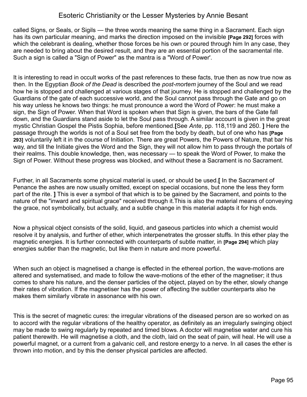called Signs, or Seals, or Sigils — the three words meaning the same thing in a Sacrament. Each sign has its own particular meaning, and marks the direction imposed on the invisible **[Page 292]** forces with which the celebrant is dealing, whether those forces be his own or poured through him In any case, they are needed to bring about the desired result, and they are an essential portion of the sacramental rite. Such a sign is called a "Sign of Power" as the mantra is a "Word of Power'.

It is interesting to read in occult works of the past references to these facts, true then as now true now as then. In the Egyptian *Book of the Dead* is described the *post-mortem* journey of the Soul and we read how he is stopped and challenged at various stages of that journey. He is stopped and challenged by the Guardians of the gate of each successive world, and the Soul cannot pass through the Gate and go on his way unless he knows two things: he must pronounce a word the Word of Power: he must make a sign, the Sign of Power. When that Word is spoken when that Sign is given, the bars of the Gate fall down, and the Guardians stand aside to let the Soul pass through. A similar account is given in the great mystic Christian Gospel the Pistis Sophia, before mentioned.**[**See *Ante*, pp. 118,119 and 260. **]** Here the passage through the worlds is not of a Soul set free from the body by death, but of one who has **[Page 293]** voluntarily left it in the course of Initiation. There are great Powers, the Powers of Nature, that bar his way, and till the Initiate gives the Word and the Sign, they will not allow him to pass through the portals of their realms. This double knowledge, then, was necessary — to speak the Word of Power, to make the Sign of Power. Without these progress was blocked, and without these a Sacrament is no Sacrament.

Further, in all Sacraments some physical material is used, or should be used.**[** In the Sacrament of Penance the ashes are now usually omitted, except on special occasions, but none the less they form part of the rite. **]** This is ever a symbol of that which is to be gained by the Sacrament, and points to the nature of the "inward and spiritual grace" received through it.This is also the material means of conveying the grace, not symbolically, but actually, and a subtle change in this material adapts it for high ends.

Now a physical object consists of the solid, liquid, and gaseous particles into which a chemist would resolve it by analysis, and further of ether, which interpenetrates the grosser stuffs. In this ether play the magnetic energies. It is further connected with counterparts of subtle matter, in **[Page 294]** which play energies subtler than the magnetic, but like them in nature and more powerful.

When such an object is magnetised a change is effected in the ethereal portion, the wave-motions are altered and systematised, and made to follow the wave-motions of the ether of the magnetiser; it thus comes to share his nature, and the denser particles of the object, played on by the ether, slowly change their rates of vibration. If the magnetiser has the power of affecting the subtler counterparts also he makes them similarly vibrate in assonance with his own.

This is the secret of magnetic cures: the irregular vibrations of the diseased person are so worked on as to accord with the regular vibrations of the healthy operator, as definitely as an irregularly swinging object may be made to swing regularly by repeated and timed blows. A doctor will magnetise water and cure his patient therewith. He will magnetise a cloth, and the cloth, laid on the seat of pain, will heal. He will use a powerful magnet, or a current from a galvanic cell, and restore energy to a nerve. In all cases the ether is thrown into motion, and by this the denser physical particles are affected.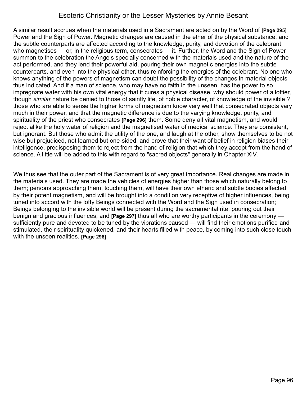A similar result accrues when the materials used in a Sacrament are acted on by the Word of **[Page 295]** Power and the Sign of Power. Magnetic changes are caused in the ether of the physical substance, and the subtle counterparts are affected according to the knowledge, purity, and devotion of the celebrant who magnetises — or, in the religious term, consecrates — it. Further, the Word and the Sign of Power summon to the celebration the Angels specially concerned with the materials used and the nature of the act performed, and they lend their powerful aid, pouring their own magnetic energies into the subtle counterparts, and even into the physical ether, thus reinforcing the energies of the celebrant. No one who knows anything of the powers of magnetism can doubt the possibility of the changes in material objects thus indicated. And if a man of science, who may have no faith in the unseen, has the power to so impregnate water with his own vital energy that it cures a physical disease, why should power of a loftier, though *similar* nature be denied to those of saintly life, of noble character, of knowledge of the invisible ? those who are able to sense the higher forms of magnetism know very well that consecrated objects vary much in their power, and that the magnetic difference is due to the varying knowledge, purity, and spirituality of the priest who consecrates **[Page 296]** them. Some deny all vital magnetism, and would reject alike the holy water of religion and the magnetised water of medical science. They are consistent, but ignorant. But those who admit the utility of the one, and laugh at the other, show themselves to be not wise but prejudiced, not learned but one-sided, and prove that their want of belief in religion biases their intelligence, predisposing them to reject from the hand of religion that which they accept from the hand of science. A little will be added to this with regard to "sacred objects" generally in Chapter XIV.

We thus see that the outer part of the Sacrament is of very great importance. Real changes are made in the materials used. They are made the vehicles of energies higher than those which naturally belong to them; persons approaching them, touching them, will have their own etheric and subtle bodies affected by their potent magnetism, and will be brought into a condition very receptive of higher influences, being tuned into accord with the lofty Beings connected with the Word and the Sign used in consecration; Beings belonging to the invisible world will be present during the sacramental rite, pouring out their benign and gracious influences; and **[Page 297]** thus all who are worthy participants in the ceremony sufficiently pure and devoted to be tuned by the vibrations caused — will find their emotions purified and stimulated, their spirituality quickened, and their hearts filled with peace, by coming into such close touch with the unseen realities. **[Page 298]**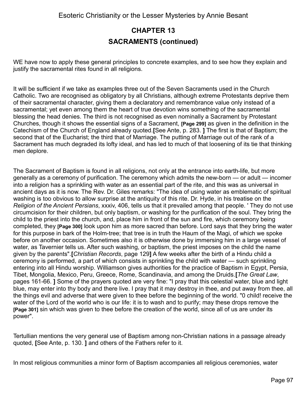# **CHAPTER 13 SACRAMENTS (continued)**

WE have now to apply these general principles to concrete examples, and to see how they explain and justify the sacramental rites found in all religions.

It will be sufficient if we take as examples three out of the Seven Sacraments used in the Church Catholic. Two are recognised as obligatory by all Christians, although extreme Protestants deprive them of their sacramental character, giving them a declaratory and remembrance value only instead of a sacramental; yet even among them the heart of true devotion wins something of the sacramental blessing the head denies. The third is not recognised as even nominally a Sacrament by Protestant Churches, though it shows the essential signs of a Sacrament, **[Page 299]** as given in the definition in the Catechism of the Church of England already quoted.**[**See Ante, p. 283. **]** The first is that of Baptism; the second that of the Eucharist; the third that of Marriage. The putting of Marriage out of the rank of a Sacrament has much degraded its lofty ideal, and has led to much of that loosening of its tie that thinking men deplore.

The Sacrament of Baptism is found in all religions, not only at the entrance into earth-life, but more generally as a ceremony of purification. The ceremony which admits the new-born — or adult — incomer into a religion has a sprinkling with water as an essential part of the rite, and this was as universal in ancient days as it is now. The Rev. Dr. Giles remarks: "The idea of using water as emblematic of spiritual washing is too obvious to allow surprise at the antiquity of this rite. Dr. Hyde, in his treatise on the *Religion of the Ancient Persians*, xxxiv, 406, tells us that it prevailed among that people. ' They do not use circumcision for their children, but only baptism, or washing for the purification of the soul. They bring the child to the priest into the church, and, place him in front of the sun and fire, which ceremony being completed, they **[Page 300]** look upon him as more sacred than before. Lord says that they bring the water for this purpose in bark of the Holm-tree; that tree is in truth the Haum of the Magi, of which we spoke before on another occasion. Sometimes also it is otherwise done by immersing him in a large vessel of water, as Tavernier tells us. After such washing, or baptism, the priest imposes on the child the name given by the parents".**[***Christian Records*, page 129**]** A few weeks after the birth of a Hindu child a ceremony is performed, a part of which consists in sprinkling the child with water — such sprinkling entering into all Hindu worship. Williamson gives authorities for the practice of Baptism in Egypt, Persia, Tibet, Mongolia, Mexico, Peru, Greece, Rome, Scandinavia, and among the Druids.**[***The Great Law*, pages 161-66. **]** Some of the prayers quoted are very fine: "I pray that this celestial water, blue and light blue, may enter into thy body and there live. I pray that it may destroy in thee, and put away from thee, all the things evil and adverse that were given to thee before the beginning of the world. "0 child! receive the water of the Lord of the world who is our life: it is to wash and to purify; may these drops remove the **[Page 301]** sin which was given to thee before the creation of the world, since all of us are under its power".

Tertullian mentions the very general use of Baptism among non-Christian nations in a passage already quoted, **[**See Ante, p. 130. **]** and others of the Fathers refer to it.

In most religious communities a minor form of Baptism accompanies all religious ceremonies, water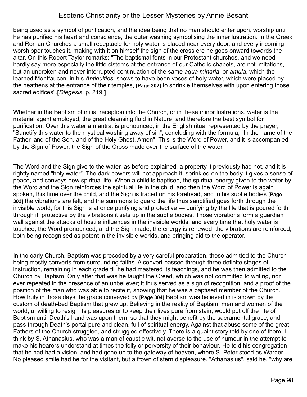being used as a symbol of purification, and the idea being that no man should enter upon, worship until he has purified his heart and conscience, the outer washing symbolising the inner lustration. In the Greek and Roman Churches a small receptacle for holy water is placed near every door, and every incoming worshipper touches it, making with it on himself the sign of the cross ere he goes onward towards the altar. On this Robert Taylor remarks: "The baptismal fonts in our Protestant churches, and we need hardly say more especially the little cisterns at the entrance of our Catholic chapels, are not imitations, but an unbroken and never interrupted continuation of the same *aqua minaria*, or *amula*, which the learned Montfaucon, in his *Antiquities*, shows to have been vases of holy water, which were placed by the heathens at the entrance of their temples, **[Page 302]** to sprinkle themselves with upon entering those sacred edifices".**[***Diegesis*, p. 219.**]** 

Whether in the Baptism of initial reception into the Church, or in these minor lustrations, water is the material agent employed, the great cleansing fluid in Nature, and therefore the best symbol for purification. Over this water a mantra, is pronounced, in the English ritual represented by the prayer, "Sanctify this water to the mystical washing away of sin", concluding with the formula, "In the name of the Father, and of the Son. and of the Holy Ghost. Amen". This is the Word of Power, and it is accompanied by the Sign of Power, the Sign of the Cross made over the surface of the water.

The Word and the Sign give to the water, as before explained, a property it previously had not, and it is rightly named "holy water". The dark powers will not approach it; sprinkled on the body it gives a sense of peace, and conveys new spiritual life. When a child is baptised, the spiritual energy given to the water by the Word and the Sign reinforces the spiritual life in the child, and then the Word of Power is again spoken, this time over the child, and the Sign is traced on his forehead, and in his subtle bodies **[Page 303]** the vibrations are felt, and the summons to guard the life thus sanctified goes forth through the invisible world; for this Sign is at once purifying and protective — purifying by the life that is poured forth through it, protective by the vibrations it sets up in the subtle bodies. Those vibrations form a guardian wall against the attacks of hostile influences in the invisible worlds, and every time that holy water is touched, the Word pronounced, and the Sign made, the energy is renewed, the vibrations are reinforced, both being recognised as potent in the invisible worlds, and bringing aid to the operator.

In the early Church, Baptism was preceded by a very careful preparation, those admitted to the Church being mostly converts from surrounding faiths. A convert passed through three definite stages of instruction, remaining in each grade till he had mastered its teachings, and he was then admitted to the Church by Baptism. Only after that was he taught the Creed, which was not committed to writing, nor ever repeated in the presence of an unbeliever; it thus served as a sign of recognition, and a proof of the position of the man who was able to recite it, showing that he was a baptised member of the Church. How truly in those days the grace conveyed by **[Page 304]** Baptism was believed in is shown by the custom of death-bed Baptism that grew up. Believing in the reality of Baptism, men and women of the world, unwilling to resign its pleasures or to keep their lives pure from stain, would put off the rite of Baptism until Death's hand was upon them, so that they might benefit by the sacramental grace, and pass through Death's portal pure and clean, full of spiritual energy. Against that abuse some of the great Fathers of the Church struggled, and struggled effectively. There is a quaint story told by one of them, I think by S. Athanasius, who was a man of caustic wit, not averse to the use of humour in the attempt to make his hearers understand at times the folly or perversity of their behaviour. He told his congregation that he had had a vision, and had gone up to the gateway of heaven, where S. Peter stood as Warder. No pleased smile had he for the visitant, but a frown of stern displeasure. "Athanasius", said he, "why are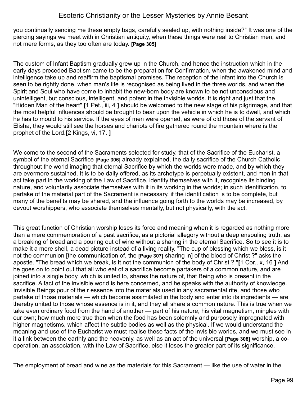you continually sending me these empty bags, carefully sealed up, with nothing inside?" It was one of the piercing sayings we meet with in Christian antiquity, when these things were real to Christian men, and not mere forms, as they too often are today. **[Page 305]**

The custom of Infant Baptism gradually grew up in the Church, and hence the instruction which in the early days preceded Baptism came to be the preparation for Confirmation, when the awakened mind and intelligence take up and reaffirm the baptismal promises. The reception of the infant into the Church is seen to be rightly done, when man's life is recognised as being lived in the three worlds, and when the Spirit and Soul who have come to inhabit the new-born body are known to be not unconscious and unintelligent, but conscious, intelligent, and potent in the invisible worlds. It is right and just that the "Hidden Man of the heart" **[**1 Pet., iii, 4 **]** should be welcomed to the new stage of his pilgrimage, and that the most helpful influences should be brought to bear upon the vehicle in which he is to dwell, and which he has to mould to his service. If the eyes of men were opened, as were of old those of the servant of Elisha, they would still see the horses and chariots of fire gathered round the mountain where is the prophet of the Lord.**[**2 Kings, vi, 17. **]**

We come to the second of the Sacraments selected for study, that of the Sacrifice of the Eucharist, a symbol of the eternal Sacrifice **[Page 306]** already explained, the daily sacrifice of the Church Catholic throughout the world imaging that eternal Sacrifice by which the worlds were made, and by which they are evermore sustained. It is to be daily offered, as its archetype is perpetually existent, and men in that act take part in the working of the Law of Sacrifice, identify themselves with it, recognise its binding nature, and voluntarily associate themselves with it in its working in the worlds; in such identification, to partake of the material part of the Sacrament is necessary, if the identification is to be complete, but many of the benefits may be shared, and the influence going forth to the worlds may be increased, by devout worshippers, who associate themselves mentally, but not physically, with the act.

This great function of Christian worship loses its force and meaning when it is regarded as nothing more than a mere commemoration of a past sacrifice, as a pictorial allegory without a deep ensouling truth, as a breaking of bread and a pouring out of wine without a sharing in the eternal Sacrifice. So to see it is to make it a mere shell, a dead picture instead of a living reality. "The cup of blessing which we bless, is it not the communion [the communication of, the **[Page 307]** sharing in] of the blood of Christ ?" asks the apostle. "The bread which we break, is it not the communion of the body of Christ ? "**[**1 Cor., x, 16 **]** And he goes on to point out that all who eat of a sacrifice become partakers of a common nature, and are joined into a single body, which is united to, shares the nature of, that Being who is present in the sacrifice. A fact of the invisible world is here concerned, and he speaks with the authority of knowledge. Invisible Beings pour of their essence into the materials used in any sacramental rite, and those who partake of those materials — which become assimilated in the body and enter into its ingredients — are thereby united to those whose essence is in it, and they all share a common nature. This is true when we take even ordinary food from the hand of another — part of his nature, his vital magnetism, mingles with our own; how much more true then when the food has been solemnly and purposely impregnated with higher magnetisms, which affect the subtle bodies as well as the physical. If we would understand the meaning and use of the Eucharist we must realise these facts of the invisible worlds, and we must see in it a link between the earthly and the heavenly, as well as an act of the universal **[Page 308]** worship, a cooperation, an association, with the Law of Sacrifice, else it loses the greater part of its significance.

The employment of bread and wine as the materials for this Sacrament — like the use of water in the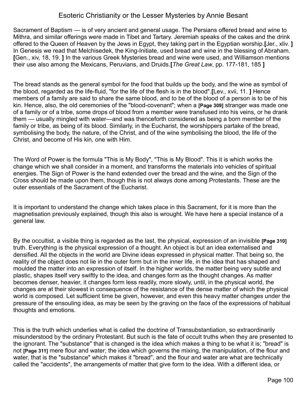Sacrament of Baptism — is of very ancient and general usage. The Persians offered bread and wine to Mithra, and similar offerings were made in Tibet and Tartary. Jeremiah speaks of the cakes and the drink offered to the Queen of Heaven by the Jews in Egypt, they taking part in the Egyptian worship.**[**Jer., xliv. **]** In Genesis we read that Melchisedek, the King-Initiate, used bread and wine in the blessing of Abraham. **[**Gen., xiv, 18, 19. **]** In the various Greek Mysteries bread and wine were used, and Williamson mentions their use also among the Mexicans, Peruvians, and Druids.**[***The Great Law*, pp. 177-181, 185 **]**

The bread stands as the general symbol for the food that builds up the body, and the wine as symbol of the blood, regarded as the life-fluid, "for the life of the flesh is in the blood".**[**Lev., xvii, 11. **]** Hence members of a family are said to share the same blood, and to be of the blood of a person is to be of his kin. Hence, also, the old ceremonies of the "blood-covenant"; when a **[Page 309]** stranger was made one of a family or of a tribe, some drops of blood from a member were transfused into his veins, or he drank them — usually mingled with water—and was thenceforth considered as being a born member of the family or tribe, as being of its blood. Similarly, in the Eucharist, the worshippers partake of the bread, symbolising the body, the nature, of the Christ, and of the wine symbolising the blood, the life of the Christ, and become of His kin, one with Him.

The Word of Power is the formula "This is My Body", "This is My Blood". This it is which works the change which we shall consider in a moment, and transforms the materials into vehicles of spiritual energies. The Sign of Power is the hand extended over the bread and the wine, and the Sign of the Cross should be made upon them, though this is not always done among Protestants. These are the outer essentials of the Sacrament of the Eucharist.

It is important to understand the change which takes place in this Sacrament, for it is more than the magnetisation previously explained, though this also is wrought. We have here a special instance of a general law.

By the occultist, a visible thing is regarded as the last, the physical, expression of an invisible **[Page 310]** truth. Everything is the physical expression of a thought. An object is but an idea externalised and densified. All the objects in the world are Divine ideas expressed in physical matter. That being so, the reality of the object does not lie in the outer form but in the inner life, in the idea that has shaped and moulded the matter into an expression of itself. In the higher worlds, the matter being very subtle and plastic, shapes itself very swiftly to the idea, and changes form as the thought changes. As matter becomes denser, heavier, it changes form less readily, more slowly, until, in the physical world, the changes are at their slowest in consequence of the resistance of the dense matter of which the physical world is composed. Let sufficient time be given, however, and even this heavy matter changes under the pressure of the ensouling idea, as may be seen by the graving on the face of the expressions of habitual thoughts and emotions.

This is the truth which underlies what is called the doctrine of Transubstantiation, so extraordinarily misunderstood by the ordinary Protestant. But such is the fate of occult truths when they are presented to the ignorant. The "substance" that is changed is the idea which makes a thing to be what it is; "bread" is not **[Page 311]** mere flour and water; the idea which governs the mixing, the manipulation, of the flour and water, that is the "substance" which makes it "bread", and the flour and water are what are technically called the "accidents", the arrangements of matter that give form to the idea. With a different idea, or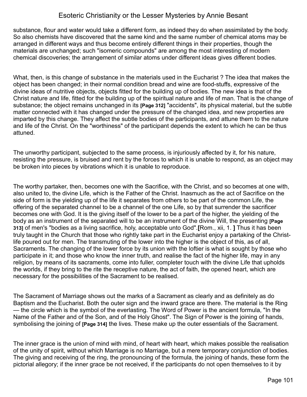substance, flour and water would take a different form, as indeed they do when assimilated by the body. So also chemists have discovered that the same kind and the same number of chemical atoms may be arranged in different ways and thus become entirely different things in their properties, though the materials are unchanged; such "isomeric compounds" are among the most interesting of modern chemical discoveries; the arrangement of similar atoms under different ideas gives different bodies.

What, then, is this change of substance in the materials used in the Eucharist ? The idea that makes the object has been changed; in their normal condition bread and wine are food-stuffs, expressive of the divine ideas of nutritive objects, objects fitted for the building up of bodies. The new idea is that of the Christ nature and life, fitted for the building up of the spiritual nature and life of man. That is the change of substance; the object remains unchanged in its **[Page 312]** "accidents", its physical material, but the subtle matter connected with it has changed under the pressure of the changed idea, and new properties are imparted by this change. They affect the subtle bodies of the participants, and attune them to the nature and life of the Christ. On the "worthiness" of the participant depends the extent to which he can be thus attuned.

The unworthy participant, subjected to the same process, is injuriously affected by it, for his nature, resisting the pressure, is bruised and rent by the forces to which it is unable to respond, as an object may be broken into pieces by vibrations which it is unable to reproduce.

The worthy partaker, then, becomes one with the Sacrifice, with the Christ, and so becomes at one with, also united to, the divine Life, which is the Father of the Christ. Inasmuch as the act of Sacrifice on the side of form is the yielding up of the life it separates from others to be part of the common Life, the offering of the separated channel to be a channel of the one Life, so by that surrender the sacrificer becomes one with God. It is the giving itself of the lower to be a part of the higher, the yielding of the body as an instrument of the separated will to be an instrument of the divine Will, the presenting **[Page 313]** of men's "bodies as a living sacrifice, holy, acceptable unto God".**[**Rom., xii, 1. **]** Thus it has been truly taught in the Church that those who rightly take part in the Eucharist enjoy a partaking of the Christlife poured out for men. The transmuting of the lower into the higher is the object of this, as of all, Sacraments. The changing of the lower force by its union with the loftier is what is sought by those who participate in it; and those who know the inner truth, and realise the fact of the higher life, may in any religion, by means of its sacraments, come into fuller, completer touch with the divine Life that upholds the worlds, if they bring to the rite the receptive nature, the act of faith, the opened heart, which are necessary for the possibilities of the Sacrament to be realised.

The Sacrament of Marriage shows out the marks of a Sacrament as clearly and as definitely as do Baptism and the Eucharist. Both the outer sign and the inward grace are there. The material is the Ring — the circle which is the symbol of the everlasting. The Word of Power is the ancient formula, "In the Name of the Father and of the Son, and of the Holy Ghost". The Sign of Power is the joining of hands, symbolising the joining of **[Page 314]** the lives. These make up the outer essentials of the Sacrament.

The inner grace is the union of mind with mind, of heart with heart, which makes possible the realisation of the unity of spirit, without which Marriage is no Marriage, but a mere temporary conjunction of bodies. The giving and receiving of the ring, the pronouncing of the formula, the joining of hands, these form the pictorial allegory; if the inner grace be not received, if the participants do not open themselves to it by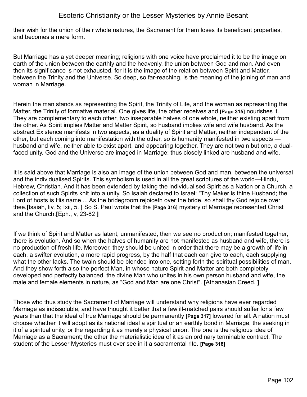their wish for the union of their whole natures, the Sacrament for them loses its beneficent properties, and becomes a mere form.

But Marriage has a yet deeper meaning; religions with one voice have proclaimed it to be the image on earth of the union between the earthly and the heavenly, the union between God and man. And even then its significance is not exhausted, for it is the image of the relation between Spirit and Matter, between the Trinity and the Universe. So deep, so far-reaching, is the meaning of the joining of man and woman in Marriage.

Herein the man stands as representing the Spirit, the Trinity of Life, and the woman as representing the Matter, the Trinity of formative material. One gives life, the other receives and **[Page 315]** nourishes it. They are complementary to each other, two inseparable halves of one whole, neither existing apart from the other. As Spirit implies Matter and Matter Spirit, so husband implies wife and wife husband. As the abstract Existence manifests in two aspects, as a duality of Spirit and Matter, neither independent of the other, but each coming into manifestation with the other, so is humanity manifested in two aspects husband and wife, neither able to exist apart, and appearing together. They are not twain but one, a dualfaced unity. God and the Universe are imaged in Marriage; thus closely linked are husband and wife.

It is said above that Marriage is also an image of the union between God and man, between the universal and the individualised Spirits. This symbolism is used in all the great scriptures of the world—Hindu, Hebrew, Christian. And it has been extended by taking the individualised Spirit as a Nation or a Church, a collection of such Spirits knit into a unity. So Isaiah declared to Israel: "Thy Maker is thine Husband; the Lord of hosts is His name ... As the bridegroom rejoiceth over the bride, so shall thy God rejoice over thee.**[**Isaiah, liv, 5; Ixii, 5. **]** So S. Paul wrote that the **[Page 316]** mystery of Marriage represented Christ and the Church.**[**Eph., v, 23-82 **]**

If we think of Spirit and Matter as latent, unmanifested, then we see no production; manifested together, there is evolution. And so when the halves of humanity are not manifested as husband and wife, there is no production of fresh life. Moreover, they should be united in order that there may be a growth of life in each, a swifter evolution, a more rapid progress, by the half that each can give to each, each supplying what the other lacks. The twain should be blended into one, setting forth the spiritual possibilities of man. And they show forth also the perfect Man, in whose nature Spirit and Matter are both completely developed and perfectly balanced, the divine Man who unites in his own person husband and wife, the male and female elements in nature, as "God and Man are one Christ". **[**Athanasian Creed. **]**

Those who thus study the Sacrament of Marriage will understand why religions have ever regarded Marriage as indissoluble, and have thought it better that a few ill-matched pairs should suffer for a few years than that the ideal of true Marriage should be permanently **[Page 317]** lowered for all. A nation must choose whether it will adopt as its national ideal a spiritual or an earthly bond in Marriage, the seeking in it of a spiritual unity, or the regarding it as merely a physical union. The one is the religious idea of Marriage as a Sacrament; the other the materialistic idea of it as an ordinary terminable contract. The student of the Lesser Mysteries must ever see in it a sacramental rite. **[Page 318]**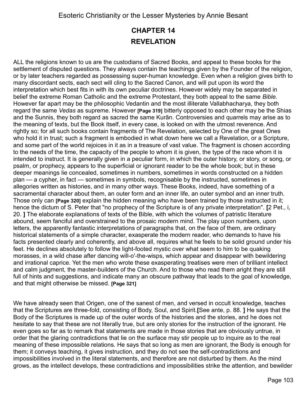# **CHAPTER 14 REVELATION**

ALL the religions known to us are the custodians of Sacred Books, and appeal to these books for the settlement of disputed questions. They always contain the teachings given by the Founder of the religion, or by later teachers regarded as possessing super-human knowledge. Even when a religion gives birth to many discordant sects, each sect will cling to the Sacred Canon, and will put upon its word the interpretation which best fits in with its own peculiar doctrines. However widely may be separated in belief the extreme Roman Catholic and the extreme Protestant, they both appeal to the same *Bible*. However far apart may be the philosophic Vedantin and the most illiterate Vallabhacharya, they both regard the same *Vedas* as supreme. However **[Page 319]** bitterly opposed to each other may be the Shias and the Sunnis, they both regard as sacred the same Kurãn. Controversies and quarrels may arise as to the meaning of texts, but the Book itself, in every case, is looked on with the utmost reverence. And rightly so; for all such books contain fragments of The Revelation, selected by One of the great Ones who hold it in trust; such a fragment is embodied in what down here we call a Revelation, or a Scripture, and some part of the world rejoices in it as in a treasure of vast value. The fragment is chosen according to the needs of the time, the capacity of the people to whom it is given, the type of the race whom it is intended to instruct. It is generally given in a peculiar form, in which the outer history, or story, or song, or psalm, or prophecy, appears to the superficial or ignorant reader to be the whole book; but in these deeper meanings lie concealed, sometimes in numbers, sometimes in words constructed on a hidden plan — a cypher, in fact — sometimes in symbols, recognisable by the instructed, sometimes in allegories written as histories, and in many other ways. These Books, indeed, have something of a sacramental character about them, an outer form and an inner life, an outer symbol and an inner truth. Those only can **[Page 320]** explain the hidden meaning who have been trained by those instructed in it; hence the dictum of S. Peter that "no prophecy of the Scripture is of any private interpretation". **[**2 Pet., i, 20. **]** The elaborate explanations of texts of the Bible, with which the volumes of patristic literature abound, seem fanciful and overstrained to the prosaic modern mind. The play upon numbers, upon letters, the apparently fantastic interpretations of paragraphs that, on the face of them, are ordinary historical statements of a simple character, exasperate the modern reader, who demands to have his facts presented clearly and coherently, and above all, requires what he feels to be solid ground under his feet. He declines absolutely to follow the light-footed mystic over what seem to him to be quaking morasses, in a wild chase after dancing will-o'-the-wisps, which appear and disappear with bewildering and irrational caprice. Yet the men who wrote these exasperating treatises were men of brilliant intellect and calm judgment, the master-builders of the Church. And to those who read them aright they are still full of hints and suggestions, and indicate many an obscure pathway that leads to the goal of knowledge, and that might otherwise be missed. **[Page 321]** 

We have already seen that Origen, one of the sanest of men, and versed in occult knowledge, teaches that the Scriptures are three-fold, consisting of Body, Soul, and Spirit.**[**See ante, p. 88. **]** He says that the Body of the Scriptures is made up of the outer words of the histories and the stories, and he does not hesitate to say that these are not literally true, but are only stories for the instruction of the ignorant. He even goes so far as to remark that statements are made in those stories that are obviously untrue, in order that the glaring contradictions that lie on the surface may stir people up to inquire as to the real meaning of these impossible relations. He says that so long as men are ignorant, the Body is enough for them; it conveys teaching, it gives instruction, and they do not see the self-contradictions and impossibilities involved in the literal statements, and therefore are not disturbed by them. As the mind grows, as the intellect develops, these contradictions and impossibilities strike the attention, and bewilder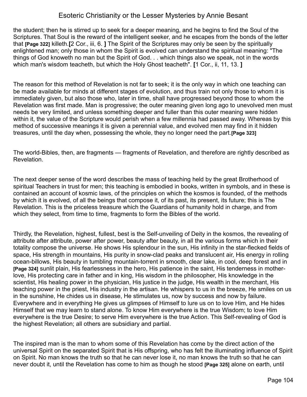the student; then he is stirred up to seek for a deeper meaning, and he begins to find the Soul of the Scriptures. That Soul is the reward of the intelligent seeker, and he escapes from the bonds of the letter that **[Page 322]** killeth.**[**2 Cor., iii, 6. **]** The Spirit of the Scriptures may only be seen by the spiritually enlightened man; only those in whom the Spirit is evolved can understand the spiritual meaning: "The things of God knoweth no man but the Spirit of God. . . which things also we speak, not in the words which man's wisdom teacheth, but which the Holy Ghost teacheth". **[**1 Cor., ii, 11, 13. **]**

The reason for this method of Revelation is not far to seek; it is the only way in which one teaching can be made available for minds at different stages of evolution, and thus train not only those to whom it is immediately given, but also those who, later in time, shall have progressed beyond those to whom the Revelation was first made. Man is progressive; the outer meaning given long ago to unevolved men must needs be very limited, and unless something deeper and fuller than this outer meaning were hidden within it, the value of the Scripture would perish when a few millennia had passed away. Whereas by this method of successive meanings it is given a perennial value, and evolved men may find in it hidden treasures, until the day when, possessing the whole, they no longer need the part.**[Page 323]**

The world-Bibles, then, are fragments — fragments of Revelation, and therefore are rightly described as Revelation.

The next deeper sense of the word describes the mass of teaching held by the great Brotherhood of spiritual Teachers in trust for men; this teaching is embodied in books, written in symbols, and in these is contained an account of kosmic laws, of the principles on which the kosmos is founded, of the methods by which it is evolved, of all the beings that compose it, of its past, its present, its future; this is The Revelation. This is the priceless treasure which the Guardians of humanity hold in charge, and from which they select, from time to time, fragments to form the Bibles of the world.

Thirdly, the Revelation, highest, fullest, best is the Self-unveiling of Deity in the kosmos, the revealing of attribute after attribute, power after power, beauty after beauty, in all the various forms which in their totality compose the universe. He shows His splendour in the sun, His infinity in the star-flecked fields of space, His strength in mountains, His purity in snow-clad peaks and translucent air, His energy in rolling ocean-billows, His beauty in tumbling mountain-torrent in smooth, clear lake, in cool, deep forest and in **[Page 324]** sunlit plain, His fearlessness in the hero, His patience in the saint, His tenderness in motherlove, His protecting care in father and in king, His wisdom in the philosopher, His knowledge in the scientist, His healing power in the physician, His justice in the judge, His wealth in the merchant, His teaching power in the priest, His industry in the artisan. He whispers to us in the breeze, He smiles on us in the sunshine, He chides us in disease, He stimulates us, now by success and now by failure. Everywhere and in everything He gives us glimpses of Himself to lure us on to love Him, and He hides Himself that we may learn to stand alone. To know Him everywhere is the true Wisdom; to love Him everywhere is the true Desire; to serve Him everywhere is the true Action. This Self-revealing of God is the highest Revelation; all others are subsidiary and partial.

The inspired man is the man to whom some of this Revelation has come by the direct action of the universal Spirit on the separated Spirit that is His offspring, who has felt the illuminating influence of Spirit on Spirit. No man knows the truth so that he can never lose it, no man knows the truth so that he can never doubt it, until the Revelation has come to him as though he stood **[Page 325]** alone on earth, until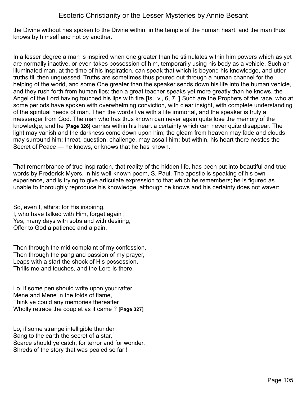the Divine without has spoken to the Divine within, in the temple of the human heart, and the man thus knows by himself and not by another.

In a lesser degree a man is inspired when one greater than he stimulates within him powers which as yet are normally inactive, or even takes possession of him, temporarily using his body as a vehicle. Such an illuminated man, at the time of his inspiration, can speak that which is beyond his knowledge, and utter truths till then unguessed. Truths are sometimes thus poured out through a human channel for the helping of the world, and some One greater than the speaker sends down his life into the human vehicle, and they rush forth from human lips; then a great teacher speaks yet more greatly than he knows, the Angel of the Lord having touched his lips with fire.**[**Is., vi, 6, 7. **]** Such are the Prophets of the race, who at some periods have spoken with overwhelming conviction, with clear insight, with complete understanding of the spiritual needs of man. Then the words live with a life immortal, and the speaker is truly a messenger from God. The man who has thus known can never again quite lose the memory of the knowledge, and he **[Page 326]** carries within his heart a certainty which can never quite disappear. The light may vanish and the darkness come down upon him; the gleam from heaven may fade and clouds may surround him; threat, question, challenge, may assail him; but within, his heart there nestles the Secret of Peace — he knows, or knows that he has known.

That remembrance of true inspiration, that reality of the hidden life, has been put into beautiful and true words by Frederick Myers, in his well-known poem, S. Paul. The apostle is speaking of his own experience, and is trying to give articulate expression to that which he remembers; he is figured as unable to thoroughly reproduce his knowledge, although he knows and his certainty does not waver:

So, even I, athirst for His inspiring, I, who have talked with Him, forget again ; Yes, many days with sobs and with desiring, Offer to God a patience and a pain.

Then through the mid complaint of my confession, Then through the pang and passion of my prayer, Leaps with a start the shock of His possession, Thrills me and touches, and the Lord is there.

Lo, if some pen should write upon your rafter Mene and Mene in the folds of flame, Think ye could any memories thereafter Wholly retrace the couplet as it came ? **[Page 327]**

Lo, if some strange intelligible thunder Sang to the earth the secret of a star, Scarce should ye catch, for terror and for wonder, Shreds of the story that was pealed so far !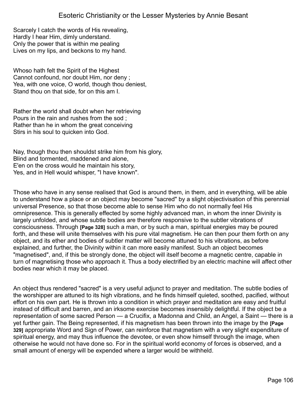Scarcely I catch the words of His revealing, Hardly I hear Him, dimly understand. Only the power that is within me pealing Lives on my lips, and beckons to my hand.

Whoso hath felt the Spirit of the Highest Cannot confound, nor doubt Him, nor deny ; Yea, with one voice, O world, though thou deniest, Stand thou on that side, for on this am I.

Rather the world shall doubt when her retrieving Pours in the rain and rushes from the sod ; Rather than he in whom the great conceiving Stirs in his soul to quicken into God.

Nay, though thou then shouldst strike him from his glory, Blind and tormented, maddened and alone, E'en on the cross would he maintain his story, Yes, and in Hell would whisper, "I have known".

Those who have in any sense realised that God is around them, in them, and in everything, will be able to understand how a place or an object may become "sacred" by a slight objectivisation of this perennial universal Presence, so that those become able to sense Him who do not normally feel His omnipresence. This is generally effected by some highly advanced man, in whom the inner Divinity is largely unfolded, and whose subtle bodies are therefore responsive to the subtler vibrations of consciousness. Through **[Page 328]** such a man, or by such a man, spiritual energies may be poured forth, and these will unite themselves with his pure vital magnetism. He can then pour them forth on any object, and its ether and bodies of subtler matter will become attuned to his vibrations, as before explained, and further, the Divinity within it can more easily manifest. Such an object becomes "magnetised", and, if this be strongly done, the object will itself become a magnetic centre, capable in turn of magnetising those who approach it. Thus a body electrified by an electric machine will affect other bodies near which it may be placed.

An object thus rendered "sacred" is a very useful adjunct to prayer and meditation. The subtle bodies of the worshipper are attuned to its high vibrations, and he finds himself quieted, soothed, pacified, without effort on his own part. He is thrown into a condition in which prayer and meditation are easy and fruitful instead of difficult and barren, and an irksome exercise becomes insensibly delightful. If the object be a representation of some sacred Person — a Crucifix, a Madonna and Child, an Angel, a Saint — there is a yet further gain. The Being represented, if his magnetism has been thrown into the image by the **[Page 329]** appropriate Word and Sign of Power, can reinforce that magnetism with a very slight expenditure of spiritual energy, and may thus influence the devotee, or even show himself through the image, when otherwise he would not have done so. For in the spiritual world economy of forces is observed, and a small amount of energy will be expended where a larger would be withheld.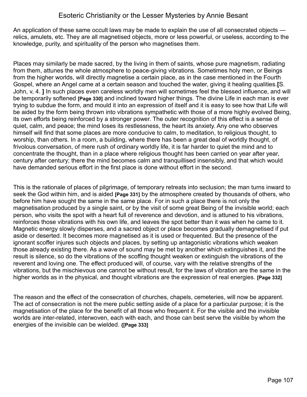An application of these same occult laws may be made to explain the use of all consecrated objects relics, amulets, etc. They are all magnetised objects, more or less powerful, or useless, according to the knowledge, purity, and spirituality of the person who magnetises them.

Places may similarly be made sacred, by the living in them of saints, whose pure magnetism, radiating from them, attunes the whole atmosphere to peace-giving vibrations. Sometimes holy men, or Beings from the higher worlds, will directly magnetise a certain place, as in the case mentioned in the Fourth Gospel, where an Angel came at a certain season and touched the water, giving it healing qualities.**[**S. John, v, 4. **]** In such places even careless worldly men will sometimes feel the blessed influence, and will be temporarily softened **[Page 330]** and inclined toward higher things. The divine Life in each man is ever trying to subdue the form, and mould it into an expression of itself and it is easy to see how that Life will be aided by the form being thrown into vibrations sympathetic with those of a more highly evolved Being, its own efforts being reinforced by a stronger power. The outer recognition of this effect is a sense of quiet, calm, and peace; the mind loses its restlessness, the heart its anxiety. Any one who observes himself will find that some places are more conducive to calm, to meditation, to religious thought, to worship, than others. In a room, a building, where there has been a great deal of worldly thought, of frivolous conversation, of mere rush of ordinary worldly life, it is far harder to quiet the mind and to concentrate the thought, than in a place where religious thought has been carried on year after year, century after century; there the mind becomes calm and tranquillised insensibly, and that which would have demanded serious effort in the first place is done without effort in the second.

This is the rationale of places of pilgrimage, of temporary retreats into seclusion; the man turns inward to seek the God within him, and is aided **[Page 331]** by the atmosphere created by thousands of others, who before him have sought the same in the same place. For in such a place there is not only the magnetisation produced by a single saint, or by the visit of some great Being of the invisible world; each person, who visits the spot with a heart full of reverence and devotion, and is attuned to his vibrations, reinforces those vibrations with his own life, and leaves the spot better than it was when he came to it. Magnetic energy slowly disperses, and a sacred object or place becomes gradually demagnetised if put aside or deserted. It becomes more magnetised as it is used or frequented. But the presence of the ignorant scoffer injures such objects and places, by setting up antagonistic vibrations which weaken those already existing there. As a wave of sound may be met by another which extinguishes it, and the result is silence, so do the vibrations of the scoffing thought weaken or extinguish the vibrations of the reverent and loving one. The effect produced will, of course, vary with the relative strengths of the vibrations, but the mischievous one cannot be without result, for the laws of vibration are the same in the higher worlds as in the physical, and thought vibrations are the expression of real energies. **[Page 332]**

The reason and the effect of the consecration of churches, chapels, cemeteries, will now be apparent. The act of consecration is not the mere public setting aside of a place for a particular purpose; it is the magnetisation of the place for the benefit of all those who frequent it. For the visible and the invisible worlds are inter-related, interwoven, each with each, and those can best serve the visible by whom the energies of the invisible can be wielded. **{[Page 333]**